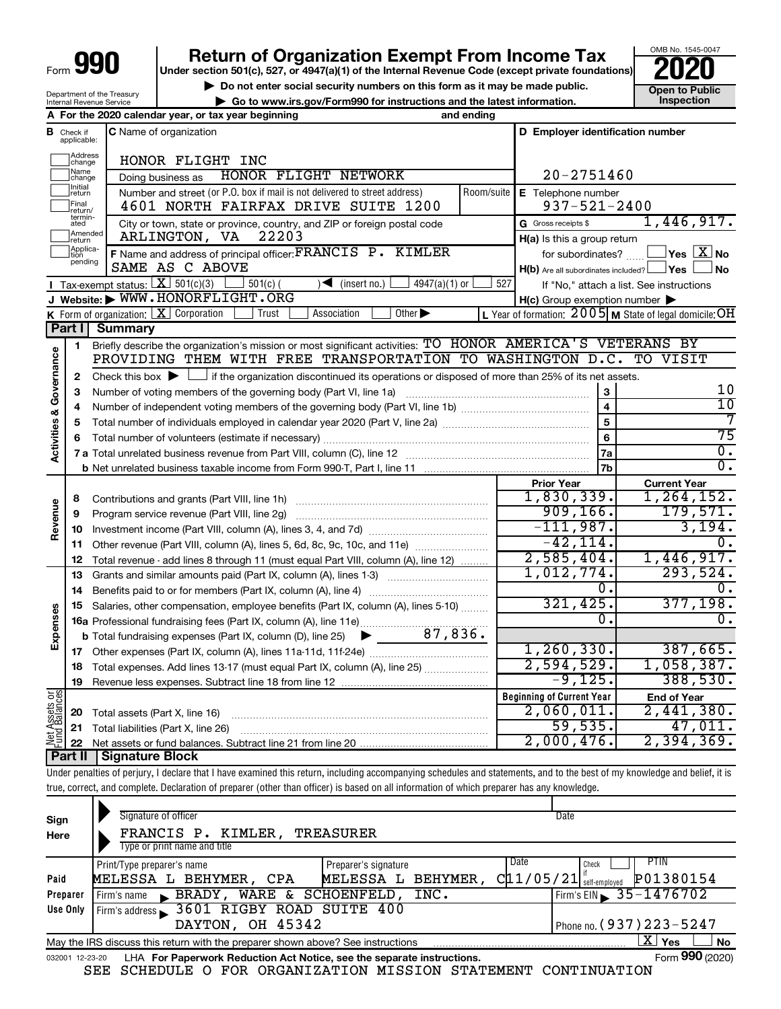| Form | n |
|------|---|
|      |   |

# **990** Return of Organization Exempt From Income Tax **Punce 1845-004 Puncer section 501(c), 527, or 4947(a)(1) of the Internal Revenue Code (except private foundations) <b>2020**

▶ Do not enter social security numbers on this form as it may be made public. **Open to Public**<br>► Go to www.irs.gov/Form990 for instructions and the latest information. Inspection **| Go to www.irs.gov/Form990 for instructions and the latest information. Inspection**



Department of the Treasury Internal Revenue Service

|                                    |                                       | A For the 2020 calendar year, or tax year beginning                                                                                                                               | and ending |                                                                              |                                                           |
|------------------------------------|---------------------------------------|-----------------------------------------------------------------------------------------------------------------------------------------------------------------------------------|------------|------------------------------------------------------------------------------|-----------------------------------------------------------|
|                                    | <b>B</b> Check if applicable:         | C Name of organization                                                                                                                                                            |            | D Employer identification number                                             |                                                           |
|                                    | Address<br> change<br>Name<br>change  | HONOR FLIGHT INC<br>HONOR FLIGHT NETWORK<br>Doing business as                                                                                                                     |            | $20 - 2751460$                                                               |                                                           |
|                                    | Initial<br>return<br>Final<br>return/ | Number and street (or P.O. box if mail is not delivered to street address)<br>4601 NORTH FAIRFAX DRIVE SUITE 1200                                                                 | Room/suite | E Telephone number<br>$937 - 521 - 2400$                                     |                                                           |
|                                    | termin-<br>ated<br>Amended<br>return  | City or town, state or province, country, and ZIP or foreign postal code<br>22203<br>ARLINGTON, VA                                                                                |            | G Gross receipts \$<br>H(a) Is this a group return                           | 1,446,917.                                                |
|                                    | Applica-<br>tion<br>pending           | F Name and address of principal officer: FRANCIS P. KIMLER<br>SAME AS C ABOVE                                                                                                     |            | for subordinates?<br>$H(b)$ Are all subordinates included? $\Box$ Yes $\Box$ | $\sqrt{}$ Yes $\sqrt{X}$ No<br>No                         |
|                                    |                                       | <b>I</b> Tax-exempt status: $X \overline{S}$ 501(c)(3)<br>$4947(a)(1)$ or<br>$501(c)$ (<br>$\blacktriangleleft$ (insert no.)<br>J Website: WWW.HONORFLIGHT.ORG                    | 527        |                                                                              | If "No," attach a list. See instructions                  |
|                                    |                                       | <b>K</b> Form of organization: $\boxed{\mathbf{X}}$ Corporation<br>Other $\blacktriangleright$<br>Association<br>Trust                                                            |            | $H(c)$ Group exemption number $\blacktriangleright$                          | L Year of formation: $2005$ M State of legal domicile: OH |
|                                    | Part I                                | <b>Summary</b>                                                                                                                                                                    |            |                                                                              |                                                           |
| <b>Activities &amp; Governance</b> | 1                                     | Briefly describe the organization's mission or most significant activities: TO HONOR AMERICA'S VETERANS BY<br>PROVIDING THEM WITH FREE TRANSPORTATION TO WASHINGTON D.C. TO VISIT |            |                                                                              |                                                           |
|                                    | 2                                     | Check this box $\blacktriangleright$ $\Box$ if the organization discontinued its operations or disposed of more than 25% of its net assets.                                       |            |                                                                              |                                                           |
|                                    |                                       | Number of voting members of the governing body (Part VI, line 1a)                                                                                                                 |            | 3                                                                            | 10                                                        |
|                                    | з                                     |                                                                                                                                                                                   |            | 4                                                                            | $\overline{10}$                                           |
|                                    | 4                                     |                                                                                                                                                                                   |            |                                                                              | 7                                                         |
|                                    | 5                                     |                                                                                                                                                                                   |            | 5                                                                            | 75                                                        |
|                                    |                                       |                                                                                                                                                                                   |            | 6                                                                            |                                                           |
|                                    |                                       |                                                                                                                                                                                   |            | 7a                                                                           | $\overline{0}$ .                                          |
|                                    |                                       |                                                                                                                                                                                   |            | 7b                                                                           | $\overline{0}$ .                                          |
|                                    |                                       |                                                                                                                                                                                   |            | <b>Prior Year</b>                                                            | <b>Current Year</b>                                       |
|                                    | 8                                     |                                                                                                                                                                                   |            | 1,830,339.                                                                   | 1, 264, 152.                                              |
|                                    | 9                                     | Program service revenue (Part VIII, line 2g)                                                                                                                                      |            | 909, 166.                                                                    | 179,571.                                                  |
| Revenue                            | 10                                    |                                                                                                                                                                                   |            | $-111,987.$                                                                  | 3,194.                                                    |
|                                    | 11                                    | Other revenue (Part VIII, column (A), lines 5, 6d, 8c, 9c, 10c, and 11e)                                                                                                          |            | $-42, 114.$                                                                  | $\overline{0}$ .                                          |
|                                    | 12                                    | Total revenue - add lines 8 through 11 (must equal Part VIII, column (A), line 12)                                                                                                |            | 2,585,404.                                                                   | 1,446,917.                                                |
|                                    | 13                                    | Grants and similar amounts paid (Part IX, column (A), lines 1-3) <i></i>                                                                                                          |            | 1,012,774.                                                                   | 293,524.                                                  |
|                                    | 14                                    |                                                                                                                                                                                   |            | 0.                                                                           | $\overline{0}$ .                                          |
|                                    | 15                                    | Salaries, other compensation, employee benefits (Part IX, column (A), lines 5-10)                                                                                                 |            | 321, 425.                                                                    | 377,198.                                                  |
|                                    |                                       |                                                                                                                                                                                   |            | 0.                                                                           | $\overline{0}$ .                                          |
| Expenses                           |                                       | 16a Professional fundraising fees (Part IX, column (A), line 11e)                                                                                                                 |            |                                                                              |                                                           |
|                                    |                                       | <b>b</b> Total fundraising expenses (Part IX, column (D), line 25) $\bullet$ 87, 836.                                                                                             |            | 1, 260, 330.                                                                 | 387,665.                                                  |
|                                    |                                       |                                                                                                                                                                                   |            |                                                                              |                                                           |
|                                    |                                       | 18 Total expenses. Add lines 13-17 (must equal Part IX, column (A), line 25)                                                                                                      |            | 2,594,529.                                                                   | 1,058,387.                                                |
|                                    |                                       | 19 Revenue less expenses. Subtract line 18 from line 12                                                                                                                           |            | $-9,125.$                                                                    | 388,530.                                                  |
| Net Assets or<br>Fund Balances     |                                       |                                                                                                                                                                                   |            | <b>Beginning of Current Year</b>                                             | <b>End of Year</b>                                        |
|                                    | 20                                    | Total assets (Part X, line 16)                                                                                                                                                    |            | 2,060,011.                                                                   | 2,441,380.                                                |
|                                    | 21                                    | Total liabilities (Part X, line 26)                                                                                                                                               |            | 59,535.                                                                      | 47,011.                                                   |
|                                    | 22                                    |                                                                                                                                                                                   |            | 2,000,476.                                                                   | 2,394,369.                                                |
|                                    | Part II                               | <b>Signature Block</b>                                                                                                                                                            |            |                                                                              |                                                           |
|                                    |                                       | Under penalties of perjury, I declare that I have examined this return, including accompanying schedules and statements, and to the best of my knowledge and belief, it is        |            |                                                                              |                                                           |
|                                    |                                       | true, correct, and complete. Declaration of preparer (other than officer) is based on all information of which preparer has any knowledge.                                        |            |                                                                              |                                                           |
|                                    |                                       |                                                                                                                                                                                   |            |                                                                              |                                                           |

| Sign<br>Here | Signature of officer<br>FRANCIS P. KIMLER,<br>TREASURER<br>Type or print name and title                      | Date                                    |  |  |  |  |  |  |  |
|--------------|--------------------------------------------------------------------------------------------------------------|-----------------------------------------|--|--|--|--|--|--|--|
|              |                                                                                                              |                                         |  |  |  |  |  |  |  |
|              | Print/Type preparer's name<br>Preparer's signature                                                           | Date<br><b>PTIN</b><br>Check            |  |  |  |  |  |  |  |
| Paid         | MELESSA L BEHYMER, CPA<br>BEHYMER,<br>MELESSA L                                                              | P01380154<br>$Cl11/05/21$ self-employed |  |  |  |  |  |  |  |
| Preparer     | WARE & SCHOENFELD,<br>BRADY,<br>INC.<br>Firm's name $\blacksquare$                                           | Firm's EIN $\, 35 - 1476702$            |  |  |  |  |  |  |  |
| Use Only     | Firm's address 3601 RIGBY ROAD SUITE 400                                                                     |                                         |  |  |  |  |  |  |  |
|              | DAYTON, OH 45342                                                                                             | Phone no. (937) 223-5247                |  |  |  |  |  |  |  |
|              | ΧI<br>Yes<br>No<br>May the IRS discuss this return with the preparer shown above? See instructions           |                                         |  |  |  |  |  |  |  |
|              | Form 990 (2020)<br>LHA For Paperwork Reduction Act Notice, see the separate instructions.<br>032001 12-23-20 |                                         |  |  |  |  |  |  |  |

SEE SCHEDULE O FOR ORGANIZATION MISSION STATEMENT CONTINUATION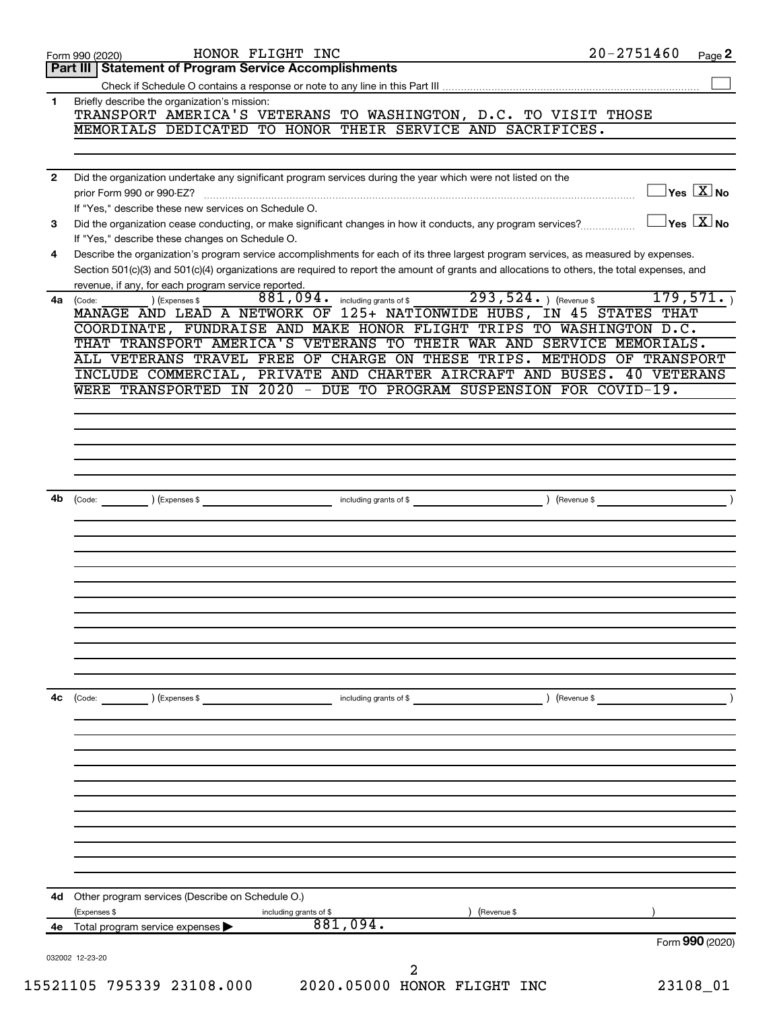|              | HONOR FLIGHT INC<br>Form 990 (2020)                                                                                                                                                                                                                                                  | $20 - 2751460$                          | Page 2 |
|--------------|--------------------------------------------------------------------------------------------------------------------------------------------------------------------------------------------------------------------------------------------------------------------------------------|-----------------------------------------|--------|
|              | Part III   Statement of Program Service Accomplishments                                                                                                                                                                                                                              |                                         |        |
|              |                                                                                                                                                                                                                                                                                      |                                         |        |
| 1            | Briefly describe the organization's mission:<br>TRANSPORT AMERICA'S VETERANS TO WASHINGTON, D.C. TO VISIT THOSE                                                                                                                                                                      |                                         |        |
|              | MEMORIALS DEDICATED TO HONOR THEIR SERVICE AND SACRIFICES.                                                                                                                                                                                                                           |                                         |        |
|              |                                                                                                                                                                                                                                                                                      |                                         |        |
|              | Did the organization undertake any significant program services during the year which were not listed on the                                                                                                                                                                         |                                         |        |
| $\mathbf{2}$ | prior Form 990 or 990-EZ?                                                                                                                                                                                                                                                            | $\Box$ Yes $[\overline{\mathrm{X}}]$ No |        |
|              | If "Yes," describe these new services on Schedule O.                                                                                                                                                                                                                                 |                                         |        |
| 3            | Did the organization cease conducting, or make significant changes in how it conducts, any program services?<br>If "Yes," describe these changes on Schedule O.                                                                                                                      | $\Box$ Yes $[\overline{\mathrm{X}}]$ No |        |
| 4            | Describe the organization's program service accomplishments for each of its three largest program services, as measured by expenses.<br>Section 501(c)(3) and 501(c)(4) organizations are required to report the amount of grants and allocations to others, the total expenses, and |                                         |        |
| 4a           | revenue, if any, for each program service reported.<br>881, 094. including grants of \$293, 524. ) (Revenue \$<br>) (Expenses \$<br>(Code:                                                                                                                                           | 179,571.                                |        |
|              | MANAGE AND LEAD A NETWORK OF 125+ NATIONWIDE HUBS, IN 45 STATES THAT<br>COORDINATE, FUNDRAISE AND MAKE HONOR FLIGHT TRIPS TO WASHINGTON D.C.                                                                                                                                         |                                         |        |
|              | THAT TRANSPORT AMERICA'S VETERANS TO THEIR WAR AND SERVICE MEMORIALS.                                                                                                                                                                                                                |                                         |        |
|              | ALL VETERANS TRAVEL FREE OF CHARGE ON THESE TRIPS. METHODS OF TRANSPORT                                                                                                                                                                                                              |                                         |        |
|              | INCLUDE COMMERCIAL, PRIVATE AND CHARTER AIRCRAFT AND BUSES. 40 VETERANS                                                                                                                                                                                                              |                                         |        |
|              | WERE TRANSPORTED IN 2020 - DUE TO PROGRAM SUSPENSION FOR COVID-19.                                                                                                                                                                                                                   |                                         |        |
|              |                                                                                                                                                                                                                                                                                      |                                         |        |
|              |                                                                                                                                                                                                                                                                                      |                                         |        |
|              |                                                                                                                                                                                                                                                                                      |                                         |        |
|              |                                                                                                                                                                                                                                                                                      |                                         |        |
|              |                                                                                                                                                                                                                                                                                      |                                         |        |
| 4b           |                                                                                                                                                                                                                                                                                      |                                         |        |
|              |                                                                                                                                                                                                                                                                                      |                                         |        |
|              |                                                                                                                                                                                                                                                                                      |                                         |        |
|              |                                                                                                                                                                                                                                                                                      |                                         |        |
|              |                                                                                                                                                                                                                                                                                      |                                         |        |
|              |                                                                                                                                                                                                                                                                                      |                                         |        |
|              |                                                                                                                                                                                                                                                                                      |                                         |        |
|              |                                                                                                                                                                                                                                                                                      |                                         |        |
|              |                                                                                                                                                                                                                                                                                      |                                         |        |
|              |                                                                                                                                                                                                                                                                                      |                                         |        |
|              |                                                                                                                                                                                                                                                                                      |                                         |        |
| 4с           | (Code:<br>) (Expenses \$<br>including grants of \$<br>) (Revenue \$                                                                                                                                                                                                                  |                                         |        |
|              |                                                                                                                                                                                                                                                                                      |                                         |        |
|              |                                                                                                                                                                                                                                                                                      |                                         |        |
|              |                                                                                                                                                                                                                                                                                      |                                         |        |
|              |                                                                                                                                                                                                                                                                                      |                                         |        |
|              |                                                                                                                                                                                                                                                                                      |                                         |        |
|              |                                                                                                                                                                                                                                                                                      |                                         |        |
|              |                                                                                                                                                                                                                                                                                      |                                         |        |
|              |                                                                                                                                                                                                                                                                                      |                                         |        |
|              |                                                                                                                                                                                                                                                                                      |                                         |        |
|              |                                                                                                                                                                                                                                                                                      |                                         |        |
| 4d           | Other program services (Describe on Schedule O.)                                                                                                                                                                                                                                     |                                         |        |
|              | (Expenses \$<br>(Revenue \$<br>including grants of \$                                                                                                                                                                                                                                |                                         |        |
|              | 881,094.<br>4e Total program service expenses                                                                                                                                                                                                                                        |                                         |        |
|              |                                                                                                                                                                                                                                                                                      | Form 990 (2020)                         |        |
|              | 032002 12-23-20                                                                                                                                                                                                                                                                      |                                         |        |
|              | 15521105 795339 23108.000  2020.05000 HONOR FLIGHT INC                                                                                                                                                                                                                               | 23108_01                                |        |
|              |                                                                                                                                                                                                                                                                                      |                                         |        |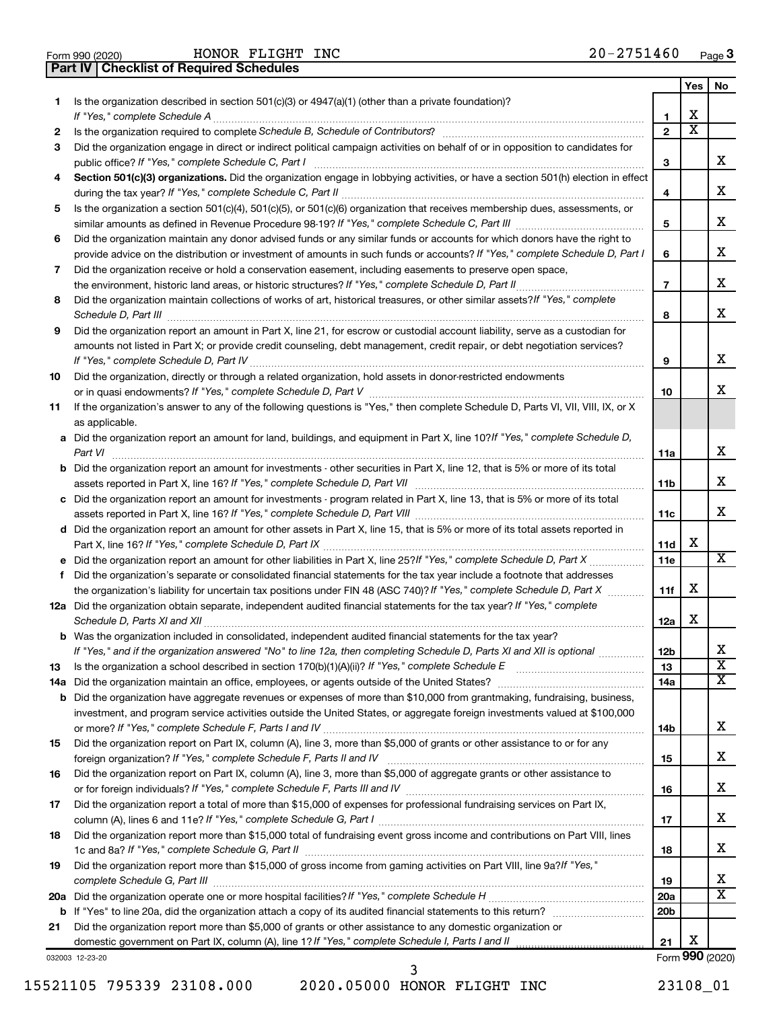|  | Form 990 (2020) |
|--|-----------------|

**Part IV Checklist of Required Schedules**

|     |                                                                                                                                       |                 | Yes                     | No                      |
|-----|---------------------------------------------------------------------------------------------------------------------------------------|-----------------|-------------------------|-------------------------|
| 1.  | Is the organization described in section 501(c)(3) or 4947(a)(1) (other than a private foundation)?                                   |                 |                         |                         |
|     | If "Yes," complete Schedule A                                                                                                         | 1               | х                       |                         |
| 2   |                                                                                                                                       | $\mathbf{2}$    | $\overline{\textbf{x}}$ |                         |
| 3   | Did the organization engage in direct or indirect political campaign activities on behalf of or in opposition to candidates for       |                 |                         |                         |
|     |                                                                                                                                       | 3               |                         | x                       |
| 4   | Section 501(c)(3) organizations. Did the organization engage in lobbying activities, or have a section 501(h) election in effect      |                 |                         | x                       |
|     |                                                                                                                                       | 4               |                         |                         |
| 5   | Is the organization a section 501(c)(4), 501(c)(5), or 501(c)(6) organization that receives membership dues, assessments, or          | 5               |                         | х                       |
| 6   | Did the organization maintain any donor advised funds or any similar funds or accounts for which donors have the right to             |                 |                         |                         |
|     | provide advice on the distribution or investment of amounts in such funds or accounts? If "Yes," complete Schedule D, Part I          | 6               |                         | х                       |
| 7   | Did the organization receive or hold a conservation easement, including easements to preserve open space,                             |                 |                         |                         |
|     |                                                                                                                                       | $\overline{7}$  |                         | х                       |
| 8   | Did the organization maintain collections of works of art, historical treasures, or other similar assets? If "Yes," complete          |                 |                         |                         |
|     |                                                                                                                                       | 8               |                         | х                       |
| 9   | Did the organization report an amount in Part X, line 21, for escrow or custodial account liability, serve as a custodian for         |                 |                         |                         |
|     | amounts not listed in Part X; or provide credit counseling, debt management, credit repair, or debt negotiation services?             |                 |                         |                         |
|     |                                                                                                                                       | 9               |                         | х                       |
| 10  | Did the organization, directly or through a related organization, hold assets in donor-restricted endowments                          |                 |                         |                         |
|     |                                                                                                                                       | 10              |                         | x                       |
| 11  | If the organization's answer to any of the following questions is "Yes," then complete Schedule D, Parts VI, VIII, VIII, IX, or X     |                 |                         |                         |
|     | as applicable.                                                                                                                        |                 |                         |                         |
|     | a Did the organization report an amount for land, buildings, and equipment in Part X, line 10? If "Yes," complete Schedule D,         |                 |                         |                         |
|     |                                                                                                                                       | 11a             |                         | х                       |
|     | <b>b</b> Did the organization report an amount for investments - other securities in Part X, line 12, that is 5% or more of its total |                 |                         |                         |
|     |                                                                                                                                       | 11b             |                         | х                       |
|     | c Did the organization report an amount for investments - program related in Part X, line 13, that is 5% or more of its total         |                 |                         | x                       |
|     |                                                                                                                                       | 11c             |                         |                         |
|     | d Did the organization report an amount for other assets in Part X, line 15, that is 5% or more of its total assets reported in       |                 | x                       |                         |
|     |                                                                                                                                       | 11d<br>11e      |                         | $\overline{\mathbf{x}}$ |
| f   | Did the organization's separate or consolidated financial statements for the tax year include a footnote that addresses               |                 |                         |                         |
|     | the organization's liability for uncertain tax positions under FIN 48 (ASC 740)? If "Yes," complete Schedule D, Part X                | 11f             | х                       |                         |
|     | 12a Did the organization obtain separate, independent audited financial statements for the tax year? If "Yes," complete               |                 |                         |                         |
|     |                                                                                                                                       | 12a             | х                       |                         |
|     | <b>b</b> Was the organization included in consolidated, independent audited financial statements for the tax year?                    |                 |                         |                         |
|     | If "Yes." and if the organization answered "No" to line 12a, then completing Schedule D. Parts XI and XII is optional                 | 12 <sub>b</sub> |                         | х                       |
| 13  |                                                                                                                                       | 13              |                         | $\overline{\textbf{x}}$ |
| 14a |                                                                                                                                       | 14a             |                         | x                       |
|     | <b>b</b> Did the organization have aggregate revenues or expenses of more than \$10,000 from grantmaking, fundraising, business,      |                 |                         |                         |
|     | investment, and program service activities outside the United States, or aggregate foreign investments valued at \$100,000            |                 |                         |                         |
|     |                                                                                                                                       | 14b             |                         | х                       |
| 15  | Did the organization report on Part IX, column (A), line 3, more than \$5,000 of grants or other assistance to or for any             |                 |                         |                         |
|     |                                                                                                                                       | 15              |                         | x                       |
| 16  | Did the organization report on Part IX, column (A), line 3, more than \$5,000 of aggregate grants or other assistance to              |                 |                         |                         |
|     |                                                                                                                                       | 16              |                         | х                       |
| 17  | Did the organization report a total of more than \$15,000 of expenses for professional fundraising services on Part IX,               |                 |                         |                         |
|     |                                                                                                                                       | 17              |                         | x                       |
| 18  | Did the organization report more than \$15,000 total of fundraising event gross income and contributions on Part VIII, lines          | 18              |                         | х                       |
| 19  | Did the organization report more than \$15,000 of gross income from gaming activities on Part VIII, line 9a?/f "Yes,"                 |                 |                         |                         |
|     |                                                                                                                                       | 19              |                         | х                       |
|     |                                                                                                                                       | 20a             |                         | $\overline{\text{X}}$   |
|     |                                                                                                                                       | 20 <sub>b</sub> |                         |                         |
| 21  | Did the organization report more than \$5,000 of grants or other assistance to any domestic organization or                           |                 |                         |                         |
|     |                                                                                                                                       | 21              | х                       |                         |
|     | 032003 12-23-20                                                                                                                       |                 |                         | Form 990 (2020)         |

15521105 795339 23108.000 2020.05000 HONOR FLIGHT INC 23108\_01 3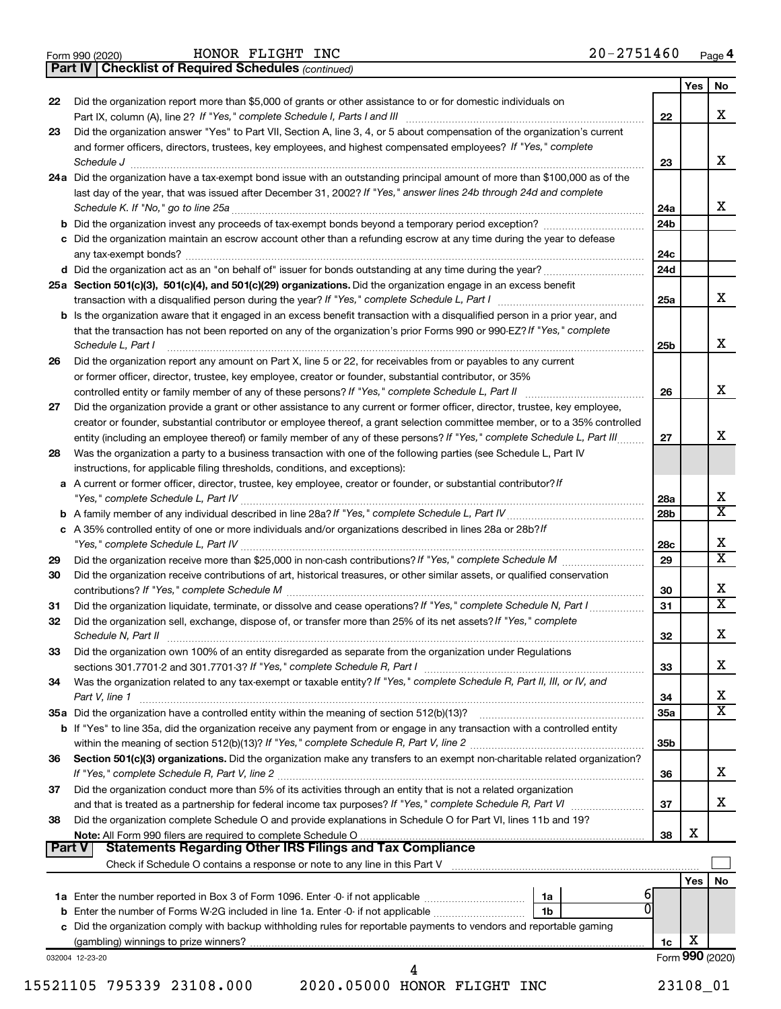|  | Form 990 (2020) |
|--|-----------------|
|  |                 |

*(continued)* **Part IV Checklist of Required Schedules**

|        |                                                                                                                                     |                 | Yes | No                      |
|--------|-------------------------------------------------------------------------------------------------------------------------------------|-----------------|-----|-------------------------|
| 22     | Did the organization report more than \$5,000 of grants or other assistance to or for domestic individuals on                       |                 |     |                         |
|        | Part IX, column (A), line 2? If "Yes," complete Schedule I, Parts I and III                                                         | 22              |     | x                       |
| 23     | Did the organization answer "Yes" to Part VII, Section A, line 3, 4, or 5 about compensation of the organization's current          |                 |     |                         |
|        | and former officers, directors, trustees, key employees, and highest compensated employees? If "Yes," complete                      |                 |     |                         |
|        | Schedule J                                                                                                                          | 23              |     | x                       |
|        | 24a Did the organization have a tax-exempt bond issue with an outstanding principal amount of more than \$100,000 as of the         |                 |     |                         |
|        | last day of the year, that was issued after December 31, 2002? If "Yes," answer lines 24b through 24d and complete                  |                 |     |                         |
|        | Schedule K. If "No," go to line 25a                                                                                                 | 24a             |     | x                       |
|        | <b>b</b> Did the organization invest any proceeds of tax-exempt bonds beyond a temporary period exception?                          | 24 <sub>b</sub> |     |                         |
|        | c Did the organization maintain an escrow account other than a refunding escrow at any time during the year to defease              |                 |     |                         |
|        | any tax-exempt bonds?                                                                                                               | 24c             |     |                         |
|        | d Did the organization act as an "on behalf of" issuer for bonds outstanding at any time during the year?                           | 24 <sub>d</sub> |     |                         |
|        |                                                                                                                                     |                 |     |                         |
|        | 25a Section 501(c)(3), 501(c)(4), and 501(c)(29) organizations. Did the organization engage in an excess benefit                    |                 |     | x                       |
|        | transaction with a disqualified person during the year? If "Yes," complete Schedule L, Part I                                       | 25a             |     |                         |
|        | <b>b</b> Is the organization aware that it engaged in an excess benefit transaction with a disqualified person in a prior year, and |                 |     |                         |
|        | that the transaction has not been reported on any of the organization's prior Forms 990 or 990-EZ? If "Yes," complete               |                 |     |                         |
|        | Schedule L, Part I                                                                                                                  | 25b             |     | x                       |
| 26     | Did the organization report any amount on Part X, line 5 or 22, for receivables from or payables to any current                     |                 |     |                         |
|        | or former officer, director, trustee, key employee, creator or founder, substantial contributor, or 35%                             |                 |     |                         |
|        | controlled entity or family member of any of these persons? If "Yes," complete Schedule L, Part II                                  | 26              |     | x                       |
| 27     | Did the organization provide a grant or other assistance to any current or former officer, director, trustee, key employee,         |                 |     |                         |
|        | creator or founder, substantial contributor or employee thereof, a grant selection committee member, or to a 35% controlled         |                 |     |                         |
|        | entity (including an employee thereof) or family member of any of these persons? If "Yes," complete Schedule L, Part III            | 27              |     | x                       |
| 28     | Was the organization a party to a business transaction with one of the following parties (see Schedule L, Part IV                   |                 |     |                         |
|        | instructions, for applicable filing thresholds, conditions, and exceptions):                                                        |                 |     |                         |
|        | a A current or former officer, director, trustee, key employee, creator or founder, or substantial contributor? If                  |                 |     |                         |
|        | "Yes," complete Schedule L, Part IV                                                                                                 | 28a             |     | х                       |
|        |                                                                                                                                     | 28b             |     | $\overline{\mathtt{x}}$ |
|        | c A 35% controlled entity of one or more individuals and/or organizations described in lines 28a or 28b?If                          |                 |     |                         |
|        |                                                                                                                                     | 28c             |     | х                       |
| 29     |                                                                                                                                     | 29              |     | $\overline{\mathtt{x}}$ |
| 30     | Did the organization receive contributions of art, historical treasures, or other similar assets, or qualified conservation         |                 |     |                         |
|        |                                                                                                                                     | 30              |     | x                       |
| 31     | Did the organization liquidate, terminate, or dissolve and cease operations? If "Yes," complete Schedule N, Part I                  | 31              |     | $\overline{\mathtt{x}}$ |
| 32     | Did the organization sell, exchange, dispose of, or transfer more than 25% of its net assets? If "Yes," complete                    |                 |     |                         |
|        | Schedule N, Part II                                                                                                                 | 32              |     | X                       |
| 33     | Did the organization own 100% of an entity disregarded as separate from the organization under Regulations                          |                 |     |                         |
|        |                                                                                                                                     | 33              |     | х                       |
| 34     | Was the organization related to any tax-exempt or taxable entity? If "Yes," complete Schedule R, Part II, III, or IV, and           |                 |     |                         |
|        | Part V, line 1                                                                                                                      | 34              |     | x                       |
|        |                                                                                                                                     | 35a             |     | $\overline{\mathtt{x}}$ |
|        | <b>b</b> If "Yes" to line 35a, did the organization receive any payment from or engage in any transaction with a controlled entity  |                 |     |                         |
|        |                                                                                                                                     | 35b             |     |                         |
| 36     | Section 501(c)(3) organizations. Did the organization make any transfers to an exempt non-charitable related organization?          |                 |     |                         |
|        |                                                                                                                                     | 36              |     | x                       |
|        | Did the organization conduct more than 5% of its activities through an entity that is not a related organization                    |                 |     |                         |
| 37     |                                                                                                                                     |                 |     | x                       |
|        | and that is treated as a partnership for federal income tax purposes? If "Yes," complete Schedule R, Part VI                        | 37              |     |                         |
| 38     | Did the organization complete Schedule O and provide explanations in Schedule O for Part VI, lines 11b and 19?                      |                 | х   |                         |
| Part V | Statements Regarding Other IRS Filings and Tax Compliance                                                                           | 38              |     |                         |
|        |                                                                                                                                     |                 |     |                         |
|        |                                                                                                                                     |                 |     |                         |
|        |                                                                                                                                     |                 | Yes | No                      |
|        | 1a<br>$\Omega$<br>b Enter the number of Forms W-2G included in line 1a. Enter -0- if not applicable<br>1 <sub>b</sub>               |                 |     |                         |
|        |                                                                                                                                     |                 |     |                         |
|        | c Did the organization comply with backup withholding rules for reportable payments to vendors and reportable gaming                |                 | х   |                         |
|        |                                                                                                                                     | 1c              |     | Form 990 (2020)         |
|        | 032004 12-23-20<br>4                                                                                                                |                 |     |                         |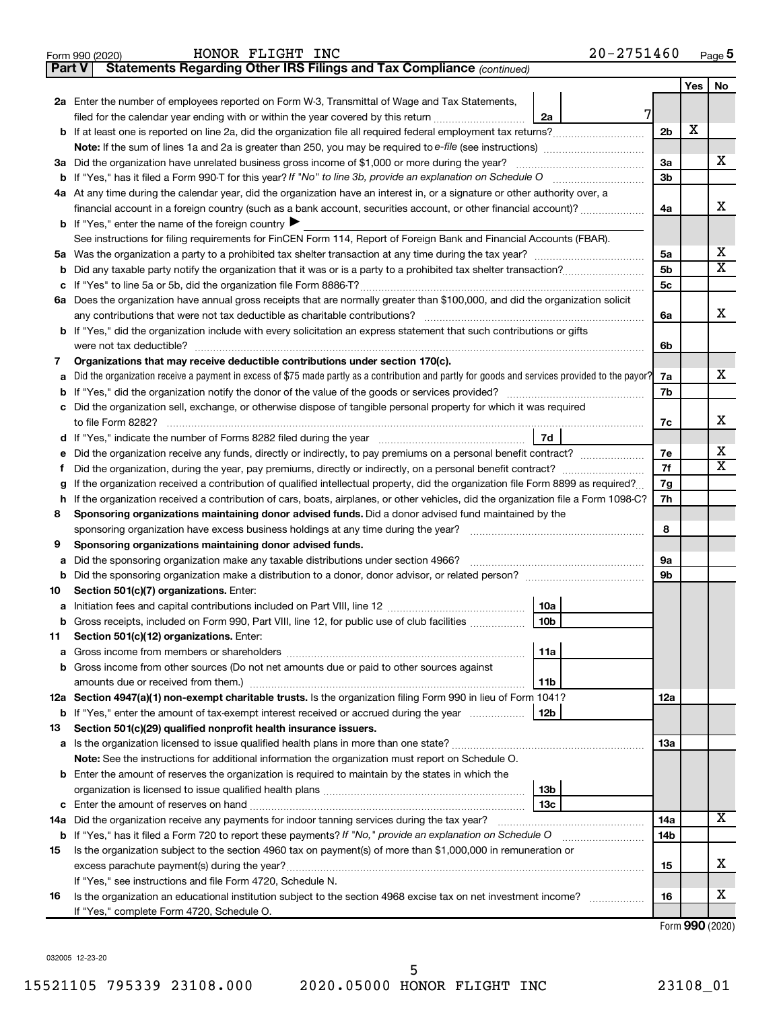|                                                                                                             | $20 - 2751460$<br>HONOR FLIGHT INC<br>Form 990 (2020)                                                                                                                                                          |          |            | Page 5                  |  |  |  |
|-------------------------------------------------------------------------------------------------------------|----------------------------------------------------------------------------------------------------------------------------------------------------------------------------------------------------------------|----------|------------|-------------------------|--|--|--|
| ∣ Part V                                                                                                    | Statements Regarding Other IRS Filings and Tax Compliance (continued)                                                                                                                                          |          |            |                         |  |  |  |
|                                                                                                             |                                                                                                                                                                                                                |          | <b>Yes</b> | No                      |  |  |  |
|                                                                                                             | 2a Enter the number of employees reported on Form W-3, Transmittal of Wage and Tax Statements,                                                                                                                 |          |            |                         |  |  |  |
|                                                                                                             | filed for the calendar year ending with or within the year covered by this return <i>[[[[[[[[[[[[[]]]</i> ]]<br>2a                                                                                             |          | х          |                         |  |  |  |
|                                                                                                             |                                                                                                                                                                                                                |          |            |                         |  |  |  |
|                                                                                                             |                                                                                                                                                                                                                |          |            |                         |  |  |  |
|                                                                                                             | 3a Did the organization have unrelated business gross income of \$1,000 or more during the year?                                                                                                               |          |            |                         |  |  |  |
|                                                                                                             | <b>b</b> If "Yes," has it filed a Form 990-T for this year? If "No" to line 3b, provide an explanation on Schedule O                                                                                           | 3b       |            |                         |  |  |  |
|                                                                                                             | 4a At any time during the calendar year, did the organization have an interest in, or a signature or other authority over, a                                                                                   |          |            |                         |  |  |  |
|                                                                                                             | financial account in a foreign country (such as a bank account, securities account, or other financial account)?                                                                                               | 4a       |            | х                       |  |  |  |
|                                                                                                             | <b>b</b> If "Yes," enter the name of the foreign country $\blacktriangleright$                                                                                                                                 |          |            |                         |  |  |  |
|                                                                                                             | See instructions for filing requirements for FinCEN Form 114, Report of Foreign Bank and Financial Accounts (FBAR).                                                                                            |          |            |                         |  |  |  |
|                                                                                                             |                                                                                                                                                                                                                | 5a       |            | х                       |  |  |  |
| b                                                                                                           |                                                                                                                                                                                                                | 5b       |            | $\overline{\mathtt{x}}$ |  |  |  |
| с                                                                                                           |                                                                                                                                                                                                                | 5c       |            |                         |  |  |  |
|                                                                                                             | 6a Does the organization have annual gross receipts that are normally greater than \$100,000, and did the organization solicit                                                                                 |          |            |                         |  |  |  |
|                                                                                                             | any contributions that were not tax deductible as charitable contributions?                                                                                                                                    | 6a       |            | x                       |  |  |  |
|                                                                                                             | <b>b</b> If "Yes," did the organization include with every solicitation an express statement that such contributions or gifts                                                                                  |          |            |                         |  |  |  |
|                                                                                                             |                                                                                                                                                                                                                | 6b       |            |                         |  |  |  |
| 7                                                                                                           | Organizations that may receive deductible contributions under section 170(c).                                                                                                                                  |          |            |                         |  |  |  |
| a                                                                                                           | Did the organization receive a payment in excess of \$75 made partly as a contribution and partly for goods and services provided to the payor?                                                                | 7a       |            | х                       |  |  |  |
| b                                                                                                           |                                                                                                                                                                                                                | 7b       |            |                         |  |  |  |
| c                                                                                                           | Did the organization sell, exchange, or otherwise dispose of tangible personal property for which it was required                                                                                              |          |            |                         |  |  |  |
|                                                                                                             | to file Form 8282?                                                                                                                                                                                             | 7c       |            | x                       |  |  |  |
|                                                                                                             | 7d                                                                                                                                                                                                             |          |            |                         |  |  |  |
| е                                                                                                           | Did the organization receive any funds, directly or indirectly, to pay premiums on a personal benefit contract?                                                                                                | 7e<br>7f |            | х<br>$\overline{X}$     |  |  |  |
| Ť                                                                                                           | Did the organization, during the year, pay premiums, directly or indirectly, on a personal benefit contract?                                                                                                   |          |            |                         |  |  |  |
| g                                                                                                           | If the organization received a contribution of qualified intellectual property, did the organization file Form 8899 as required?                                                                               |          |            |                         |  |  |  |
| h                                                                                                           | If the organization received a contribution of cars, boats, airplanes, or other vehicles, did the organization file a Form 1098-C?                                                                             |          |            |                         |  |  |  |
|                                                                                                             | Sponsoring organizations maintaining donor advised funds. Did a donor advised fund maintained by the<br>8                                                                                                      |          |            |                         |  |  |  |
|                                                                                                             | sponsoring organization have excess business holdings at any time during the year?                                                                                                                             | 8        |            |                         |  |  |  |
| 9                                                                                                           | Sponsoring organizations maintaining donor advised funds.                                                                                                                                                      |          |            |                         |  |  |  |
| a                                                                                                           | Did the sponsoring organization make any taxable distributions under section 4966?                                                                                                                             | 9а       |            |                         |  |  |  |
| b                                                                                                           |                                                                                                                                                                                                                | 9b       |            |                         |  |  |  |
| 10                                                                                                          | Section 501(c)(7) organizations. Enter:                                                                                                                                                                        |          |            |                         |  |  |  |
| а                                                                                                           | Initiation fees and capital contributions included on Part VIII, line 12 manual content contents on the late<br>10a                                                                                            |          |            |                         |  |  |  |
| b                                                                                                           | Gross receipts, included on Form 990, Part VIII, line 12, for public use of club facilities<br>10 <sub>b</sub>                                                                                                 |          |            |                         |  |  |  |
| 11                                                                                                          | Section 501(c)(12) organizations. Enter:                                                                                                                                                                       |          |            |                         |  |  |  |
| а                                                                                                           | 11a                                                                                                                                                                                                            |          |            |                         |  |  |  |
| b                                                                                                           | Gross income from other sources (Do not net amounts due or paid to other sources against                                                                                                                       |          |            |                         |  |  |  |
|                                                                                                             | 11b                                                                                                                                                                                                            |          |            |                         |  |  |  |
|                                                                                                             | 12a Section 4947(a)(1) non-exempt charitable trusts. Is the organization filing Form 990 in lieu of Form 1041?                                                                                                 | 12a      |            |                         |  |  |  |
|                                                                                                             | <b>b</b> If "Yes," enter the amount of tax-exempt interest received or accrued during the year<br>12b                                                                                                          |          |            |                         |  |  |  |
| 13                                                                                                          | Section 501(c)(29) qualified nonprofit health insurance issuers.                                                                                                                                               | 13a      |            |                         |  |  |  |
|                                                                                                             |                                                                                                                                                                                                                |          |            |                         |  |  |  |
|                                                                                                             | Note: See the instructions for additional information the organization must report on Schedule O.<br><b>b</b> Enter the amount of reserves the organization is required to maintain by the states in which the |          |            |                         |  |  |  |
|                                                                                                             | 13 <sub>b</sub>                                                                                                                                                                                                |          |            |                         |  |  |  |
|                                                                                                             | 13с                                                                                                                                                                                                            |          |            |                         |  |  |  |
| с                                                                                                           | Did the organization receive any payments for indoor tanning services during the tax year?                                                                                                                     | 14a      |            | Χ                       |  |  |  |
| 14a                                                                                                         |                                                                                                                                                                                                                | 14b      |            |                         |  |  |  |
| b If "Yes," has it filed a Form 720 to report these payments? If "No," provide an explanation on Schedule O |                                                                                                                                                                                                                |          |            |                         |  |  |  |
| 15                                                                                                          | Is the organization subject to the section 4960 tax on payment(s) of more than \$1,000,000 in remuneration or                                                                                                  | 15       |            | х                       |  |  |  |
|                                                                                                             | If "Yes," see instructions and file Form 4720, Schedule N.                                                                                                                                                     |          |            |                         |  |  |  |
| 16                                                                                                          | Is the organization an educational institution subject to the section 4968 excise tax on net investment income?                                                                                                | 16       |            | х                       |  |  |  |
|                                                                                                             | If "Yes," complete Form 4720, Schedule O.                                                                                                                                                                      |          |            |                         |  |  |  |
|                                                                                                             |                                                                                                                                                                                                                |          |            |                         |  |  |  |

Form (2020) **990**

032005 12-23-20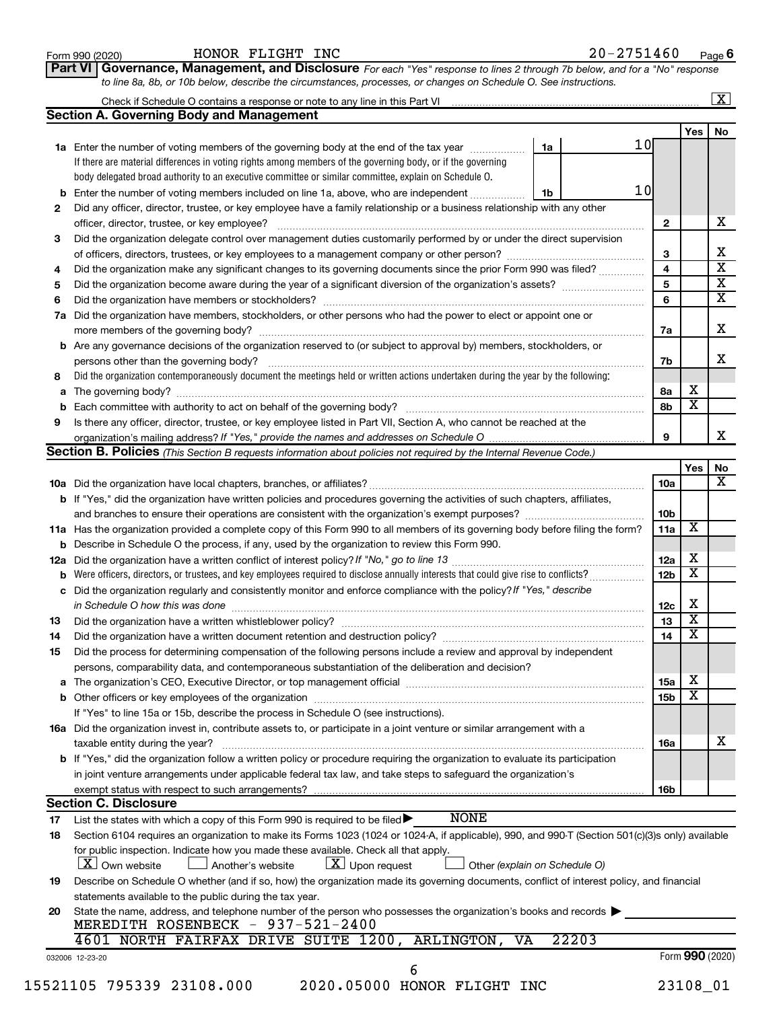| Form 990 (2020) |  |
|-----------------|--|
|-----------------|--|

**Part VI** Governance, Management, and Disclosure For each "Yes" response to lines 2 through 7b below, and for a "No" response *to line 8a, 8b, or 10b below, describe the circumstances, processes, or changes on Schedule O. See instructions.*

|     | Check if Schedule O contains a response or note to any line in this Part VI [11] [12] Check if Schedule O contains a response or note to any line in this Part VI |                        |    |       |                 |                         | $\mathbf{X}$            |
|-----|-------------------------------------------------------------------------------------------------------------------------------------------------------------------|------------------------|----|-------|-----------------|-------------------------|-------------------------|
|     | <b>Section A. Governing Body and Management</b>                                                                                                                   |                        |    |       |                 |                         |                         |
|     |                                                                                                                                                                   |                        |    |       |                 | Yes                     | No                      |
|     | 1a Enter the number of voting members of the governing body at the end of the tax year                                                                            |                        | 1a |       | 10 <sub>l</sub> |                         |                         |
|     | If there are material differences in voting rights among members of the governing body, or if the governing                                                       |                        |    |       |                 |                         |                         |
|     | body delegated broad authority to an executive committee or similar committee, explain on Schedule O.                                                             |                        |    |       |                 |                         |                         |
| b   | Enter the number of voting members included on line 1a, above, who are independent                                                                                |                        | 1b | 10    |                 |                         |                         |
| 2   | Did any officer, director, trustee, or key employee have a family relationship or a business relationship with any other                                          |                        |    |       |                 |                         |                         |
|     | officer, director, trustee, or key employee?                                                                                                                      |                        |    |       | 2               |                         | x                       |
| 3   | Did the organization delegate control over management duties customarily performed by or under the direct supervision                                             |                        |    |       |                 |                         |                         |
|     |                                                                                                                                                                   |                        |    |       | 3               |                         | х                       |
| 4   | Did the organization make any significant changes to its governing documents since the prior Form 990 was filed?                                                  |                        |    |       | 4               |                         | $\overline{\mathtt{x}}$ |
| 5   |                                                                                                                                                                   |                        |    |       | 5               |                         | $\overline{\textbf{X}}$ |
| 6   |                                                                                                                                                                   |                        |    |       | 6               |                         | $\overline{\textbf{x}}$ |
| 7a  | Did the organization have members, stockholders, or other persons who had the power to elect or appoint one or                                                    |                        |    |       |                 |                         |                         |
|     |                                                                                                                                                                   |                        |    |       | 7a              |                         | X                       |
|     |                                                                                                                                                                   |                        |    |       |                 |                         |                         |
| b   | Are any governance decisions of the organization reserved to (or subject to approval by) members, stockholders, or                                                |                        |    |       |                 |                         |                         |
|     | persons other than the governing body?                                                                                                                            |                        |    |       | 7b              |                         | x                       |
| 8   | Did the organization contemporaneously document the meetings held or written actions undertaken during the year by the following:                                 |                        |    |       |                 |                         |                         |
| a   |                                                                                                                                                                   |                        |    |       | 8а              | х                       |                         |
| b   |                                                                                                                                                                   |                        |    |       | 8b              | $\overline{\textbf{x}}$ |                         |
| 9   | Is there any officer, director, trustee, or key employee listed in Part VII, Section A, who cannot be reached at the                                              |                        |    |       |                 |                         | x                       |
|     |                                                                                                                                                                   |                        |    |       | 9               |                         |                         |
|     | <b>Section B. Policies</b> (This Section B requests information about policies not required by the Internal Revenue Code.)                                        |                        |    |       |                 |                         |                         |
|     |                                                                                                                                                                   |                        |    |       |                 | Yes                     | No                      |
|     |                                                                                                                                                                   |                        |    |       | 10a             |                         |                         |
|     | <b>b</b> If "Yes," did the organization have written policies and procedures governing the activities of such chapters, affiliates,                               |                        |    |       |                 |                         |                         |
|     |                                                                                                                                                                   |                        |    |       | 10 <sub>b</sub> |                         |                         |
|     | 11a Has the organization provided a complete copy of this Form 990 to all members of its governing body before filing the form?                                   |                        |    |       | 11a             | X                       |                         |
|     | <b>b</b> Describe in Schedule O the process, if any, used by the organization to review this Form 990.                                                            |                        |    |       |                 |                         |                         |
| 12a |                                                                                                                                                                   |                        |    |       | 12a             | х                       |                         |
| b   | Were officers, directors, or trustees, and key employees required to disclose annually interests that could give rise to conflicts?                               |                        |    |       | 12 <sub>b</sub> | $\overline{\textbf{x}}$ |                         |
| с   | Did the organization regularly and consistently monitor and enforce compliance with the policy? If "Yes," describe                                                |                        |    |       |                 |                         |                         |
|     |                                                                                                                                                                   |                        |    |       | 12c             | х                       |                         |
| 13  |                                                                                                                                                                   |                        |    |       | 13              | $\overline{\textbf{x}}$ |                         |
| 14  | Did the organization have a written document retention and destruction policy? [11] manufaction manufaction in                                                    |                        |    |       | 14              | $\overline{\textbf{x}}$ |                         |
| 15  | Did the process for determining compensation of the following persons include a review and approval by independent                                                |                        |    |       |                 |                         |                         |
|     | persons, comparability data, and contemporaneous substantiation of the deliberation and decision?                                                                 |                        |    |       |                 |                         |                         |
| а   |                                                                                                                                                                   |                        |    |       | <b>15a</b>      | X                       |                         |
|     |                                                                                                                                                                   |                        |    |       | 15b             | $\overline{\text{X}}$   |                         |
|     |                                                                                                                                                                   |                        |    |       |                 |                         |                         |
|     | If "Yes" to line 15a or 15b, describe the process in Schedule O (see instructions).                                                                               |                        |    |       |                 |                         |                         |
|     | 16a Did the organization invest in, contribute assets to, or participate in a joint venture or similar arrangement with a                                         |                        |    |       |                 |                         | X                       |
|     | taxable entity during the year?                                                                                                                                   |                        |    |       | 16a             |                         |                         |
|     | b If "Yes," did the organization follow a written policy or procedure requiring the organization to evaluate its participation                                    |                        |    |       |                 |                         |                         |
|     | in joint venture arrangements under applicable federal tax law, and take steps to safeguard the organization's                                                    |                        |    |       |                 |                         |                         |
|     | exempt status with respect to such arrangements?                                                                                                                  |                        |    |       | 16b             |                         |                         |
|     | <b>Section C. Disclosure</b>                                                                                                                                      |                        |    |       |                 |                         |                         |
| 17  | <b>NONE</b><br>List the states with which a copy of this Form 990 is required to be filed $\blacktriangleright$                                                   |                        |    |       |                 |                         |                         |
| 18  | Section 6104 requires an organization to make its Forms 1023 (1024 or 1024-A, if applicable), 990, and 990-T (Section 501(c)(3)s only) available                  |                        |    |       |                 |                         |                         |
|     | for public inspection. Indicate how you made these available. Check all that apply.                                                                               |                        |    |       |                 |                         |                         |
|     | $\lfloor x \rfloor$ Upon request<br><b>X</b> Own website<br>Another's website<br>Other (explain on Schedule O)                                                    |                        |    |       |                 |                         |                         |
| 19  | Describe on Schedule O whether (and if so, how) the organization made its governing documents, conflict of interest policy, and financial                         |                        |    |       |                 |                         |                         |
|     | statements available to the public during the tax year.                                                                                                           |                        |    |       |                 |                         |                         |
| 20  | State the name, address, and telephone number of the person who possesses the organization's books and records                                                    |                        |    |       |                 |                         |                         |
|     | MEREDITH ROSENBECK - 937-521-2400                                                                                                                                 |                        |    |       |                 |                         |                         |
|     | 4601 NORTH FAIRFAX DRIVE SUITE 1200, ARLINGTON,                                                                                                                   | $\overline{\text{VA}}$ |    | 22203 |                 |                         |                         |
|     | 032006 12-23-20                                                                                                                                                   |                        |    |       |                 | Form 990 (2020)         |                         |
|     | 6                                                                                                                                                                 |                        |    |       |                 |                         |                         |
|     | 15521105 795339 23108.000<br>2020.05000 HONOR FLIGHT INC                                                                                                          |                        |    |       |                 | 23108_01                |                         |
|     |                                                                                                                                                                   |                        |    |       |                 |                         |                         |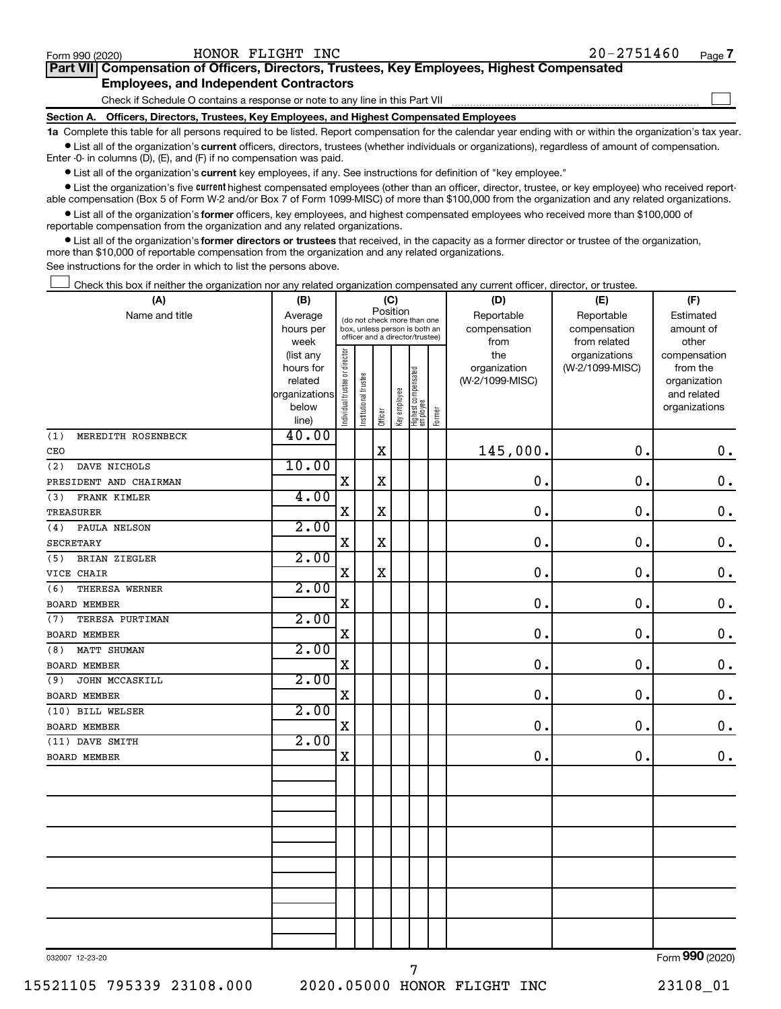| Form 990 (2020)                                                                            | HONOR FLIGHT INC                                                                                                                             | $20 - 2751460$ | Page 7 |  |  |  |  |  |
|--------------------------------------------------------------------------------------------|----------------------------------------------------------------------------------------------------------------------------------------------|----------------|--------|--|--|--|--|--|
| Part VII Compensation of Officers, Directors, Trustees, Key Employees, Highest Compensated |                                                                                                                                              |                |        |  |  |  |  |  |
| <b>Employees, and Independent Contractors</b>                                              |                                                                                                                                              |                |        |  |  |  |  |  |
|                                                                                            | Check if Schedule O contains a response or note to any line in this Part VII                                                                 |                |        |  |  |  |  |  |
|                                                                                            | Section A. Officers, Directors, Trustees, Key Employees, and Highest Compensated Employees                                                   |                |        |  |  |  |  |  |
|                                                                                            | de Acocaldia ible ichi for di concernenta da in bella a Bacada concernator foribe calculare della credita di concernenta di conceleri anno c |                |        |  |  |  |  |  |

**1a**  Complete this table for all persons required to be listed. Report compensation for the calendar year ending with or within the organization's tax year.  $\bullet$  List all of the organization's current officers, directors, trustees (whether individuals or organizations), regardless of amount of compensation.

Enter -0- in columns (D), (E), and (F) if no compensation was paid.

**•** List all of the organization's **current** key employees, if any. See instructions for definition of "key employee."

**Examber 1** List the organization's five *current* highest compensated employees (other than an officer, director, trustee, or key employee) who received reportable compensation (Box 5 of Form W-2 and/or Box 7 of Form 1099-MISC) of more than \$100,000 from the organization and any related organizations.

 $\bullet$  List all of the organization's former officers, key employees, and highest compensated employees who received more than \$100,000 of reportable compensation from the organization and any related organizations.

**•** List all of the organization's former directors or trustees that received, in the capacity as a former director or trustee of the organization, more than \$10,000 of reportable compensation from the organization and any related organizations.

See instructions for the order in which to list the persons above.

Check this box if neither the organization nor any related organization compensated any current officer, director, or trustee.  $\begin{array}{c} \hline \end{array}$ 

| (A)                       | (B)                  | (C)                           |                                                                  |                         |              |                                 |        | (D)                             | (E)             | (F)                      |
|---------------------------|----------------------|-------------------------------|------------------------------------------------------------------|-------------------------|--------------|---------------------------------|--------|---------------------------------|-----------------|--------------------------|
| Name and title            | Average              |                               | (do not check more than one                                      | Position                |              |                                 |        | Reportable                      | Reportable      | Estimated                |
|                           | hours per            |                               | box, unless person is both an<br>officer and a director/trustee) |                         |              |                                 |        | compensation                    | compensation    | amount of                |
|                           | week                 |                               |                                                                  |                         |              |                                 |        | from                            | from related    | other                    |
|                           | (list any            |                               |                                                                  |                         |              |                                 |        | the                             | organizations   | compensation             |
|                           | hours for<br>related |                               |                                                                  |                         |              |                                 |        | organization<br>(W-2/1099-MISC) | (W-2/1099-MISC) | from the<br>organization |
|                           | organizations        |                               |                                                                  |                         |              |                                 |        |                                 |                 | and related              |
|                           | below                |                               |                                                                  |                         |              |                                 |        |                                 |                 | organizations            |
|                           | line)                | ndividual trustee or director | Institutional trustee                                            | Officer                 | Key employee | Highest compensated<br>employee | Former |                                 |                 |                          |
| MEREDITH ROSENBECK<br>(1) | 40.00                |                               |                                                                  |                         |              |                                 |        |                                 |                 |                          |
| CEO                       |                      |                               |                                                                  | $\mathbf X$             |              |                                 |        | 145,000.                        | 0.              | $\mathbf 0$ .            |
| DAVE NICHOLS<br>(2)       | 10.00                |                               |                                                                  |                         |              |                                 |        |                                 |                 |                          |
| PRESIDENT AND CHAIRMAN    |                      | $\mathbf X$                   |                                                                  | $\overline{\mathbf{X}}$ |              |                                 |        | $\mathbf 0$ .                   | $\mathbf 0$ .   | $\mathbf 0$ .            |
| FRANK KIMLER<br>(3)       | 4.00                 |                               |                                                                  |                         |              |                                 |        |                                 |                 |                          |
| <b>TREASURER</b>          |                      | $\mathbf X$                   |                                                                  | $\mathbf X$             |              |                                 |        | 0.                              | $\mathbf 0$ .   | $\boldsymbol{0}$ .       |
| PAULA NELSON<br>(4)       | 2.00                 |                               |                                                                  |                         |              |                                 |        |                                 |                 |                          |
| <b>SECRETARY</b>          |                      | $\mathbf x$                   |                                                                  | $\mathbf X$             |              |                                 |        | 0.                              | 0.              | $\mathbf 0$ .            |
| BRIAN ZIEGLER<br>(5)      | 2.00                 |                               |                                                                  |                         |              |                                 |        |                                 |                 |                          |
| VICE CHAIR                |                      | X                             |                                                                  | $\mathbf X$             |              |                                 |        | $\mathbf 0$ .                   | 0.              | $\boldsymbol{0}$ .       |
| (6)<br>THERESA WERNER     | 2.00                 |                               |                                                                  |                         |              |                                 |        |                                 |                 |                          |
| BOARD MEMBER              |                      | X                             |                                                                  |                         |              |                                 |        | $\mathbf 0$                     | $\mathbf 0$     | $\mathbf 0$ .            |
| TERESA PURTIMAN<br>(7)    | 2.00                 |                               |                                                                  |                         |              |                                 |        |                                 |                 |                          |
| <b>BOARD MEMBER</b>       |                      | X                             |                                                                  |                         |              |                                 |        | 0.                              | $\mathbf 0$     | $\mathbf 0$ .            |
| (8)<br><b>MATT SHUMAN</b> | 2.00                 |                               |                                                                  |                         |              |                                 |        |                                 |                 |                          |
| BOARD MEMBER              |                      | X                             |                                                                  |                         |              |                                 |        | $\mathbf 0$ .                   | $\mathbf 0$ .   | $\mathbf 0$ .            |
| JOHN MCCASKILL<br>(9)     | 2.00                 |                               |                                                                  |                         |              |                                 |        |                                 |                 |                          |
| <b>BOARD MEMBER</b>       |                      | X                             |                                                                  |                         |              |                                 |        | 0                               | $\mathbf 0$ .   | $0$ .                    |
| (10) BILL WELSER          | 2.00                 |                               |                                                                  |                         |              |                                 |        |                                 |                 |                          |
| <b>BOARD MEMBER</b>       |                      | $\mathbf X$                   |                                                                  |                         |              |                                 |        | $\mathbf 0$ .                   | 0.              | $\mathbf 0$ .            |
| (11) DAVE SMITH           | 2.00                 |                               |                                                                  |                         |              |                                 |        |                                 |                 |                          |
| <b>BOARD MEMBER</b>       |                      | $\mathbf X$                   |                                                                  |                         |              |                                 |        | $\mathbf 0$ .                   | 0.              | $0$ .                    |
|                           |                      |                               |                                                                  |                         |              |                                 |        |                                 |                 |                          |
|                           |                      |                               |                                                                  |                         |              |                                 |        |                                 |                 |                          |
|                           |                      |                               |                                                                  |                         |              |                                 |        |                                 |                 |                          |
|                           |                      |                               |                                                                  |                         |              |                                 |        |                                 |                 |                          |
|                           |                      |                               |                                                                  |                         |              |                                 |        |                                 |                 |                          |
|                           |                      |                               |                                                                  |                         |              |                                 |        |                                 |                 |                          |
|                           |                      |                               |                                                                  |                         |              |                                 |        |                                 |                 |                          |
|                           |                      |                               |                                                                  |                         |              |                                 |        |                                 |                 |                          |
|                           |                      |                               |                                                                  |                         |              |                                 |        |                                 |                 |                          |
|                           |                      |                               |                                                                  |                         |              |                                 |        |                                 |                 |                          |
|                           |                      |                               |                                                                  |                         |              |                                 |        |                                 |                 |                          |
|                           |                      |                               |                                                                  |                         |              |                                 |        |                                 |                 |                          |

032007 12-23-20

Form (2020) **990**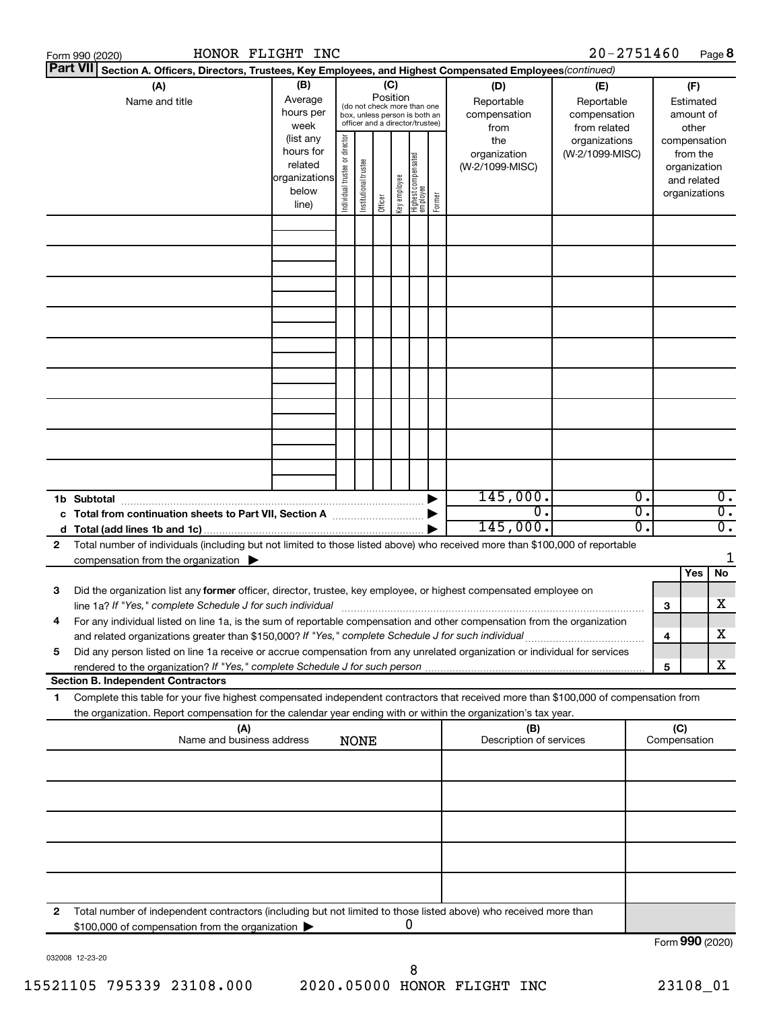|                 | HONOR FLIGHT INC<br>Form 990 (2020)                                                                                                                                                                                                                    |                                                               |                                   |                       |                                                                                                 |              |                                                                  |                                                                                       |                                | 20-2751460                                                         |    |                                              | Page 8           |
|-----------------|--------------------------------------------------------------------------------------------------------------------------------------------------------------------------------------------------------------------------------------------------------|---------------------------------------------------------------|-----------------------------------|-----------------------|-------------------------------------------------------------------------------------------------|--------------|------------------------------------------------------------------|---------------------------------------------------------------------------------------|--------------------------------|--------------------------------------------------------------------|----|----------------------------------------------|------------------|
| <b>Part VII</b> | Section A. Officers, Directors, Trustees, Key Employees, and Highest Compensated Employees(continued)                                                                                                                                                  |                                                               |                                   |                       |                                                                                                 |              |                                                                  |                                                                                       |                                |                                                                    |    |                                              |                  |
|                 | (A)<br>Name and title                                                                                                                                                                                                                                  | (B)<br>Average<br>hours per<br>week<br>(list any<br>hours for |                                   | (C)<br>Position       | (do not check more than one<br>box, unless person is both an<br>officer and a director/trustee) |              | (D)<br>Reportable<br>compensation<br>from<br>the<br>organization | (E)<br>Reportable<br>compensation<br>from related<br>organizations<br>(W-2/1099-MISC) |                                | (F)<br>Estimated<br>amount of<br>other<br>compensation<br>from the |    |                                              |                  |
|                 |                                                                                                                                                                                                                                                        | related<br>organizations<br>below<br>line)                    | director<br>Individual trustee or | Institutional trustee | Officer                                                                                         | Key employee | Highest compensated<br>employee                                  | Former                                                                                | (W-2/1099-MISC)                |                                                                    |    | organization<br>and related<br>organizations |                  |
|                 |                                                                                                                                                                                                                                                        |                                                               |                                   |                       |                                                                                                 |              |                                                                  |                                                                                       |                                |                                                                    |    |                                              |                  |
|                 |                                                                                                                                                                                                                                                        |                                                               |                                   |                       |                                                                                                 |              |                                                                  |                                                                                       |                                |                                                                    |    |                                              |                  |
|                 |                                                                                                                                                                                                                                                        |                                                               |                                   |                       |                                                                                                 |              |                                                                  |                                                                                       |                                |                                                                    |    |                                              |                  |
|                 |                                                                                                                                                                                                                                                        |                                                               |                                   |                       |                                                                                                 |              |                                                                  |                                                                                       |                                |                                                                    |    |                                              |                  |
|                 |                                                                                                                                                                                                                                                        |                                                               |                                   |                       |                                                                                                 |              |                                                                  | ▶                                                                                     | 145,000.                       |                                                                    | 0. |                                              | $\overline{0}$ . |
|                 | 1b Subtotal<br>c Total from continuation sheets to Part VII, Section A manuscreen by the Section A                                                                                                                                                     |                                                               |                                   |                       |                                                                                                 |              |                                                                  |                                                                                       | $\overline{0}$ .               |                                                                    | σ. |                                              | $\overline{0}$ . |
| 2               | Total number of individuals (including but not limited to those listed above) who received more than \$100,000 of reportable                                                                                                                           |                                                               |                                   |                       |                                                                                                 |              |                                                                  |                                                                                       | 145,000.                       |                                                                    | σ. |                                              | $\overline{0}$ . |
|                 | compensation from the organization $\blacktriangleright$                                                                                                                                                                                               |                                                               |                                   |                       |                                                                                                 |              |                                                                  |                                                                                       |                                |                                                                    |    |                                              |                  |
| 3               | Did the organization list any former officer, director, trustee, key employee, or highest compensated employee on                                                                                                                                      |                                                               |                                   |                       |                                                                                                 |              |                                                                  |                                                                                       |                                |                                                                    | 3  | Yes                                          | No<br>х          |
|                 | For any individual listed on line 1a, is the sum of reportable compensation and other compensation from the organization<br>and related organizations greater than \$150,000? If "Yes," complete Schedule J for such individual                        |                                                               |                                   |                       |                                                                                                 |              |                                                                  |                                                                                       |                                |                                                                    | 4  |                                              | х                |
| 5               | Did any person listed on line 1a receive or accrue compensation from any unrelated organization or individual for services                                                                                                                             |                                                               |                                   |                       |                                                                                                 |              |                                                                  |                                                                                       |                                |                                                                    | 5  |                                              | х                |
|                 | <b>Section B. Independent Contractors</b>                                                                                                                                                                                                              |                                                               |                                   |                       |                                                                                                 |              |                                                                  |                                                                                       |                                |                                                                    |    |                                              |                  |
| 1.              | Complete this table for your five highest compensated independent contractors that received more than \$100,000 of compensation from<br>the organization. Report compensation for the calendar year ending with or within the organization's tax year. |                                                               |                                   |                       |                                                                                                 |              |                                                                  |                                                                                       |                                |                                                                    |    |                                              |                  |
|                 | (A)<br>Name and business address                                                                                                                                                                                                                       |                                                               |                                   | <b>NONE</b>           |                                                                                                 |              |                                                                  |                                                                                       | (B)<br>Description of services |                                                                    |    | (C)<br>Compensation                          |                  |
|                 |                                                                                                                                                                                                                                                        |                                                               |                                   |                       |                                                                                                 |              |                                                                  |                                                                                       |                                |                                                                    |    |                                              |                  |
|                 |                                                                                                                                                                                                                                                        |                                                               |                                   |                       |                                                                                                 |              |                                                                  |                                                                                       |                                |                                                                    |    |                                              |                  |
|                 |                                                                                                                                                                                                                                                        |                                                               |                                   |                       |                                                                                                 |              |                                                                  |                                                                                       |                                |                                                                    |    |                                              |                  |
|                 |                                                                                                                                                                                                                                                        |                                                               |                                   |                       |                                                                                                 |              |                                                                  |                                                                                       |                                |                                                                    |    |                                              |                  |
| 2               | Total number of independent contractors (including but not limited to those listed above) who received more than<br>\$100,000 of compensation from the organization >                                                                                  |                                                               |                                   |                       |                                                                                                 |              | 0                                                                |                                                                                       |                                |                                                                    |    |                                              |                  |
|                 |                                                                                                                                                                                                                                                        |                                                               |                                   |                       |                                                                                                 |              |                                                                  |                                                                                       |                                |                                                                    |    | Form 990 (2020)                              |                  |

032008 12-23-20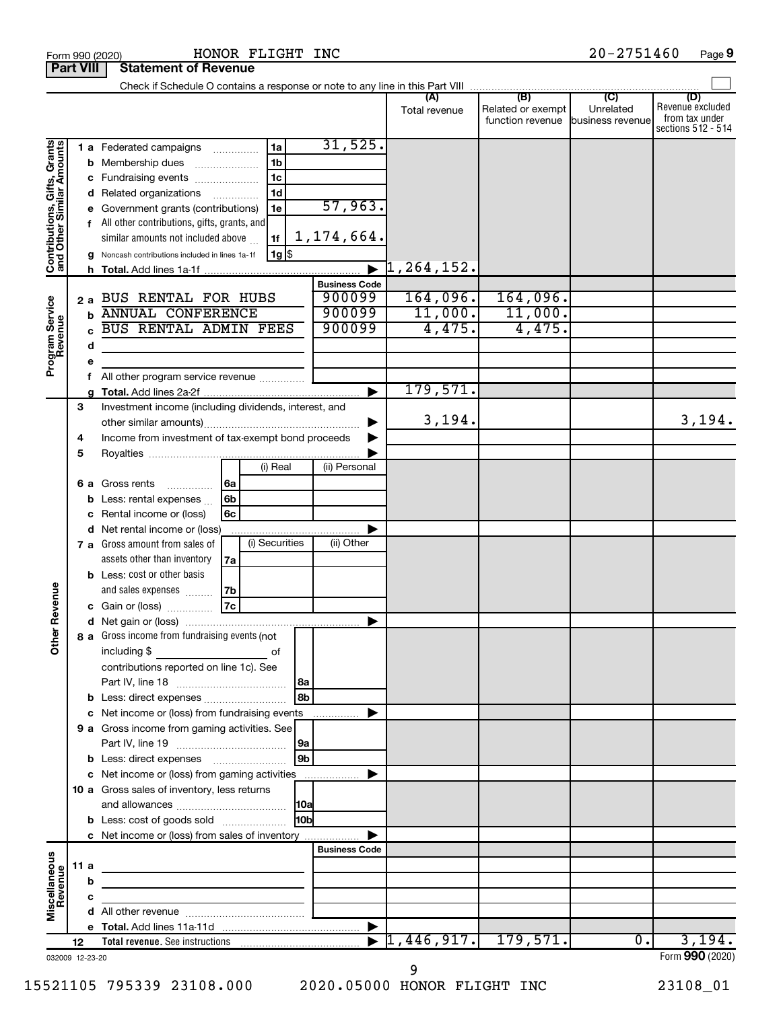|                                                           |      |     | Check if Schedule O contains a response or note to any line in this Part VIII |          |                |                |                      |                              |                                                               |                  |                                                          |
|-----------------------------------------------------------|------|-----|-------------------------------------------------------------------------------|----------|----------------|----------------|----------------------|------------------------------|---------------------------------------------------------------|------------------|----------------------------------------------------------|
|                                                           |      |     |                                                                               |          |                |                |                      | (A)<br>Total revenue         | (B)<br>Related or exempt<br>function revenue business revenue | (C)<br>Unrelated | Revenue excluded<br>from tax under<br>sections 512 - 514 |
|                                                           |      |     | <b>1 a</b> Federated campaigns                                                |          | 1a             |                | 31,525.              |                              |                                                               |                  |                                                          |
| Contributions, Gifts, Grants<br>and Other Similar Amounts |      |     | <b>b</b> Membership dues                                                      |          | 1 <sub>b</sub> |                |                      |                              |                                                               |                  |                                                          |
|                                                           |      | с   | Fundraising events                                                            |          | 1 <sub>c</sub> |                |                      |                              |                                                               |                  |                                                          |
|                                                           |      |     | d Related organizations                                                       |          | 1 <sub>d</sub> |                |                      |                              |                                                               |                  |                                                          |
|                                                           |      | е   | Government grants (contributions)                                             |          | 1e             |                | 57,963.              |                              |                                                               |                  |                                                          |
|                                                           |      |     | f All other contributions, gifts, grants, and                                 |          |                |                |                      |                              |                                                               |                  |                                                          |
|                                                           |      |     | similar amounts not included above                                            |          | 1f             |                | 1,174,664.           |                              |                                                               |                  |                                                          |
|                                                           |      | g   | Noncash contributions included in lines 1a-1f                                 |          | $1g$ \$        |                |                      |                              |                                                               |                  |                                                          |
|                                                           |      |     |                                                                               |          |                |                |                      | $\vert 1$ , $2$ 64 , $1$ 52. |                                                               |                  |                                                          |
|                                                           |      |     |                                                                               |          |                |                | <b>Business Code</b> |                              |                                                               |                  |                                                          |
|                                                           |      | 2 a | BUS RENTAL FOR HUBS                                                           |          |                |                | 900099               | 164,096.                     | 164,096.                                                      |                  |                                                          |
|                                                           |      | b   | <b>ANNUAL CONFERENCE</b>                                                      |          |                |                | 900099               | 11,000.                      | 11,000.                                                       |                  |                                                          |
|                                                           |      |     | BUS RENTAL ADMIN FEES                                                         |          |                |                | 900099               | 4,475.                       | 4,475.                                                        |                  |                                                          |
|                                                           |      | d   |                                                                               |          |                |                |                      |                              |                                                               |                  |                                                          |
| Program Service<br>Revenue                                |      | е   |                                                                               |          |                |                |                      |                              |                                                               |                  |                                                          |
|                                                           |      |     | All other program service revenue                                             |          |                |                |                      |                              |                                                               |                  |                                                          |
|                                                           |      | q   |                                                                               |          |                |                |                      | 179,571.                     |                                                               |                  |                                                          |
|                                                           | 3    |     | Investment income (including dividends, interest, and                         |          |                |                |                      |                              |                                                               |                  |                                                          |
|                                                           |      |     |                                                                               |          |                |                |                      | 3,194.                       |                                                               |                  | 3,194.                                                   |
|                                                           | 4    |     | Income from investment of tax-exempt bond proceeds                            |          |                |                |                      |                              |                                                               |                  |                                                          |
|                                                           | 5    |     |                                                                               |          |                |                |                      |                              |                                                               |                  |                                                          |
|                                                           |      |     |                                                                               |          | (i) Real       |                | (ii) Personal        |                              |                                                               |                  |                                                          |
|                                                           |      | 6а  | Gross rents<br>.                                                              | 6а       |                |                |                      |                              |                                                               |                  |                                                          |
|                                                           |      | b   | Less: rental expenses                                                         | 6b       |                |                |                      |                              |                                                               |                  |                                                          |
|                                                           |      | с   | Rental income or (loss)                                                       | 6c       |                |                |                      |                              |                                                               |                  |                                                          |
|                                                           |      |     | d Net rental income or (loss)                                                 |          | (i) Securities |                |                      |                              |                                                               |                  |                                                          |
|                                                           |      |     | 7 a Gross amount from sales of                                                |          |                |                | (ii) Other           |                              |                                                               |                  |                                                          |
|                                                           |      |     | assets other than inventory                                                   | 7a       |                |                |                      |                              |                                                               |                  |                                                          |
|                                                           |      |     | <b>b</b> Less: cost or other basis                                            |          |                |                |                      |                              |                                                               |                  |                                                          |
|                                                           |      |     | and sales expenses                                                            | 7b<br>7c |                |                |                      |                              |                                                               |                  |                                                          |
| ther Revenue                                              |      |     | c Gain or (loss)                                                              |          |                |                |                      |                              |                                                               |                  |                                                          |
|                                                           |      |     | 8 a Gross income from fundraising events (not                                 |          |                |                |                      |                              |                                                               |                  |                                                          |
| Ò                                                         |      |     | including \$                                                                  |          | оf             |                |                      |                              |                                                               |                  |                                                          |
|                                                           |      |     | contributions reported on line 1c). See                                       |          |                |                |                      |                              |                                                               |                  |                                                          |
|                                                           |      |     |                                                                               |          |                | l 8a           |                      |                              |                                                               |                  |                                                          |
|                                                           |      |     |                                                                               |          |                | 8 <sub>b</sub> |                      |                              |                                                               |                  |                                                          |
|                                                           |      |     | c Net income or (loss) from fundraising events                                |          |                |                |                      |                              |                                                               |                  |                                                          |
|                                                           |      |     | 9 a Gross income from gaming activities. See                                  |          |                |                | .                    |                              |                                                               |                  |                                                          |
|                                                           |      |     |                                                                               |          |                | l9a            |                      |                              |                                                               |                  |                                                          |
|                                                           |      |     |                                                                               |          |                | 9 <sub>b</sub> |                      |                              |                                                               |                  |                                                          |
|                                                           |      |     | c Net income or (loss) from gaming activities                                 |          |                |                |                      |                              |                                                               |                  |                                                          |
|                                                           |      |     | 10 a Gross sales of inventory, less returns                                   |          |                |                |                      |                              |                                                               |                  |                                                          |
|                                                           |      |     |                                                                               |          |                | 10a            |                      |                              |                                                               |                  |                                                          |
|                                                           |      |     | <b>b</b> Less: cost of goods sold                                             |          |                | 10b            |                      |                              |                                                               |                  |                                                          |
|                                                           |      |     | c Net income or (loss) from sales of inventory                                |          |                |                |                      |                              |                                                               |                  |                                                          |
|                                                           |      |     |                                                                               |          |                |                | <b>Business Code</b> |                              |                                                               |                  |                                                          |
| Miscellaneous<br>Revenue                                  | 11 a |     |                                                                               |          |                |                |                      |                              |                                                               |                  |                                                          |
|                                                           |      | b   |                                                                               |          |                |                |                      |                              |                                                               |                  |                                                          |
|                                                           |      | С   |                                                                               |          |                |                |                      |                              |                                                               |                  |                                                          |
|                                                           |      |     |                                                                               |          |                |                |                      |                              |                                                               |                  |                                                          |
|                                                           |      |     |                                                                               |          |                |                |                      |                              |                                                               |                  |                                                          |
|                                                           | 12   |     |                                                                               |          |                |                |                      | 1,446,917.                   | 179,571.                                                      | 0.               | 3,194.                                                   |
| 032009 12-23-20                                           |      |     |                                                                               |          |                |                |                      |                              |                                                               |                  | Form 990 (2020)                                          |

HONOR FLIGHT INC

**Part VIII Statement of Revenue**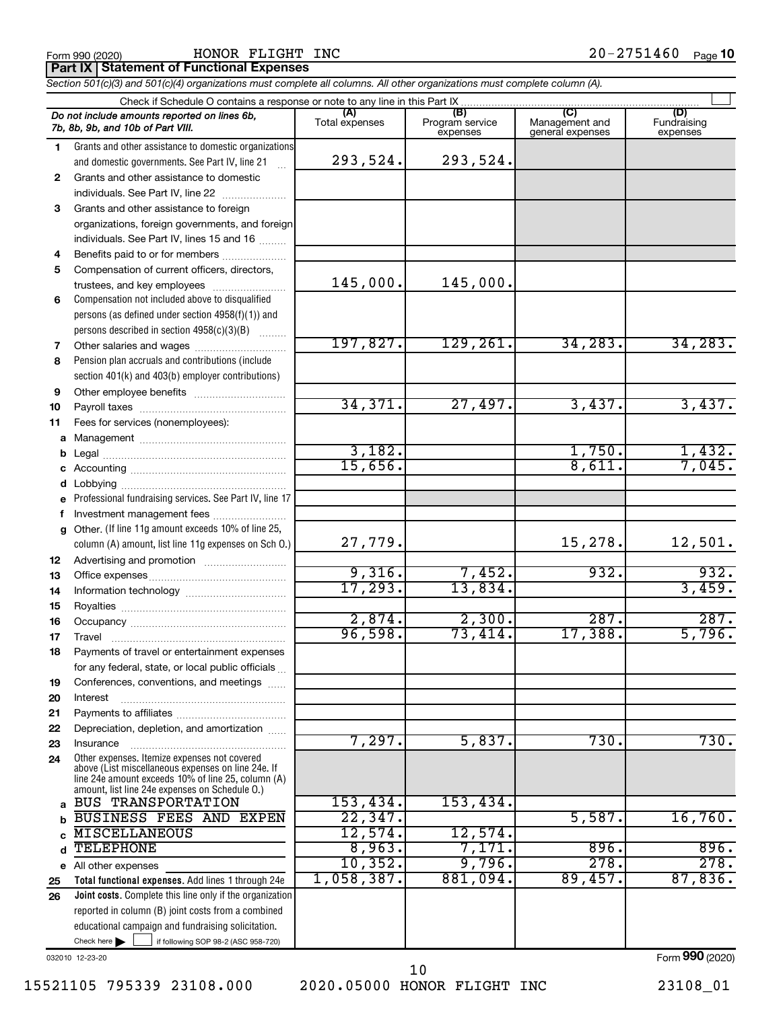Form 990 (2020) Page HONOR FLIGHT INC 20-2751460

**Part IX Statement of Functional Expenses**

*Section 501(c)(3) and 501(c)(4) organizations must complete all columns. All other organizations must complete column (A).*

|              | Check if Schedule O contains a response or note to any line in this Part IX                              |                       |                                    |                                           |                                |  |  |  |  |  |  |  |
|--------------|----------------------------------------------------------------------------------------------------------|-----------------------|------------------------------------|-------------------------------------------|--------------------------------|--|--|--|--|--|--|--|
|              | Do not include amounts reported on lines 6b,<br>7b, 8b, 9b, and 10b of Part VIII.                        | (A)<br>Total expenses | (B)<br>Program service<br>expenses | (C)<br>Management and<br>general expenses | (D)<br>Fundraising<br>expenses |  |  |  |  |  |  |  |
| 1.           | Grants and other assistance to domestic organizations                                                    |                       |                                    |                                           |                                |  |  |  |  |  |  |  |
|              | and domestic governments. See Part IV, line 21                                                           | 293,524.              | 293,524.                           |                                           |                                |  |  |  |  |  |  |  |
| $\mathbf{2}$ | Grants and other assistance to domestic                                                                  |                       |                                    |                                           |                                |  |  |  |  |  |  |  |
|              | individuals. See Part IV, line 22                                                                        |                       |                                    |                                           |                                |  |  |  |  |  |  |  |
| 3            | Grants and other assistance to foreign                                                                   |                       |                                    |                                           |                                |  |  |  |  |  |  |  |
|              | organizations, foreign governments, and foreign                                                          |                       |                                    |                                           |                                |  |  |  |  |  |  |  |
|              | individuals. See Part IV, lines 15 and 16                                                                |                       |                                    |                                           |                                |  |  |  |  |  |  |  |
| 4            | Benefits paid to or for members                                                                          |                       |                                    |                                           |                                |  |  |  |  |  |  |  |
| 5            | Compensation of current officers, directors,                                                             |                       |                                    |                                           |                                |  |  |  |  |  |  |  |
|              | trustees, and key employees                                                                              | 145,000.              | 145,000.                           |                                           |                                |  |  |  |  |  |  |  |
| 6            | Compensation not included above to disqualified                                                          |                       |                                    |                                           |                                |  |  |  |  |  |  |  |
|              | persons (as defined under section $4958(f)(1)$ ) and                                                     |                       |                                    |                                           |                                |  |  |  |  |  |  |  |
|              | persons described in section 4958(c)(3)(B)                                                               |                       |                                    |                                           |                                |  |  |  |  |  |  |  |
| 7            | Other salaries and wages                                                                                 | 197,827.              | 129,261.                           | 34, 283.                                  | 34, 283.                       |  |  |  |  |  |  |  |
| 8            | Pension plan accruals and contributions (include                                                         |                       |                                    |                                           |                                |  |  |  |  |  |  |  |
|              | section 401(k) and 403(b) employer contributions)                                                        |                       |                                    |                                           |                                |  |  |  |  |  |  |  |
| 9            |                                                                                                          |                       |                                    |                                           |                                |  |  |  |  |  |  |  |
| 10           |                                                                                                          | 34,371.               | 27,497.                            | 3,437.                                    | 3,437.                         |  |  |  |  |  |  |  |
| 11           | Fees for services (nonemployees):                                                                        |                       |                                    |                                           |                                |  |  |  |  |  |  |  |
|              |                                                                                                          |                       |                                    |                                           |                                |  |  |  |  |  |  |  |
|              |                                                                                                          | 3,182.                |                                    | 1,750.                                    | 1,432.                         |  |  |  |  |  |  |  |
|              |                                                                                                          | 15,656.               |                                    | 8,611.                                    | 7,045.                         |  |  |  |  |  |  |  |
| d            |                                                                                                          |                       |                                    |                                           |                                |  |  |  |  |  |  |  |
|              | e Professional fundraising services. See Part IV, line 17                                                |                       |                                    |                                           |                                |  |  |  |  |  |  |  |
| f            | Investment management fees                                                                               |                       |                                    |                                           |                                |  |  |  |  |  |  |  |
|              | g Other. (If line 11g amount exceeds 10% of line 25,                                                     | 27,779.               |                                    | 15,278.                                   | 12,501.                        |  |  |  |  |  |  |  |
|              | column (A) amount, list line 11g expenses on Sch 0.)                                                     |                       |                                    |                                           |                                |  |  |  |  |  |  |  |
| 12           |                                                                                                          | 9,316.                | 7,452.                             | 932.                                      | 932.                           |  |  |  |  |  |  |  |
| 13           |                                                                                                          | 17,293.               | 13,834.                            |                                           | 3,459.                         |  |  |  |  |  |  |  |
| 14           |                                                                                                          |                       |                                    |                                           |                                |  |  |  |  |  |  |  |
| 15<br>16     |                                                                                                          | 2,874.                | 2,300.                             | 287.                                      | 287.                           |  |  |  |  |  |  |  |
| 17           | Travel                                                                                                   | 96,598.               | 73,414.                            | 17,388.                                   | 5,796.                         |  |  |  |  |  |  |  |
| 18           | Payments of travel or entertainment expenses                                                             |                       |                                    |                                           |                                |  |  |  |  |  |  |  |
|              | for any federal, state, or local public officials                                                        |                       |                                    |                                           |                                |  |  |  |  |  |  |  |
| 19           | Conferences, conventions, and meetings                                                                   |                       |                                    |                                           |                                |  |  |  |  |  |  |  |
| 20           | Interest                                                                                                 |                       |                                    |                                           |                                |  |  |  |  |  |  |  |
| 21           |                                                                                                          |                       |                                    |                                           |                                |  |  |  |  |  |  |  |
| 22           | Depreciation, depletion, and amortization                                                                |                       |                                    |                                           |                                |  |  |  |  |  |  |  |
| 23           | Insurance                                                                                                | 7,297.                | 5,837.                             | 730.                                      | 730.                           |  |  |  |  |  |  |  |
| 24           | Other expenses. Itemize expenses not covered                                                             |                       |                                    |                                           |                                |  |  |  |  |  |  |  |
|              | above (List miscellaneous expenses on line 24e. If<br>line 24e amount exceeds 10% of line 25, column (A) |                       |                                    |                                           |                                |  |  |  |  |  |  |  |
|              | amount, list line 24e expenses on Schedule O.)                                                           |                       |                                    |                                           |                                |  |  |  |  |  |  |  |
| a            | <b>BUS TRANSPORTATION</b>                                                                                | 153, 434.             | 153,434.                           |                                           |                                |  |  |  |  |  |  |  |
|              | <b>BUSINESS FEES AND EXPEN</b>                                                                           | 22,347.               |                                    | 5,587.                                    | 16,760.                        |  |  |  |  |  |  |  |
|              | <b>MISCELLANEOUS</b>                                                                                     | 12,574.               | 12,574.                            |                                           |                                |  |  |  |  |  |  |  |
| d            | TELEPHONE                                                                                                | 8,963.                | 7,171.                             | 896.                                      | 896.                           |  |  |  |  |  |  |  |
|              | e All other expenses                                                                                     | 10,352.               | 9,796.                             | 278.                                      | 278.                           |  |  |  |  |  |  |  |
| 25           | Total functional expenses. Add lines 1 through 24e                                                       | $1,058,387$ .         | 881,094.                           | 89,457.                                   | 87,836.                        |  |  |  |  |  |  |  |
| 26           | Joint costs. Complete this line only if the organization                                                 |                       |                                    |                                           |                                |  |  |  |  |  |  |  |
|              | reported in column (B) joint costs from a combined                                                       |                       |                                    |                                           |                                |  |  |  |  |  |  |  |
|              | educational campaign and fundraising solicitation.                                                       |                       |                                    |                                           |                                |  |  |  |  |  |  |  |
|              | Check here<br>if following SOP 98-2 (ASC 958-720)                                                        |                       |                                    |                                           |                                |  |  |  |  |  |  |  |
|              | 032010 12-23-20                                                                                          |                       |                                    |                                           | Form 990 (2020)                |  |  |  |  |  |  |  |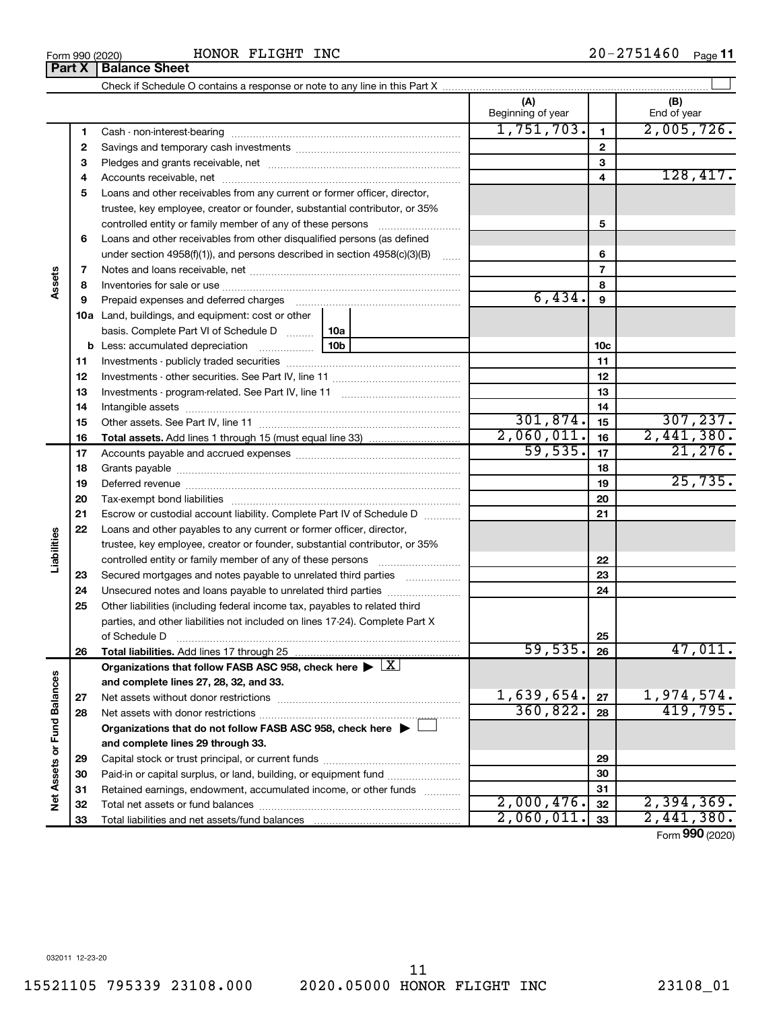11

Form 990 (2020) Page HONOR FLIGHT INC 20-2751460 20-2751460 Page 11

|                             | Part X   | <b>Balance Sheet</b>                                                                                   |                          |                 |                    |
|-----------------------------|----------|--------------------------------------------------------------------------------------------------------|--------------------------|-----------------|--------------------|
|                             |          |                                                                                                        |                          |                 |                    |
|                             |          |                                                                                                        | (A)<br>Beginning of year |                 | (B)<br>End of year |
|                             | 1        |                                                                                                        | 1,751,703.               | $\mathbf{1}$    | 2,005,726.         |
|                             | 2        |                                                                                                        |                          | $\mathbf{2}$    |                    |
|                             | З        |                                                                                                        |                          | 3               |                    |
|                             | 4        |                                                                                                        |                          | 4               | 128,417.           |
|                             | 5        | Loans and other receivables from any current or former officer, director,                              |                          |                 |                    |
|                             |          | trustee, key employee, creator or founder, substantial contributor, or 35%                             |                          |                 |                    |
|                             |          | controlled entity or family member of any of these persons                                             |                          | 5               |                    |
|                             | 6        | Loans and other receivables from other disqualified persons (as defined                                |                          |                 |                    |
|                             |          | under section $4958(f)(1)$ , and persons described in section $4958(c)(3)(B)$<br>$\ldots$              |                          | 6               |                    |
|                             | 7        |                                                                                                        |                          | 7               |                    |
| Assets                      | 8        |                                                                                                        |                          | 8               |                    |
|                             | 9        | Prepaid expenses and deferred charges                                                                  | 6,434.                   | 9               |                    |
|                             |          | <b>10a</b> Land, buildings, and equipment: cost or other                                               |                          |                 |                    |
|                             |          | basis. Complete Part VI of Schedule D<br>10a                                                           |                          |                 |                    |
|                             |          | 10b<br><b>b</b> Less: accumulated depreciation <i></i>                                                 |                          | 10 <sub>c</sub> |                    |
|                             | 11       |                                                                                                        |                          | 11              |                    |
|                             | 12       |                                                                                                        |                          | 12              |                    |
|                             | 13       |                                                                                                        |                          | 13              |                    |
|                             | 14       |                                                                                                        | 301,874.                 | 14              | 307, 237.          |
|                             | 15       |                                                                                                        | 2,060,011.               | 15              | 2,441,380.         |
|                             | 16       |                                                                                                        | 59,535.                  | 16<br>17        | 21,276.            |
|                             | 17       |                                                                                                        |                          |                 |                    |
|                             | 18<br>19 |                                                                                                        |                          | 18<br>19        | 25,735.            |
|                             | 20       |                                                                                                        |                          | 20              |                    |
|                             | 21       | Escrow or custodial account liability. Complete Part IV of Schedule D                                  |                          | 21              |                    |
|                             | 22       | Loans and other payables to any current or former officer, director,                                   |                          |                 |                    |
| Liabilities                 |          | trustee, key employee, creator or founder, substantial contributor, or 35%                             |                          |                 |                    |
|                             |          | controlled entity or family member of any of these persons                                             |                          | 22              |                    |
|                             | 23       | Secured mortgages and notes payable to unrelated third parties                                         |                          | 23              |                    |
|                             | 24       | Unsecured notes and loans payable to unrelated third parties                                           |                          | 24              |                    |
|                             | 25       | Other liabilities (including federal income tax, payables to related third                             |                          |                 |                    |
|                             |          | parties, and other liabilities not included on lines 17-24). Complete Part X                           |                          |                 |                    |
|                             |          | of Schedule D                                                                                          |                          | 25              |                    |
|                             | 26       |                                                                                                        | 59,535.                  | 26              | 47,011.            |
|                             |          | Organizations that follow FASB ASC 958, check here $\blacktriangleright \lfloor \underline{X} \rfloor$ |                          |                 |                    |
|                             |          | and complete lines 27, 28, 32, and 33.                                                                 |                          |                 |                    |
|                             | 27       |                                                                                                        | 1,639,654.               | 27              | 1,974,574.         |
|                             | 28       |                                                                                                        | 360,822.                 | 28              | 419,795.           |
|                             |          | Organizations that do not follow FASB ASC 958, check here $\blacktriangleright$                        |                          |                 |                    |
|                             |          | and complete lines 29 through 33.                                                                      |                          |                 |                    |
|                             | 29       |                                                                                                        |                          | 29              |                    |
|                             | 30       | Paid-in or capital surplus, or land, building, or equipment fund                                       |                          | 30              |                    |
|                             | 31       | Retained earnings, endowment, accumulated income, or other funds                                       |                          | 31              |                    |
| Net Assets or Fund Balances | 32       |                                                                                                        | 2,000,476.               | 32              | 2,394,369.         |
|                             | 33       |                                                                                                        | 2,060,011.               | 33              | 2,441,380.         |
|                             |          |                                                                                                        |                          |                 | Form 990 (2020)    |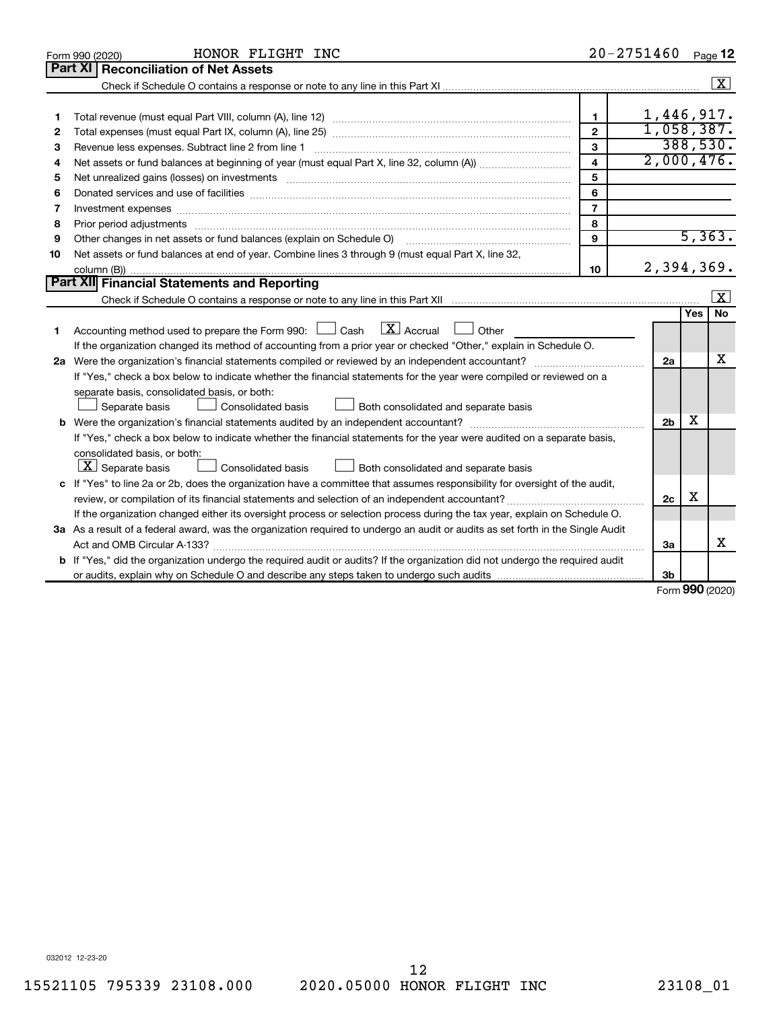|    | HONOR FLIGHT INC<br>Form 990 (2020)                                                                                                                                                                                            |                         | 20-2751460     |              | Page 12              |
|----|--------------------------------------------------------------------------------------------------------------------------------------------------------------------------------------------------------------------------------|-------------------------|----------------|--------------|----------------------|
|    | Part XI<br><b>Reconciliation of Net Assets</b>                                                                                                                                                                                 |                         |                |              |                      |
|    |                                                                                                                                                                                                                                |                         |                |              | $\boxed{\textbf{X}}$ |
|    |                                                                                                                                                                                                                                |                         |                |              |                      |
| 1  |                                                                                                                                                                                                                                | 1.                      | 1,446,917.     |              |                      |
| 2  |                                                                                                                                                                                                                                | $\mathbf{2}$            | 1,058,387.     |              |                      |
| 3  | Revenue less expenses. Subtract line 2 from line 1                                                                                                                                                                             | 3                       |                |              | 388,530.             |
| 4  |                                                                                                                                                                                                                                | $\overline{\mathbf{4}}$ | 2,000,476.     |              |                      |
| 5  |                                                                                                                                                                                                                                | 5                       |                |              |                      |
| 6  |                                                                                                                                                                                                                                | 6                       |                |              |                      |
| 7  | Investment expenses www.communication.com/www.communication.com/www.communication.com/www.com                                                                                                                                  | $\overline{7}$          |                |              |                      |
| 8  | Prior period adjustments material contents and content of the content of the content of the content of the content of the content of the content of the content of the content of the content of the content of the content of | 8                       |                |              |                      |
| 9  | Other changes in net assets or fund balances (explain on Schedule O)                                                                                                                                                           | 9                       |                |              | 5,363.               |
| 10 | Net assets or fund balances at end of year. Combine lines 3 through 9 (must equal Part X, line 32,                                                                                                                             |                         |                |              |                      |
|    |                                                                                                                                                                                                                                | 10                      | 2,394,369.     |              |                      |
|    | Part XII Financial Statements and Reporting                                                                                                                                                                                    |                         |                |              |                      |
|    |                                                                                                                                                                                                                                |                         |                |              | $\mathbf{X}$         |
|    |                                                                                                                                                                                                                                |                         |                | Yes          | <b>No</b>            |
| 1  | $\lfloor x \rfloor$ Accrual<br>Accounting method used to prepare the Form 990: $\Box$ Cash<br>Other<br>$\mathbf{L}$                                                                                                            |                         |                |              |                      |
|    | If the organization changed its method of accounting from a prior year or checked "Other," explain in Schedule O.                                                                                                              |                         |                |              |                      |
|    |                                                                                                                                                                                                                                |                         | 2a             |              | x                    |
|    | If "Yes," check a box below to indicate whether the financial statements for the year were compiled or reviewed on a                                                                                                           |                         |                |              |                      |
|    | separate basis, consolidated basis, or both:                                                                                                                                                                                   |                         |                |              |                      |
|    | Both consolidated and separate basis<br>Separate basis<br>Consolidated basis                                                                                                                                                   |                         |                |              |                      |
|    |                                                                                                                                                                                                                                |                         | 2 <sub>b</sub> | x            |                      |
|    | If "Yes," check a box below to indicate whether the financial statements for the year were audited on a separate basis,                                                                                                        |                         |                |              |                      |
|    | consolidated basis, or both:                                                                                                                                                                                                   |                         |                |              |                      |
|    | $ \mathbf{X} $ Separate basis<br>Consolidated basis<br>Both consolidated and separate basis                                                                                                                                    |                         |                |              |                      |
|    | c If "Yes" to line 2a or 2b, does the organization have a committee that assumes responsibility for oversight of the audit,                                                                                                    |                         |                |              |                      |
|    | review, or compilation of its financial statements and selection of an independent accountant?                                                                                                                                 |                         | 2c             | X            |                      |
|    | If the organization changed either its oversight process or selection process during the tax year, explain on Schedule O.                                                                                                      |                         |                |              |                      |
|    | 3a As a result of a federal award, was the organization required to undergo an audit or audits as set forth in the Single Audit                                                                                                |                         |                |              |                      |
|    |                                                                                                                                                                                                                                |                         | 3a             |              | x                    |
|    | <b>b</b> If "Yes," did the organization undergo the required audit or audits? If the organization did not undergo the required audit                                                                                           |                         |                |              |                      |
|    |                                                                                                                                                                                                                                |                         | Зb             | $000 \text{$ |                      |
|    |                                                                                                                                                                                                                                |                         |                |              |                      |

Form (2020) **990**

032012 12-23-20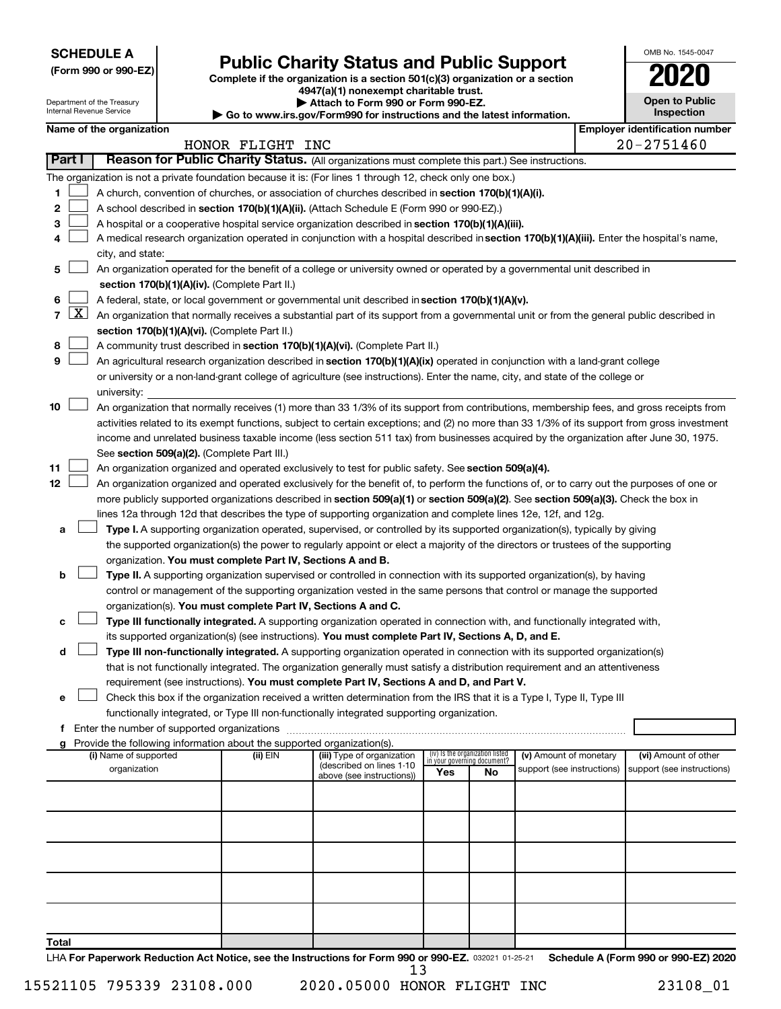**SCHEDULE A**

# **Public Charity Status and Public Support**

**(Form 990 or 990-EZ) Complete if the organization is a section 501(c)(3) organization or a section**

**4947(a)(1) nonexempt charitable trust. | Attach to Form 990 or Form 990-EZ.** 

| <b>Open to Public</b><br>Inspection |
|-------------------------------------|
| er identification numbe             |

OMB No. 1545-0047

|                                    |                     | Department of the Treasury<br>Internal Revenue Service |                                                                                                                                                                            | ▶ Attach to Form 990 or Form 990-EZ.<br>$\blacktriangleright$ Go to www.irs.gov/Form990 for instructions and the latest information.                                                                                                                                                                                                                                                                                                                                                                                                                                                                                                                                                                                                                                                                                                                                                                                                                                                                                                                                                                                                                                                                                                                                                                                                                                                                                                                                                                                                                                                                                                                                                                                                                                                                                                  |     |                                                                |                            | <b>Open to Public</b><br>Inspection   |
|------------------------------------|---------------------|--------------------------------------------------------|----------------------------------------------------------------------------------------------------------------------------------------------------------------------------|---------------------------------------------------------------------------------------------------------------------------------------------------------------------------------------------------------------------------------------------------------------------------------------------------------------------------------------------------------------------------------------------------------------------------------------------------------------------------------------------------------------------------------------------------------------------------------------------------------------------------------------------------------------------------------------------------------------------------------------------------------------------------------------------------------------------------------------------------------------------------------------------------------------------------------------------------------------------------------------------------------------------------------------------------------------------------------------------------------------------------------------------------------------------------------------------------------------------------------------------------------------------------------------------------------------------------------------------------------------------------------------------------------------------------------------------------------------------------------------------------------------------------------------------------------------------------------------------------------------------------------------------------------------------------------------------------------------------------------------------------------------------------------------------------------------------------------------|-----|----------------------------------------------------------------|----------------------------|---------------------------------------|
|                                    |                     | Name of the organization                               |                                                                                                                                                                            |                                                                                                                                                                                                                                                                                                                                                                                                                                                                                                                                                                                                                                                                                                                                                                                                                                                                                                                                                                                                                                                                                                                                                                                                                                                                                                                                                                                                                                                                                                                                                                                                                                                                                                                                                                                                                                       |     |                                                                |                            | <b>Employer identification number</b> |
|                                    |                     |                                                        | HONOR FLIGHT INC                                                                                                                                                           |                                                                                                                                                                                                                                                                                                                                                                                                                                                                                                                                                                                                                                                                                                                                                                                                                                                                                                                                                                                                                                                                                                                                                                                                                                                                                                                                                                                                                                                                                                                                                                                                                                                                                                                                                                                                                                       |     |                                                                |                            | $20 - 2751460$                        |
|                                    | <b>Part I</b>       |                                                        |                                                                                                                                                                            | Reason for Public Charity Status. (All organizations must complete this part.) See instructions.                                                                                                                                                                                                                                                                                                                                                                                                                                                                                                                                                                                                                                                                                                                                                                                                                                                                                                                                                                                                                                                                                                                                                                                                                                                                                                                                                                                                                                                                                                                                                                                                                                                                                                                                      |     |                                                                |                            |                                       |
| 1<br>2<br>3<br>4<br>5<br>6         |                     | city, and state:                                       | section 170(b)(1)(A)(iv). (Complete Part II.)                                                                                                                              | The organization is not a private foundation because it is: (For lines 1 through 12, check only one box.)<br>A church, convention of churches, or association of churches described in section 170(b)(1)(A)(i).<br>A school described in section 170(b)(1)(A)(ii). (Attach Schedule E (Form 990 or 990-EZ).)<br>A hospital or a cooperative hospital service organization described in section 170(b)(1)(A)(iii).<br>A medical research organization operated in conjunction with a hospital described in section 170(b)(1)(A)(iii). Enter the hospital's name,<br>An organization operated for the benefit of a college or university owned or operated by a governmental unit described in<br>A federal, state, or local government or governmental unit described in section 170(b)(1)(A)(v).                                                                                                                                                                                                                                                                                                                                                                                                                                                                                                                                                                                                                                                                                                                                                                                                                                                                                                                                                                                                                                      |     |                                                                |                            |                                       |
| $\overline{7}$                     | $\lfloor x \rfloor$ |                                                        |                                                                                                                                                                            | An organization that normally receives a substantial part of its support from a governmental unit or from the general public described in                                                                                                                                                                                                                                                                                                                                                                                                                                                                                                                                                                                                                                                                                                                                                                                                                                                                                                                                                                                                                                                                                                                                                                                                                                                                                                                                                                                                                                                                                                                                                                                                                                                                                             |     |                                                                |                            |                                       |
| 8<br>9                             |                     | university:                                            | section 170(b)(1)(A)(vi). (Complete Part II.)                                                                                                                              | A community trust described in section 170(b)(1)(A)(vi). (Complete Part II.)<br>An agricultural research organization described in section 170(b)(1)(A)(ix) operated in conjunction with a land-grant college<br>or university or a non-land-grant college of agriculture (see instructions). Enter the name, city, and state of the college or                                                                                                                                                                                                                                                                                                                                                                                                                                                                                                                                                                                                                                                                                                                                                                                                                                                                                                                                                                                                                                                                                                                                                                                                                                                                                                                                                                                                                                                                                       |     |                                                                |                            |                                       |
| 10<br>11<br>12<br>а<br>b<br>c<br>d |                     |                                                        | See section 509(a)(2). (Complete Part III.)<br>organization. You must complete Part IV, Sections A and B.<br>organization(s). You must complete Part IV, Sections A and C. | An organization that normally receives (1) more than 33 1/3% of its support from contributions, membership fees, and gross receipts from<br>activities related to its exempt functions, subject to certain exceptions; and (2) no more than 33 1/3% of its support from gross investment<br>income and unrelated business taxable income (less section 511 tax) from businesses acquired by the organization after June 30, 1975.<br>An organization organized and operated exclusively to test for public safety. See section 509(a)(4).<br>An organization organized and operated exclusively for the benefit of, to perform the functions of, or to carry out the purposes of one or<br>more publicly supported organizations described in section 509(a)(1) or section 509(a)(2). See section 509(a)(3). Check the box in<br>lines 12a through 12d that describes the type of supporting organization and complete lines 12e, 12f, and 12g.<br>Type I. A supporting organization operated, supervised, or controlled by its supported organization(s), typically by giving<br>the supported organization(s) the power to regularly appoint or elect a majority of the directors or trustees of the supporting<br>Type II. A supporting organization supervised or controlled in connection with its supported organization(s), by having<br>control or management of the supporting organization vested in the same persons that control or manage the supported<br>Type III functionally integrated. A supporting organization operated in connection with, and functionally integrated with,<br>its supported organization(s) (see instructions). You must complete Part IV, Sections A, D, and E.<br>Type III non-functionally integrated. A supporting organization operated in connection with its supported organization(s) |     |                                                                |                            |                                       |
|                                    |                     |                                                        |                                                                                                                                                                            | that is not functionally integrated. The organization generally must satisfy a distribution requirement and an attentiveness                                                                                                                                                                                                                                                                                                                                                                                                                                                                                                                                                                                                                                                                                                                                                                                                                                                                                                                                                                                                                                                                                                                                                                                                                                                                                                                                                                                                                                                                                                                                                                                                                                                                                                          |     |                                                                |                            |                                       |
| е                                  |                     | Enter the number of supported organizations            |                                                                                                                                                                            | requirement (see instructions). You must complete Part IV, Sections A and D, and Part V.<br>Check this box if the organization received a written determination from the IRS that it is a Type I, Type II, Type III<br>functionally integrated, or Type III non-functionally integrated supporting organization.                                                                                                                                                                                                                                                                                                                                                                                                                                                                                                                                                                                                                                                                                                                                                                                                                                                                                                                                                                                                                                                                                                                                                                                                                                                                                                                                                                                                                                                                                                                      |     |                                                                |                            |                                       |
|                                    |                     | (i) Name of supported                                  | Provide the following information about the supported organization(s).<br>(ii) EIN                                                                                         | (iii) Type of organization                                                                                                                                                                                                                                                                                                                                                                                                                                                                                                                                                                                                                                                                                                                                                                                                                                                                                                                                                                                                                                                                                                                                                                                                                                                                                                                                                                                                                                                                                                                                                                                                                                                                                                                                                                                                            |     | (iv) Is the organization listed<br>in your governing document? | (v) Amount of monetary     | (vi) Amount of other                  |
|                                    |                     | organization                                           |                                                                                                                                                                            | (described on lines 1-10<br>above (see instructions))                                                                                                                                                                                                                                                                                                                                                                                                                                                                                                                                                                                                                                                                                                                                                                                                                                                                                                                                                                                                                                                                                                                                                                                                                                                                                                                                                                                                                                                                                                                                                                                                                                                                                                                                                                                 | Yes | No                                                             | support (see instructions) | support (see instructions)            |
|                                    |                     |                                                        |                                                                                                                                                                            |                                                                                                                                                                                                                                                                                                                                                                                                                                                                                                                                                                                                                                                                                                                                                                                                                                                                                                                                                                                                                                                                                                                                                                                                                                                                                                                                                                                                                                                                                                                                                                                                                                                                                                                                                                                                                                       |     |                                                                |                            |                                       |
|                                    |                     |                                                        |                                                                                                                                                                            |                                                                                                                                                                                                                                                                                                                                                                                                                                                                                                                                                                                                                                                                                                                                                                                                                                                                                                                                                                                                                                                                                                                                                                                                                                                                                                                                                                                                                                                                                                                                                                                                                                                                                                                                                                                                                                       |     |                                                                |                            |                                       |
|                                    |                     |                                                        |                                                                                                                                                                            |                                                                                                                                                                                                                                                                                                                                                                                                                                                                                                                                                                                                                                                                                                                                                                                                                                                                                                                                                                                                                                                                                                                                                                                                                                                                                                                                                                                                                                                                                                                                                                                                                                                                                                                                                                                                                                       |     |                                                                |                            |                                       |
|                                    |                     |                                                        |                                                                                                                                                                            |                                                                                                                                                                                                                                                                                                                                                                                                                                                                                                                                                                                                                                                                                                                                                                                                                                                                                                                                                                                                                                                                                                                                                                                                                                                                                                                                                                                                                                                                                                                                                                                                                                                                                                                                                                                                                                       |     |                                                                |                            |                                       |
|                                    |                     |                                                        |                                                                                                                                                                            |                                                                                                                                                                                                                                                                                                                                                                                                                                                                                                                                                                                                                                                                                                                                                                                                                                                                                                                                                                                                                                                                                                                                                                                                                                                                                                                                                                                                                                                                                                                                                                                                                                                                                                                                                                                                                                       |     |                                                                |                            |                                       |
| Total                              |                     |                                                        |                                                                                                                                                                            |                                                                                                                                                                                                                                                                                                                                                                                                                                                                                                                                                                                                                                                                                                                                                                                                                                                                                                                                                                                                                                                                                                                                                                                                                                                                                                                                                                                                                                                                                                                                                                                                                                                                                                                                                                                                                                       |     |                                                                |                            |                                       |

LHA For Paperwork Reduction Act Notice, see the Instructions for Form 990 or 990-EZ. 032021 01-25-21 Schedule A (Form 990 or 990-EZ) 2020 13

 $\Box$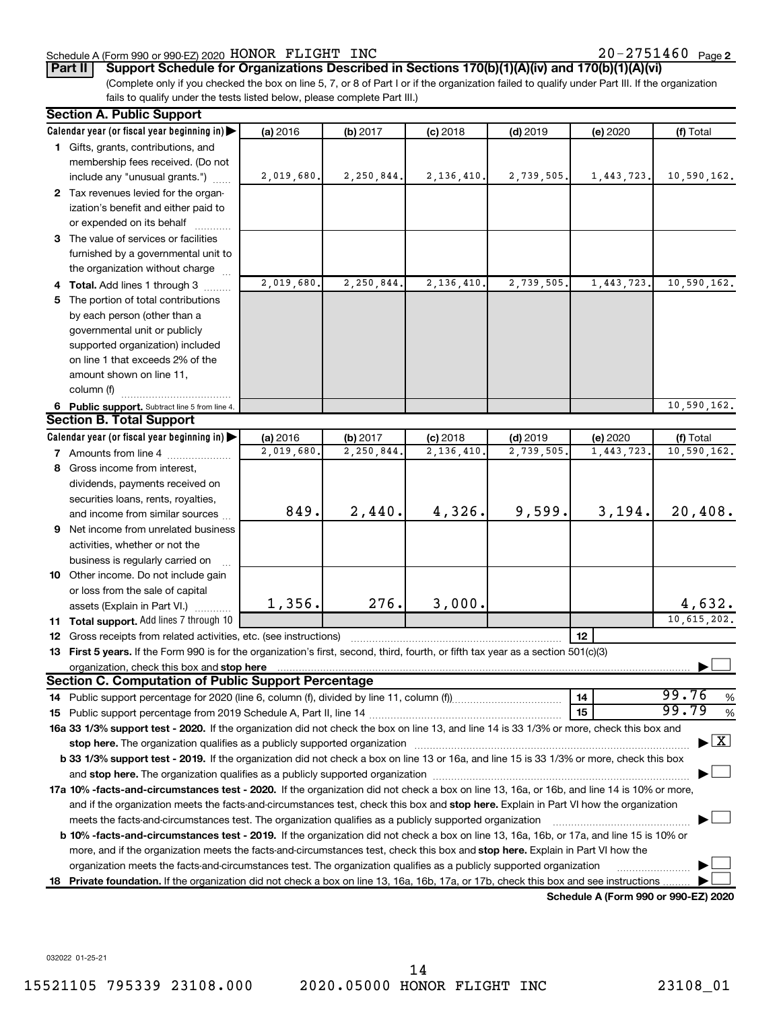#### Schedule A (Form 990 or 990-EZ) 2020 Page HONOR FLIGHT INC 20-2751460

**Part II** | Support Schedule for Organizations Described in Sections 170(b)(1)(A)(iv) and 170(b)(1)(A)(vi)

(Complete only if you checked the box on line 5, 7, or 8 of Part I or if the organization failed to qualify under Part III. If the organization fails to qualify under the tests listed below, please complete Part III.)

|    | <b>Section A. Public Support</b>                                                                                                                                                                                                                           |            |            |              |            |            |                                    |
|----|------------------------------------------------------------------------------------------------------------------------------------------------------------------------------------------------------------------------------------------------------------|------------|------------|--------------|------------|------------|------------------------------------|
|    | Calendar year (or fiscal year beginning in)                                                                                                                                                                                                                | (a) 2016   | (b) 2017   | $(c)$ 2018   | $(d)$ 2019 | (e) 2020   | (f) Total                          |
|    | 1 Gifts, grants, contributions, and                                                                                                                                                                                                                        |            |            |              |            |            |                                    |
|    | membership fees received. (Do not                                                                                                                                                                                                                          |            |            |              |            |            |                                    |
|    | include any "unusual grants.")                                                                                                                                                                                                                             | 2,019,680. | 2,250,844. | 2, 136, 410. | 2,739,505. | 1,443,723. | 10,590,162.                        |
|    | 2 Tax revenues levied for the organ-                                                                                                                                                                                                                       |            |            |              |            |            |                                    |
|    | ization's benefit and either paid to                                                                                                                                                                                                                       |            |            |              |            |            |                                    |
|    | or expended on its behalf                                                                                                                                                                                                                                  |            |            |              |            |            |                                    |
|    | 3 The value of services or facilities                                                                                                                                                                                                                      |            |            |              |            |            |                                    |
|    | furnished by a governmental unit to                                                                                                                                                                                                                        |            |            |              |            |            |                                    |
|    | the organization without charge                                                                                                                                                                                                                            |            |            |              |            |            |                                    |
|    | 4 Total. Add lines 1 through 3                                                                                                                                                                                                                             | 2,019,680  | 2,250,844. | 2,136,410    | 2,739,505  | 1,443,723. | 10,590,162.                        |
|    | 5 The portion of total contributions                                                                                                                                                                                                                       |            |            |              |            |            |                                    |
|    | by each person (other than a                                                                                                                                                                                                                               |            |            |              |            |            |                                    |
|    | governmental unit or publicly                                                                                                                                                                                                                              |            |            |              |            |            |                                    |
|    | supported organization) included                                                                                                                                                                                                                           |            |            |              |            |            |                                    |
|    | on line 1 that exceeds 2% of the                                                                                                                                                                                                                           |            |            |              |            |            |                                    |
|    | amount shown on line 11,                                                                                                                                                                                                                                   |            |            |              |            |            |                                    |
|    | column (f)                                                                                                                                                                                                                                                 |            |            |              |            |            |                                    |
|    | 6 Public support. Subtract line 5 from line 4.                                                                                                                                                                                                             |            |            |              |            |            | 10,590,162.                        |
|    | <b>Section B. Total Support</b>                                                                                                                                                                                                                            |            |            |              |            |            |                                    |
|    | Calendar year (or fiscal year beginning in)                                                                                                                                                                                                                | (a) 2016   | (b) 2017   | $(c)$ 2018   | $(d)$ 2019 | (e) 2020   | (f) Total                          |
|    | 7 Amounts from line 4                                                                                                                                                                                                                                      | 2,019,680  | 2,250,844  | 2,136,410    | 2,739,505  | 1,443,723. | 10,590,162.                        |
|    | 8 Gross income from interest,                                                                                                                                                                                                                              |            |            |              |            |            |                                    |
|    | dividends, payments received on                                                                                                                                                                                                                            |            |            |              |            |            |                                    |
|    | securities loans, rents, royalties,                                                                                                                                                                                                                        |            |            |              |            |            |                                    |
|    | and income from similar sources                                                                                                                                                                                                                            | 849.       | 2,440.     | 4,326.       | 9,599.     | 3,194.     | 20,408.                            |
|    | <b>9</b> Net income from unrelated business                                                                                                                                                                                                                |            |            |              |            |            |                                    |
|    | activities, whether or not the                                                                                                                                                                                                                             |            |            |              |            |            |                                    |
|    | business is regularly carried on                                                                                                                                                                                                                           |            |            |              |            |            |                                    |
|    | 10 Other income. Do not include gain                                                                                                                                                                                                                       |            |            |              |            |            |                                    |
|    | or loss from the sale of capital                                                                                                                                                                                                                           |            |            |              |            |            |                                    |
|    | assets (Explain in Part VI.)                                                                                                                                                                                                                               | 1,356.     | 276.       | 3,000.       |            |            | 4,632.                             |
|    | 11 Total support. Add lines 7 through 10                                                                                                                                                                                                                   |            |            |              |            |            | 10,615,202.                        |
|    | <b>12</b> Gross receipts from related activities, etc. (see instructions)                                                                                                                                                                                  |            |            |              |            | 12         |                                    |
|    | 13 First 5 years. If the Form 990 is for the organization's first, second, third, fourth, or fifth tax year as a section 501(c)(3)                                                                                                                         |            |            |              |            |            |                                    |
|    | organization, check this box and stop here                                                                                                                                                                                                                 |            |            |              |            |            |                                    |
|    | <b>Section C. Computation of Public Support Percentage</b>                                                                                                                                                                                                 |            |            |              |            |            |                                    |
|    |                                                                                                                                                                                                                                                            |            |            |              |            | 14         | 99.76<br>%                         |
|    |                                                                                                                                                                                                                                                            |            |            |              |            | 15         | 99.79<br>%                         |
|    | 16a 33 1/3% support test - 2020. If the organization did not check the box on line 13, and line 14 is 33 1/3% or more, check this box and                                                                                                                  |            |            |              |            |            |                                    |
|    |                                                                                                                                                                                                                                                            |            |            |              |            |            | $\blacktriangleright$ $\mathbf{X}$ |
|    | b 33 1/3% support test - 2019. If the organization did not check a box on line 13 or 16a, and line 15 is 33 1/3% or more, check this box                                                                                                                   |            |            |              |            |            |                                    |
|    | and stop here. The organization qualifies as a publicly supported organization material content and stop here. The organization material and stop here.                                                                                                    |            |            |              |            |            |                                    |
|    | 17a 10% -facts-and-circumstances test - 2020. If the organization did not check a box on line 13, 16a, or 16b, and line 14 is 10% or more,                                                                                                                 |            |            |              |            |            |                                    |
|    | and if the organization meets the facts-and-circumstances test, check this box and stop here. Explain in Part VI how the organization                                                                                                                      |            |            |              |            |            |                                    |
|    | meets the facts-and-circumstances test. The organization qualifies as a publicly supported organization                                                                                                                                                    |            |            |              |            |            |                                    |
|    |                                                                                                                                                                                                                                                            |            |            |              |            |            |                                    |
|    | <b>b 10% -facts-and-circumstances test - 2019.</b> If the organization did not check a box on line 13, 16a, 16b, or 17a, and line 15 is 10% or                                                                                                             |            |            |              |            |            |                                    |
|    | more, and if the organization meets the facts-and-circumstances test, check this box and <b>stop here.</b> Explain in Part VI how the                                                                                                                      |            |            |              |            |            |                                    |
| 18 | organization meets the facts-and-circumstances test. The organization qualifies as a publicly supported organization<br>Private foundation. If the organization did not check a box on line 13, 16a, 16b, 17a, or 17b, check this box and see instructions |            |            |              |            |            |                                    |

**Schedule A (Form 990 or 990-EZ) 2020**

032022 01-25-21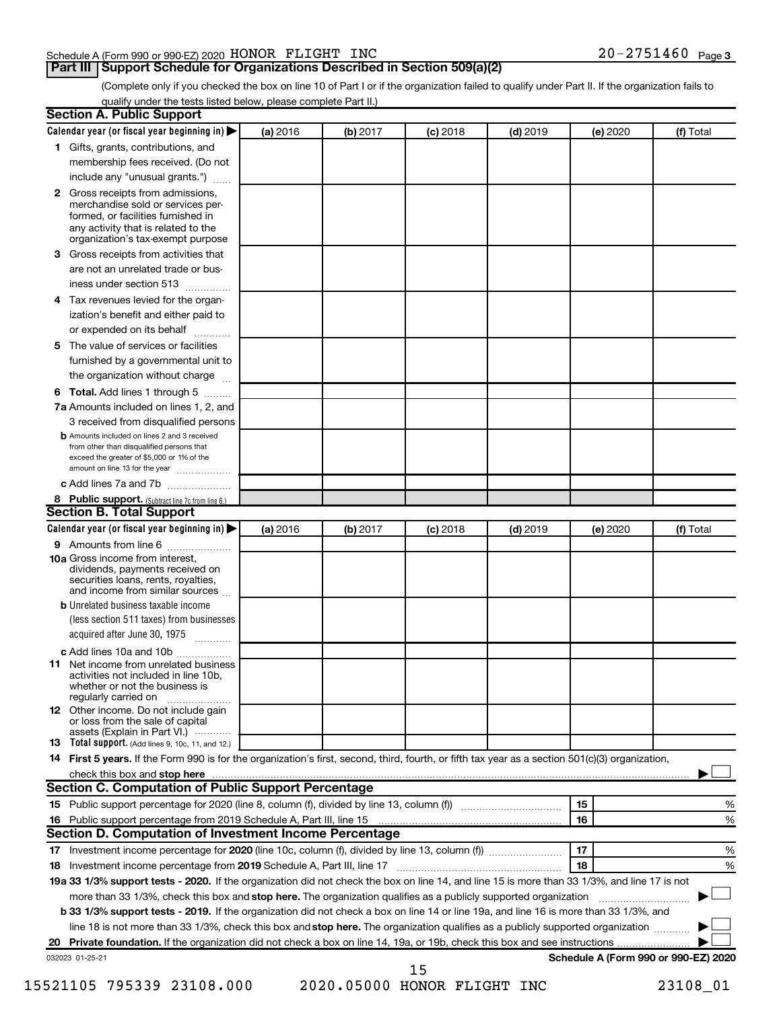#### Schedule A (Form 990 or 990-EZ) 2020 Page HONOR FLIGHT INC 20-2751460

#### **Part III | Support Schedule for Organizations Described in Section 509(a)(2)**

20-2751460 Page 3

(Complete only if you checked the box on line 10 of Part I or if the organization failed to qualify under Part II. If the organization fails to qualify under the tests listed below, please complete Part II.)

|    | <b>Section A. Public Support</b>                                                                                                                                                         |          |            |            |            |          |                                      |
|----|------------------------------------------------------------------------------------------------------------------------------------------------------------------------------------------|----------|------------|------------|------------|----------|--------------------------------------|
|    | Calendar year (or fiscal year beginning in)                                                                                                                                              | (a) 2016 | $(b)$ 2017 | (c) 2018   | $(d)$ 2019 | (e) 2020 | (f) Total                            |
|    | 1 Gifts, grants, contributions, and                                                                                                                                                      |          |            |            |            |          |                                      |
|    | membership fees received. (Do not                                                                                                                                                        |          |            |            |            |          |                                      |
|    | include any "unusual grants.")                                                                                                                                                           |          |            |            |            |          |                                      |
|    | 2 Gross receipts from admissions,<br>merchandise sold or services per-<br>formed, or facilities furnished in<br>any activity that is related to the<br>organization's tax-exempt purpose |          |            |            |            |          |                                      |
|    | 3 Gross receipts from activities that                                                                                                                                                    |          |            |            |            |          |                                      |
|    | are not an unrelated trade or bus-                                                                                                                                                       |          |            |            |            |          |                                      |
|    | iness under section 513                                                                                                                                                                  |          |            |            |            |          |                                      |
|    | 4 Tax revenues levied for the organ-                                                                                                                                                     |          |            |            |            |          |                                      |
|    | ization's benefit and either paid to                                                                                                                                                     |          |            |            |            |          |                                      |
|    | or expended on its behalf<br>.                                                                                                                                                           |          |            |            |            |          |                                      |
|    | 5 The value of services or facilities                                                                                                                                                    |          |            |            |            |          |                                      |
|    | furnished by a governmental unit to                                                                                                                                                      |          |            |            |            |          |                                      |
|    | the organization without charge                                                                                                                                                          |          |            |            |            |          |                                      |
|    | 6 Total. Add lines 1 through 5                                                                                                                                                           |          |            |            |            |          |                                      |
|    | 7a Amounts included on lines 1, 2, and                                                                                                                                                   |          |            |            |            |          |                                      |
|    | 3 received from disqualified persons                                                                                                                                                     |          |            |            |            |          |                                      |
|    | <b>b</b> Amounts included on lines 2 and 3 received<br>from other than disqualified persons that<br>exceed the greater of \$5,000 or 1% of the<br>amount on line 13 for the year         |          |            |            |            |          |                                      |
|    | c Add lines 7a and 7b                                                                                                                                                                    |          |            |            |            |          |                                      |
|    | 8 Public support. (Subtract line 7c from line 6.)                                                                                                                                        |          |            |            |            |          |                                      |
|    | <b>Section B. Total Support</b>                                                                                                                                                          |          |            |            |            |          |                                      |
|    | Calendar year (or fiscal year beginning in)                                                                                                                                              | (a) 2016 | (b) 2017   | $(c)$ 2018 | $(d)$ 2019 | (e) 2020 | (f) Total                            |
|    | 9 Amounts from line 6                                                                                                                                                                    |          |            |            |            |          |                                      |
|    | <b>10a</b> Gross income from interest,<br>dividends, payments received on<br>securities loans, rents, royalties,<br>and income from similar sources                                      |          |            |            |            |          |                                      |
|    | <b>b</b> Unrelated business taxable income<br>(less section 511 taxes) from businesses<br>acquired after June 30, 1975                                                                   |          |            |            |            |          |                                      |
|    | c Add lines 10a and 10b                                                                                                                                                                  |          |            |            |            |          |                                      |
|    | <b>11</b> Net income from unrelated business<br>activities not included in line 10b.<br>whether or not the business is<br>regularly carried on                                           |          |            |            |            |          |                                      |
|    | <b>12</b> Other income. Do not include gain<br>or loss from the sale of capital<br>assets (Explain in Part VI.) $\cdots$                                                                 |          |            |            |            |          |                                      |
|    | <b>13</b> Total support. (Add lines 9, 10c, 11, and 12.)                                                                                                                                 |          |            |            |            |          |                                      |
|    | 14 First 5 years. If the Form 990 is for the organization's first, second, third, fourth, or fifth tax year as a section 501(c)(3) organization,                                         |          |            |            |            |          |                                      |
|    | check this box and stop here                                                                                                                                                             |          |            |            |            |          |                                      |
|    | Section C. Computation of Public Support Percentage                                                                                                                                      |          |            |            |            |          |                                      |
|    |                                                                                                                                                                                          |          |            |            |            | 15       | %                                    |
|    | 16 Public support percentage from 2019 Schedule A, Part III, line 15                                                                                                                     |          |            |            |            | 16       | %                                    |
|    | <b>Section D. Computation of Investment Income Percentage</b>                                                                                                                            |          |            |            |            |          |                                      |
|    |                                                                                                                                                                                          |          |            |            |            | 17       | %                                    |
|    | 18 Investment income percentage from 2019 Schedule A, Part III, line 17                                                                                                                  |          |            |            |            | 18       | %                                    |
|    | 19a 33 1/3% support tests - 2020. If the organization did not check the box on line 14, and line 15 is more than 33 1/3%, and line 17 is not                                             |          |            |            |            |          |                                      |
|    | more than 33 1/3%, check this box and stop here. The organization qualifies as a publicly supported organization                                                                         |          |            |            |            |          |                                      |
|    | b 33 1/3% support tests - 2019. If the organization did not check a box on line 14 or line 19a, and line 16 is more than 33 1/3%, and                                                    |          |            |            |            |          |                                      |
|    | line 18 is not more than 33 1/3%, check this box and stop here. The organization qualifies as a publicly supported organization                                                          |          |            |            |            |          |                                      |
| 20 |                                                                                                                                                                                          |          |            |            |            |          |                                      |
|    | 032023 01-25-21                                                                                                                                                                          |          |            |            |            |          | Schedule A (Form 990 or 990-EZ) 2020 |
|    |                                                                                                                                                                                          |          |            | 15         |            |          |                                      |

15521105 795339 23108.000 2020.05000 HONOR FLIGHT INC 23108\_01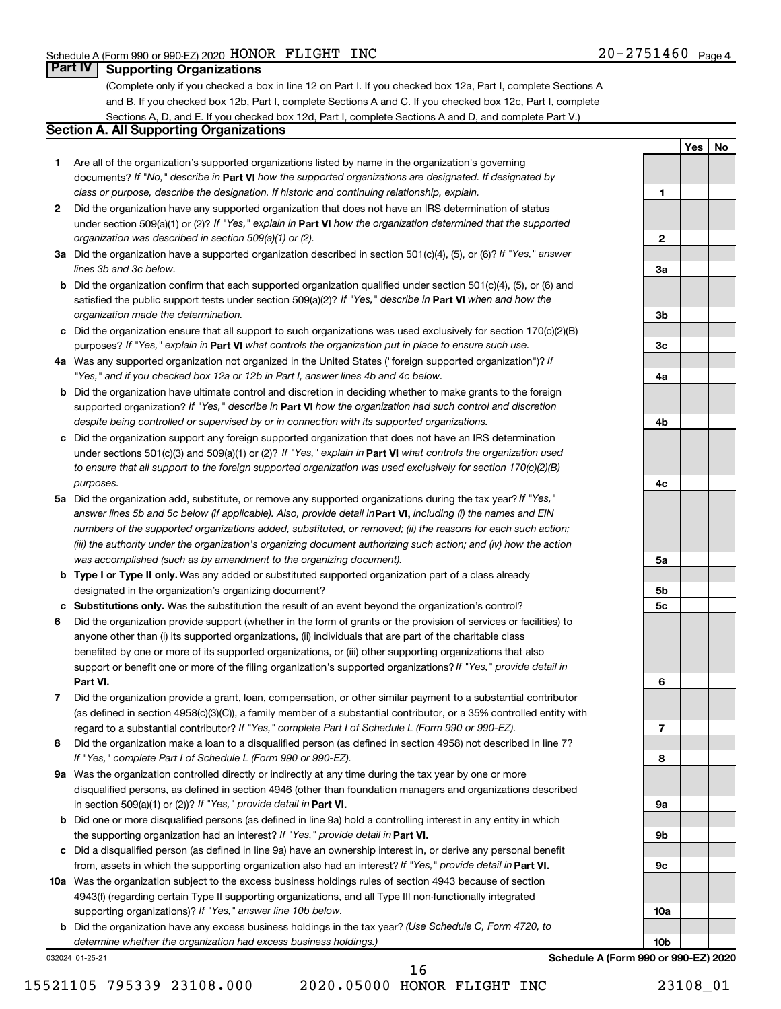**1**

**2**

**3a**

**3b**

**3c**

**4a**

**4b**

**4c**

**5a**

**5b 5c**

**6**

**7**

**8**

**9a**

**9b**

**9c**

**10a**

**10b**

**Yes No**

#### **Part IV Supporting Organizations**

(Complete only if you checked a box in line 12 on Part I. If you checked box 12a, Part I, complete Sections A and B. If you checked box 12b, Part I, complete Sections A and C. If you checked box 12c, Part I, complete Sections A, D, and E. If you checked box 12d, Part I, complete Sections A and D, and complete Part V.)

### **Section A. All Supporting Organizations**

- **1** Are all of the organization's supported organizations listed by name in the organization's governing documents? If "No," describe in Part VI how the supported organizations are designated. If designated by *class or purpose, describe the designation. If historic and continuing relationship, explain.*
- **2** Did the organization have any supported organization that does not have an IRS determination of status under section 509(a)(1) or (2)? If "Yes," explain in Part VI how the organization determined that the supported *organization was described in section 509(a)(1) or (2).*
- **3a** Did the organization have a supported organization described in section 501(c)(4), (5), or (6)? If "Yes," answer *lines 3b and 3c below.*
- **b** Did the organization confirm that each supported organization qualified under section 501(c)(4), (5), or (6) and satisfied the public support tests under section 509(a)(2)? If "Yes," describe in Part VI when and how the *organization made the determination.*
- **c** Did the organization ensure that all support to such organizations was used exclusively for section 170(c)(2)(B) purposes? If "Yes," explain in Part VI what controls the organization put in place to ensure such use.
- **4 a** *If* Was any supported organization not organized in the United States ("foreign supported organization")? *"Yes," and if you checked box 12a or 12b in Part I, answer lines 4b and 4c below.*
- **b** Did the organization have ultimate control and discretion in deciding whether to make grants to the foreign supported organization? If "Yes," describe in Part VI how the organization had such control and discretion *despite being controlled or supervised by or in connection with its supported organizations.*
- **c** Did the organization support any foreign supported organization that does not have an IRS determination under sections 501(c)(3) and 509(a)(1) or (2)? If "Yes," explain in Part VI what controls the organization used *to ensure that all support to the foreign supported organization was used exclusively for section 170(c)(2)(B) purposes.*
- **5a** Did the organization add, substitute, or remove any supported organizations during the tax year? If "Yes," answer lines 5b and 5c below (if applicable). Also, provide detail in**Part VI,** including (i) the names and EIN *numbers of the supported organizations added, substituted, or removed; (ii) the reasons for each such action; (iii) the authority under the organization's organizing document authorizing such action; and (iv) how the action was accomplished (such as by amendment to the organizing document).*
- **b** Type I or Type II only. Was any added or substituted supported organization part of a class already designated in the organization's organizing document?
- **c Substitutions only.**  Was the substitution the result of an event beyond the organization's control?
- **6** Did the organization provide support (whether in the form of grants or the provision of services or facilities) to **Part VI.** support or benefit one or more of the filing organization's supported organizations? If "Yes," provide detail in anyone other than (i) its supported organizations, (ii) individuals that are part of the charitable class benefited by one or more of its supported organizations, or (iii) other supporting organizations that also
- **7** Did the organization provide a grant, loan, compensation, or other similar payment to a substantial contributor regard to a substantial contributor? If "Yes," complete Part I of Schedule L (Form 990 or 990-EZ). (as defined in section 4958(c)(3)(C)), a family member of a substantial contributor, or a 35% controlled entity with
- **8** Did the organization make a loan to a disqualified person (as defined in section 4958) not described in line 7? *If "Yes," complete Part I of Schedule L (Form 990 or 990-EZ).*
- **9 a** Was the organization controlled directly or indirectly at any time during the tax year by one or more in section 509(a)(1) or (2))? If "Yes," provide detail in **Part VI.** disqualified persons, as defined in section 4946 (other than foundation managers and organizations described
- **b** Did one or more disqualified persons (as defined in line 9a) hold a controlling interest in any entity in which the supporting organization had an interest? If "Yes," provide detail in Part VI.
- **c** Did a disqualified person (as defined in line 9a) have an ownership interest in, or derive any personal benefit from, assets in which the supporting organization also had an interest? If "Yes," provide detail in Part VI.
- **10 a** Was the organization subject to the excess business holdings rules of section 4943 because of section supporting organizations)? If "Yes," answer line 10b below. 4943(f) (regarding certain Type II supporting organizations, and all Type III non-functionally integrated
	- **b** Did the organization have any excess business holdings in the tax year? (Use Schedule C, Form 4720, to *determine whether the organization had excess business holdings.)*

032024 01-25-21

**Schedule A (Form 990 or 990-EZ) 2020**

15521105 795339 23108.000 2020.05000 HONOR FLIGHT INC 23108\_01 16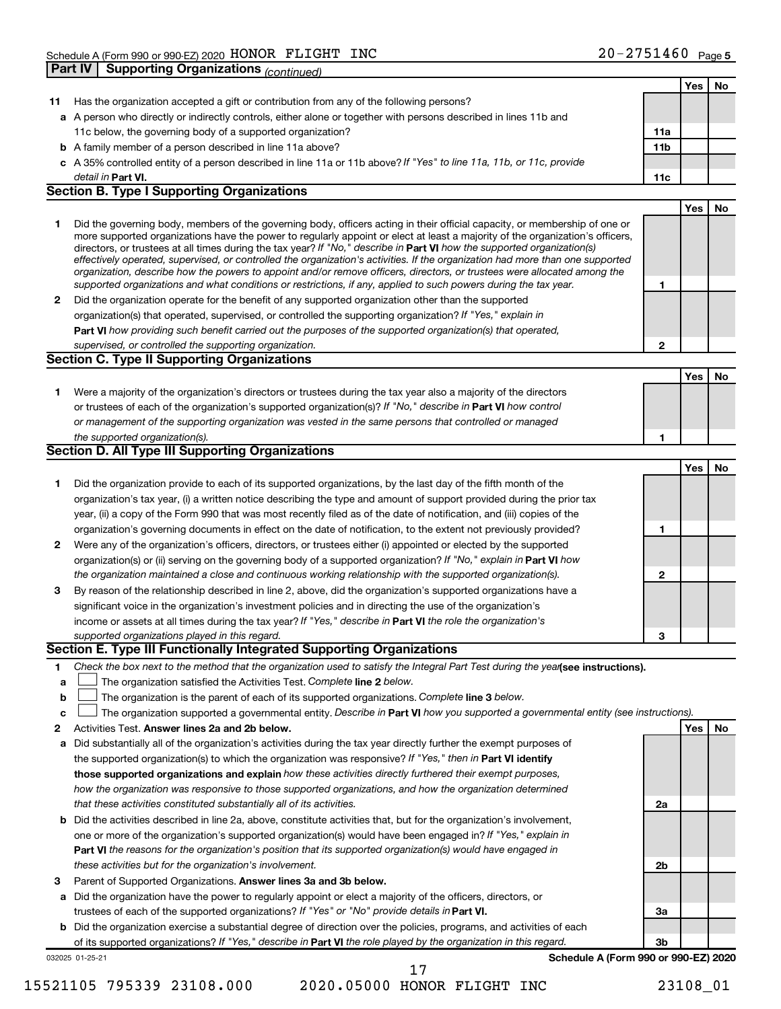|        |                                                                                                                                                                                                                                                                                                                                                                                                                                                                                                                                                                                                                                                                                                                                                                          |     | Yes | <b>No</b> |
|--------|--------------------------------------------------------------------------------------------------------------------------------------------------------------------------------------------------------------------------------------------------------------------------------------------------------------------------------------------------------------------------------------------------------------------------------------------------------------------------------------------------------------------------------------------------------------------------------------------------------------------------------------------------------------------------------------------------------------------------------------------------------------------------|-----|-----|-----------|
| 11     | Has the organization accepted a gift or contribution from any of the following persons?                                                                                                                                                                                                                                                                                                                                                                                                                                                                                                                                                                                                                                                                                  |     |     |           |
|        | a A person who directly or indirectly controls, either alone or together with persons described in lines 11b and                                                                                                                                                                                                                                                                                                                                                                                                                                                                                                                                                                                                                                                         |     |     |           |
|        | 11c below, the governing body of a supported organization?                                                                                                                                                                                                                                                                                                                                                                                                                                                                                                                                                                                                                                                                                                               | 11a |     |           |
|        | <b>b</b> A family member of a person described in line 11a above?                                                                                                                                                                                                                                                                                                                                                                                                                                                                                                                                                                                                                                                                                                        | 11b |     |           |
|        | c A 35% controlled entity of a person described in line 11a or 11b above? If "Yes" to line 11a, 11b, or 11c, provide                                                                                                                                                                                                                                                                                                                                                                                                                                                                                                                                                                                                                                                     |     |     |           |
|        | detail in Part VI.                                                                                                                                                                                                                                                                                                                                                                                                                                                                                                                                                                                                                                                                                                                                                       | 11c |     |           |
|        | <b>Section B. Type I Supporting Organizations</b>                                                                                                                                                                                                                                                                                                                                                                                                                                                                                                                                                                                                                                                                                                                        |     |     |           |
|        |                                                                                                                                                                                                                                                                                                                                                                                                                                                                                                                                                                                                                                                                                                                                                                          |     | Yes | No        |
| 1      | Did the governing body, members of the governing body, officers acting in their official capacity, or membership of one or<br>more supported organizations have the power to regularly appoint or elect at least a majority of the organization's officers,<br>directors, or trustees at all times during the tax year? If "No," describe in Part VI how the supported organization(s)<br>effectively operated, supervised, or controlled the organization's activities. If the organization had more than one supported<br>organization, describe how the powers to appoint and/or remove officers, directors, or trustees were allocated among the<br>supported organizations and what conditions or restrictions, if any, applied to such powers during the tax year. | 1   |     |           |
| 2      | Did the organization operate for the benefit of any supported organization other than the supported                                                                                                                                                                                                                                                                                                                                                                                                                                                                                                                                                                                                                                                                      |     |     |           |
|        | organization(s) that operated, supervised, or controlled the supporting organization? If "Yes," explain in                                                                                                                                                                                                                                                                                                                                                                                                                                                                                                                                                                                                                                                               |     |     |           |
|        | Part VI how providing such benefit carried out the purposes of the supported organization(s) that operated,                                                                                                                                                                                                                                                                                                                                                                                                                                                                                                                                                                                                                                                              |     |     |           |
|        | supervised, or controlled the supporting organization.                                                                                                                                                                                                                                                                                                                                                                                                                                                                                                                                                                                                                                                                                                                   | 2   |     |           |
|        | Section C. Type II Supporting Organizations                                                                                                                                                                                                                                                                                                                                                                                                                                                                                                                                                                                                                                                                                                                              |     |     |           |
|        |                                                                                                                                                                                                                                                                                                                                                                                                                                                                                                                                                                                                                                                                                                                                                                          |     | Yes | No        |
| 1      | Were a majority of the organization's directors or trustees during the tax year also a majority of the directors<br>or trustees of each of the organization's supported organization(s)? If "No," describe in Part VI how control<br>or management of the supporting organization was vested in the same persons that controlled or managed<br>the supported organization(s).                                                                                                                                                                                                                                                                                                                                                                                            |     |     |           |
|        | <b>Section D. All Type III Supporting Organizations</b>                                                                                                                                                                                                                                                                                                                                                                                                                                                                                                                                                                                                                                                                                                                  | 1   |     |           |
|        |                                                                                                                                                                                                                                                                                                                                                                                                                                                                                                                                                                                                                                                                                                                                                                          |     | Yes | No        |
| 1      | Did the organization provide to each of its supported organizations, by the last day of the fifth month of the<br>organization's tax year, (i) a written notice describing the type and amount of support provided during the prior tax<br>year, (ii) a copy of the Form 990 that was most recently filed as of the date of notification, and (iii) copies of the<br>organization's governing documents in effect on the date of notification, to the extent not previously provided?                                                                                                                                                                                                                                                                                    | 1   |     |           |
| 2      | Were any of the organization's officers, directors, or trustees either (i) appointed or elected by the supported                                                                                                                                                                                                                                                                                                                                                                                                                                                                                                                                                                                                                                                         |     |     |           |
|        | organization(s) or (ii) serving on the governing body of a supported organization? If "No," explain in Part VI how                                                                                                                                                                                                                                                                                                                                                                                                                                                                                                                                                                                                                                                       |     |     |           |
|        | the organization maintained a close and continuous working relationship with the supported organization(s).                                                                                                                                                                                                                                                                                                                                                                                                                                                                                                                                                                                                                                                              | 2   |     |           |
| 3      | By reason of the relationship described in line 2, above, did the organization's supported organizations have a                                                                                                                                                                                                                                                                                                                                                                                                                                                                                                                                                                                                                                                          |     |     |           |
|        | significant voice in the organization's investment policies and in directing the use of the organization's                                                                                                                                                                                                                                                                                                                                                                                                                                                                                                                                                                                                                                                               |     |     |           |
|        | income or assets at all times during the tax year? If "Yes," describe in Part VI the role the organization's                                                                                                                                                                                                                                                                                                                                                                                                                                                                                                                                                                                                                                                             |     |     |           |
|        | supported organizations played in this regard.                                                                                                                                                                                                                                                                                                                                                                                                                                                                                                                                                                                                                                                                                                                           | 3   |     |           |
|        | Section E. Type III Functionally Integrated Supporting Organizations                                                                                                                                                                                                                                                                                                                                                                                                                                                                                                                                                                                                                                                                                                     |     |     |           |
| 1.     | Check the box next to the method that the organization used to satisfy the Integral Part Test during the year(see instructions).                                                                                                                                                                                                                                                                                                                                                                                                                                                                                                                                                                                                                                         |     |     |           |
| a<br>b | The organization satisfied the Activities Test. Complete line 2 below.<br>The organization is the parent of each of its supported organizations. Complete line 3 below.                                                                                                                                                                                                                                                                                                                                                                                                                                                                                                                                                                                                  |     |     |           |
| c      | The organization supported a governmental entity. Describe in Part VI how you supported a governmental entity (see instructions).                                                                                                                                                                                                                                                                                                                                                                                                                                                                                                                                                                                                                                        |     |     |           |
| 2      | Activities Test. Answer lines 2a and 2b below.                                                                                                                                                                                                                                                                                                                                                                                                                                                                                                                                                                                                                                                                                                                           |     | Yes | No        |
| а      | Did substantially all of the organization's activities during the tax year directly further the exempt purposes of<br>the supported organization(s) to which the organization was responsive? If "Yes," then in Part VI identify<br>those supported organizations and explain how these activities directly furthered their exempt purposes,                                                                                                                                                                                                                                                                                                                                                                                                                             |     |     |           |
|        | how the organization was responsive to those supported organizations, and how the organization determined                                                                                                                                                                                                                                                                                                                                                                                                                                                                                                                                                                                                                                                                |     |     |           |
|        | that these activities constituted substantially all of its activities.                                                                                                                                                                                                                                                                                                                                                                                                                                                                                                                                                                                                                                                                                                   | 2a  |     |           |
| b      | Did the activities described in line 2a, above, constitute activities that, but for the organization's involvement,                                                                                                                                                                                                                                                                                                                                                                                                                                                                                                                                                                                                                                                      |     |     |           |
|        | one or more of the organization's supported organization(s) would have been engaged in? If "Yes," explain in<br>Part VI the reasons for the organization's position that its supported organization(s) would have engaged in                                                                                                                                                                                                                                                                                                                                                                                                                                                                                                                                             |     |     |           |
|        | these activities but for the organization's involvement.                                                                                                                                                                                                                                                                                                                                                                                                                                                                                                                                                                                                                                                                                                                 | 2b  |     |           |
| з      | Parent of Supported Organizations. Answer lines 3a and 3b below.                                                                                                                                                                                                                                                                                                                                                                                                                                                                                                                                                                                                                                                                                                         |     |     |           |
| a      | Did the organization have the power to regularly appoint or elect a majority of the officers, directors, or                                                                                                                                                                                                                                                                                                                                                                                                                                                                                                                                                                                                                                                              |     |     |           |
|        | trustees of each of the supported organizations? If "Yes" or "No" provide details in Part VI.                                                                                                                                                                                                                                                                                                                                                                                                                                                                                                                                                                                                                                                                            | За  |     |           |
|        | b Did the organization exercise a substantial degree of direction over the policies, programs, and activities of each                                                                                                                                                                                                                                                                                                                                                                                                                                                                                                                                                                                                                                                    |     |     |           |
|        | of its supported organizations? If "Yes," describe in Part VI the role played by the organization in this regard.                                                                                                                                                                                                                                                                                                                                                                                                                                                                                                                                                                                                                                                        | 3b  |     |           |
|        | Schedule A (Form 990 or 990-EZ) 2020<br>032025 01-25-21<br>17                                                                                                                                                                                                                                                                                                                                                                                                                                                                                                                                                                                                                                                                                                            |     |     |           |

15521105 795339 23108.000 2020.05000 HONOR FLIGHT INC 23108\_01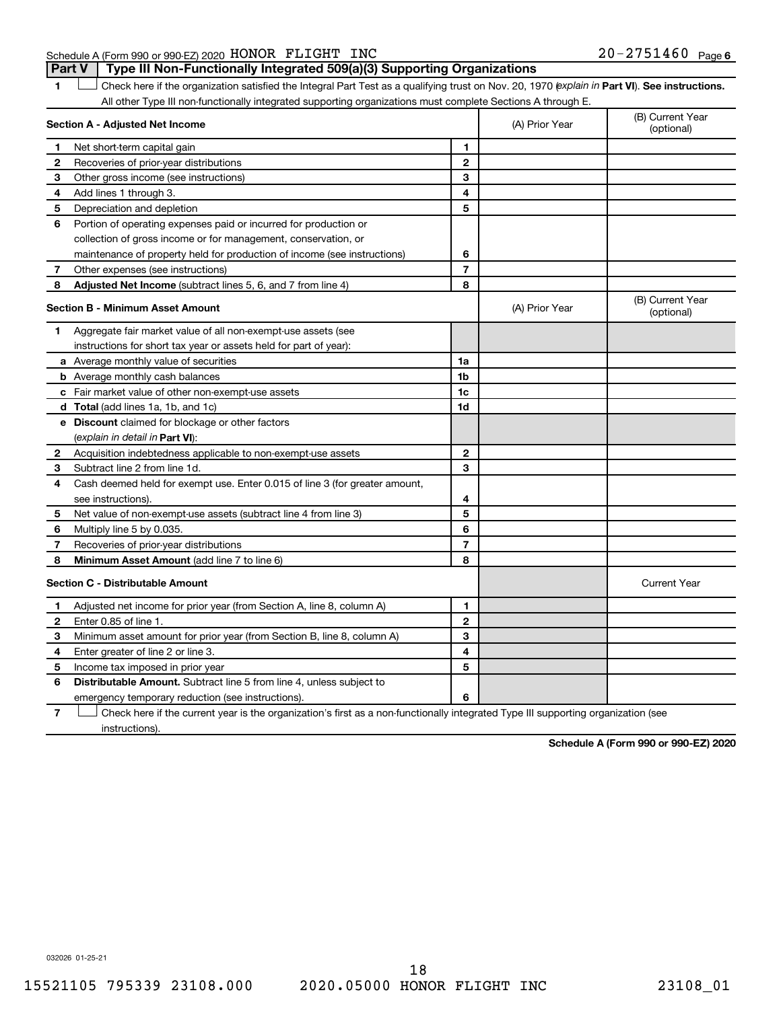Schedule A (Form 990 or 990-EZ) 2020 Page HONOR FLIGHT INC 20-2751460 **Part V** | Type III Non-Functionally Integrated 509(a)(3) Supporting Organizations

1 **b** Check here if the organization satisfied the Integral Part Test as a qualifying trust on Nov. 20, 1970 (explain in Part **VI**). See instructions. All other Type III non-functionally integrated supporting organizations must complete Sections A through E.

|              | Section A - Adjusted Net Income                                             |                | (A) Prior Year | (B) Current Year<br>(optional) |
|--------------|-----------------------------------------------------------------------------|----------------|----------------|--------------------------------|
| 1            | Net short-term capital gain                                                 | 1              |                |                                |
| 2            | Recoveries of prior-year distributions                                      | $\overline{2}$ |                |                                |
| 3            | Other gross income (see instructions)                                       | 3              |                |                                |
| 4            | Add lines 1 through 3.                                                      | 4              |                |                                |
| 5            | Depreciation and depletion                                                  | 5              |                |                                |
| 6            | Portion of operating expenses paid or incurred for production or            |                |                |                                |
|              | collection of gross income or for management, conservation, or              |                |                |                                |
|              | maintenance of property held for production of income (see instructions)    | 6              |                |                                |
| 7            | Other expenses (see instructions)                                           | $\overline{7}$ |                |                                |
| 8            | <b>Adjusted Net Income</b> (subtract lines 5, 6, and 7 from line 4)         | 8              |                |                                |
|              | <b>Section B - Minimum Asset Amount</b>                                     |                | (A) Prior Year | (B) Current Year<br>(optional) |
| 1            | Aggregate fair market value of all non-exempt-use assets (see               |                |                |                                |
|              | instructions for short tax year or assets held for part of year):           |                |                |                                |
|              | a Average monthly value of securities                                       | 1a             |                |                                |
|              | <b>b</b> Average monthly cash balances                                      | 1 <sub>b</sub> |                |                                |
|              | c Fair market value of other non-exempt-use assets                          | 1c             |                |                                |
|              | <b>d</b> Total (add lines 1a, 1b, and 1c)                                   | 1d             |                |                                |
|              | e Discount claimed for blockage or other factors                            |                |                |                                |
|              | (explain in detail in <b>Part VI</b> ):                                     |                |                |                                |
| 2            | Acquisition indebtedness applicable to non-exempt-use assets                | $\mathbf{2}$   |                |                                |
| З            | Subtract line 2 from line 1d.                                               | 3              |                |                                |
| 4            | Cash deemed held for exempt use. Enter 0.015 of line 3 (for greater amount, |                |                |                                |
|              | see instructions).                                                          | 4              |                |                                |
| 5            | Net value of non-exempt-use assets (subtract line 4 from line 3)            | 5              |                |                                |
| 6            | Multiply line 5 by 0.035.                                                   | 6              |                |                                |
| 7            | Recoveries of prior-year distributions                                      | $\overline{7}$ |                |                                |
| 8            | Minimum Asset Amount (add line 7 to line 6)                                 | 8              |                |                                |
|              | <b>Section C - Distributable Amount</b>                                     |                |                | <b>Current Year</b>            |
| $\mathbf{1}$ | Adjusted net income for prior year (from Section A, line 8, column A)       | 1              |                |                                |
| 2            | Enter 0.85 of line 1.                                                       | $\mathbf{2}$   |                |                                |
| 3            | Minimum asset amount for prior year (from Section B, line 8, column A)      | 3              |                |                                |
| 4            | Enter greater of line 2 or line 3.                                          | 4              |                |                                |
| 5            | Income tax imposed in prior year                                            | 5              |                |                                |
| 6            | <b>Distributable Amount.</b> Subtract line 5 from line 4, unless subject to |                |                |                                |
|              | emergency temporary reduction (see instructions).                           | 6              |                |                                |
|              |                                                                             |                |                |                                |

**7** Check here if the current year is the organization's first as a non-functionally integrated Type III supporting organization (see instructions).

**Schedule A (Form 990 or 990-EZ) 2020**

032026 01-25-21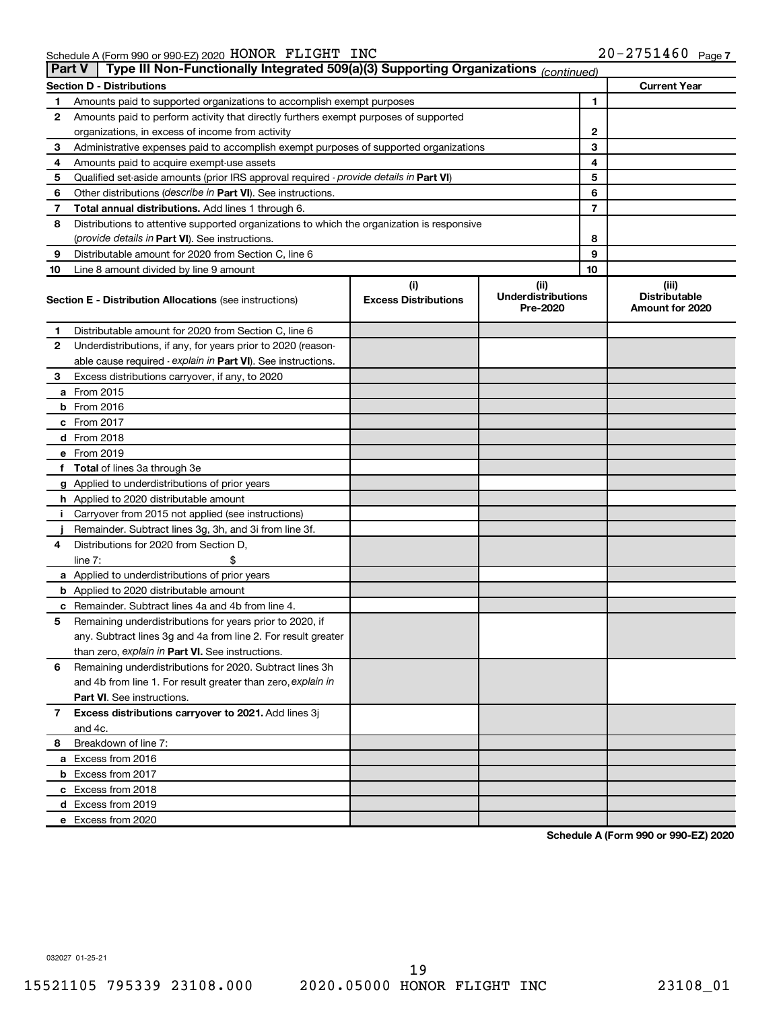|    | Type III Non-Functionally Integrated 509(a)(3) Supporting Organizations (continued)<br>Part V |                                    |                                               |                                                         |  |  |  |  |
|----|-----------------------------------------------------------------------------------------------|------------------------------------|-----------------------------------------------|---------------------------------------------------------|--|--|--|--|
|    | <b>Section D - Distributions</b>                                                              |                                    |                                               | <b>Current Year</b>                                     |  |  |  |  |
| 1  | Amounts paid to supported organizations to accomplish exempt purposes                         | 1                                  |                                               |                                                         |  |  |  |  |
| 2  | Amounts paid to perform activity that directly furthers exempt purposes of supported          |                                    |                                               |                                                         |  |  |  |  |
|    | organizations, in excess of income from activity                                              | 2                                  |                                               |                                                         |  |  |  |  |
| 3  | Administrative expenses paid to accomplish exempt purposes of supported organizations         | 3                                  |                                               |                                                         |  |  |  |  |
| 4  | Amounts paid to acquire exempt-use assets                                                     |                                    | 4                                             |                                                         |  |  |  |  |
| 5  | Qualified set-aside amounts (prior IRS approval required - provide details in Part VI)        |                                    | 5                                             |                                                         |  |  |  |  |
| 6  | Other distributions (describe in Part VI). See instructions.                                  |                                    | 6                                             |                                                         |  |  |  |  |
| 7  | Total annual distributions. Add lines 1 through 6.                                            |                                    | 7                                             |                                                         |  |  |  |  |
| 8  | Distributions to attentive supported organizations to which the organization is responsive    |                                    |                                               |                                                         |  |  |  |  |
|    | ( <i>provide details in</i> Part VI). See instructions.                                       |                                    | 8                                             |                                                         |  |  |  |  |
| 9  | Distributable amount for 2020 from Section C, line 6                                          |                                    | 9                                             |                                                         |  |  |  |  |
| 10 | Line 8 amount divided by line 9 amount                                                        |                                    | 10                                            |                                                         |  |  |  |  |
|    | <b>Section E - Distribution Allocations (see instructions)</b>                                | (i)<br><b>Excess Distributions</b> | (ii)<br><b>Underdistributions</b><br>Pre-2020 | (iii)<br><b>Distributable</b><br><b>Amount for 2020</b> |  |  |  |  |
| 1  | Distributable amount for 2020 from Section C, line 6                                          |                                    |                                               |                                                         |  |  |  |  |
| 2  | Underdistributions, if any, for years prior to 2020 (reason-                                  |                                    |                                               |                                                         |  |  |  |  |
|    | able cause required - explain in Part VI). See instructions.                                  |                                    |                                               |                                                         |  |  |  |  |
| 3  | Excess distributions carryover, if any, to 2020                                               |                                    |                                               |                                                         |  |  |  |  |
|    | a From 2015                                                                                   |                                    |                                               |                                                         |  |  |  |  |
|    | $b$ From 2016                                                                                 |                                    |                                               |                                                         |  |  |  |  |
|    | c From 2017                                                                                   |                                    |                                               |                                                         |  |  |  |  |
|    | <b>d</b> From 2018                                                                            |                                    |                                               |                                                         |  |  |  |  |
|    | e From 2019                                                                                   |                                    |                                               |                                                         |  |  |  |  |
|    | f Total of lines 3a through 3e                                                                |                                    |                                               |                                                         |  |  |  |  |
|    | g Applied to underdistributions of prior years                                                |                                    |                                               |                                                         |  |  |  |  |
|    | <b>h</b> Applied to 2020 distributable amount                                                 |                                    |                                               |                                                         |  |  |  |  |
| Ť. | Carryover from 2015 not applied (see instructions)                                            |                                    |                                               |                                                         |  |  |  |  |
|    | Remainder. Subtract lines 3g, 3h, and 3i from line 3f.                                        |                                    |                                               |                                                         |  |  |  |  |
| 4  | Distributions for 2020 from Section D,                                                        |                                    |                                               |                                                         |  |  |  |  |
|    | line $7:$                                                                                     |                                    |                                               |                                                         |  |  |  |  |
|    | a Applied to underdistributions of prior years                                                |                                    |                                               |                                                         |  |  |  |  |
|    | <b>b</b> Applied to 2020 distributable amount                                                 |                                    |                                               |                                                         |  |  |  |  |
|    | c Remainder. Subtract lines 4a and 4b from line 4.                                            |                                    |                                               |                                                         |  |  |  |  |
| 5  | Remaining underdistributions for years prior to 2020, if                                      |                                    |                                               |                                                         |  |  |  |  |
|    | any. Subtract lines 3g and 4a from line 2. For result greater                                 |                                    |                                               |                                                         |  |  |  |  |
|    | than zero, explain in Part VI. See instructions.                                              |                                    |                                               |                                                         |  |  |  |  |
| 6  | Remaining underdistributions for 2020. Subtract lines 3h                                      |                                    |                                               |                                                         |  |  |  |  |
|    | and 4b from line 1. For result greater than zero, explain in                                  |                                    |                                               |                                                         |  |  |  |  |
|    | <b>Part VI.</b> See instructions.                                                             |                                    |                                               |                                                         |  |  |  |  |
| 7  | Excess distributions carryover to 2021. Add lines 3j                                          |                                    |                                               |                                                         |  |  |  |  |
|    | and 4c.                                                                                       |                                    |                                               |                                                         |  |  |  |  |
| 8  | Breakdown of line 7:                                                                          |                                    |                                               |                                                         |  |  |  |  |
|    | a Excess from 2016                                                                            |                                    |                                               |                                                         |  |  |  |  |
|    | <b>b</b> Excess from 2017                                                                     |                                    |                                               |                                                         |  |  |  |  |
|    | c Excess from 2018                                                                            |                                    |                                               |                                                         |  |  |  |  |
|    | d Excess from 2019                                                                            |                                    |                                               |                                                         |  |  |  |  |
|    | e Excess from 2020                                                                            |                                    |                                               |                                                         |  |  |  |  |

**Schedule A (Form 990 or 990-EZ) 2020**

032027 01-25-21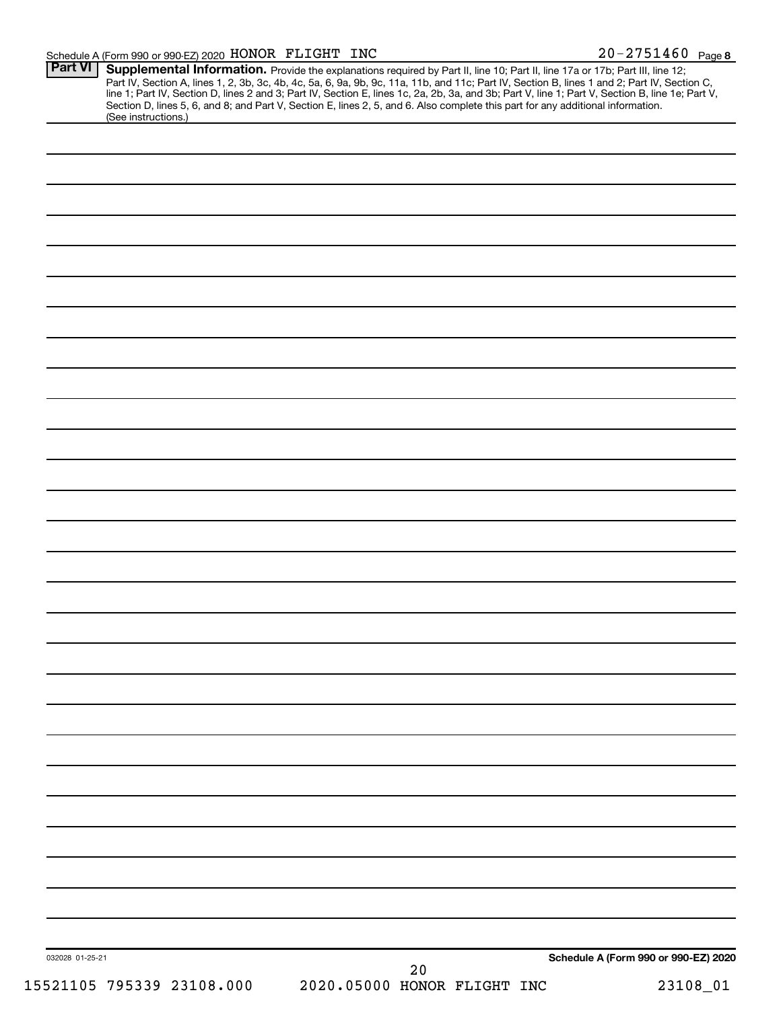| <b>Part VI</b><br>(See instructions.) |                             |    |  | <b>Supplemental Information.</b> Provide the explanations required by Part II, line 10; Part II, line 17a or 17b; Part III, line 12;<br>Part IV, Section A, lines 1, 2, 3b, 3c, 4b, 4c, 5a, 6, 9a, 9b, 9c, 11a, 11b, and 11c; Part IV, |
|---------------------------------------|-----------------------------|----|--|----------------------------------------------------------------------------------------------------------------------------------------------------------------------------------------------------------------------------------------|
|                                       |                             |    |  |                                                                                                                                                                                                                                        |
|                                       |                             |    |  |                                                                                                                                                                                                                                        |
|                                       |                             |    |  |                                                                                                                                                                                                                                        |
|                                       |                             |    |  |                                                                                                                                                                                                                                        |
|                                       |                             |    |  |                                                                                                                                                                                                                                        |
|                                       |                             |    |  |                                                                                                                                                                                                                                        |
|                                       |                             |    |  |                                                                                                                                                                                                                                        |
|                                       |                             |    |  |                                                                                                                                                                                                                                        |
|                                       |                             |    |  |                                                                                                                                                                                                                                        |
|                                       |                             |    |  |                                                                                                                                                                                                                                        |
|                                       |                             |    |  |                                                                                                                                                                                                                                        |
|                                       |                             |    |  |                                                                                                                                                                                                                                        |
|                                       |                             |    |  |                                                                                                                                                                                                                                        |
|                                       |                             |    |  |                                                                                                                                                                                                                                        |
|                                       |                             |    |  |                                                                                                                                                                                                                                        |
|                                       |                             |    |  |                                                                                                                                                                                                                                        |
|                                       |                             |    |  |                                                                                                                                                                                                                                        |
|                                       |                             |    |  |                                                                                                                                                                                                                                        |
|                                       |                             |    |  |                                                                                                                                                                                                                                        |
|                                       |                             |    |  |                                                                                                                                                                                                                                        |
|                                       |                             |    |  |                                                                                                                                                                                                                                        |
|                                       |                             |    |  |                                                                                                                                                                                                                                        |
|                                       |                             |    |  |                                                                                                                                                                                                                                        |
|                                       |                             |    |  |                                                                                                                                                                                                                                        |
|                                       |                             |    |  |                                                                                                                                                                                                                                        |
|                                       |                             |    |  |                                                                                                                                                                                                                                        |
|                                       |                             |    |  |                                                                                                                                                                                                                                        |
|                                       |                             |    |  |                                                                                                                                                                                                                                        |
|                                       |                             |    |  |                                                                                                                                                                                                                                        |
| 032028 01-25-21                       |                             |    |  | Schedule A (Form 990 or 990-EZ) 2020                                                                                                                                                                                                   |
| 15521105 795339 23108.000             | 2020.05000 HONOR FLIGHT INC | 20 |  | 23108_01                                                                                                                                                                                                                               |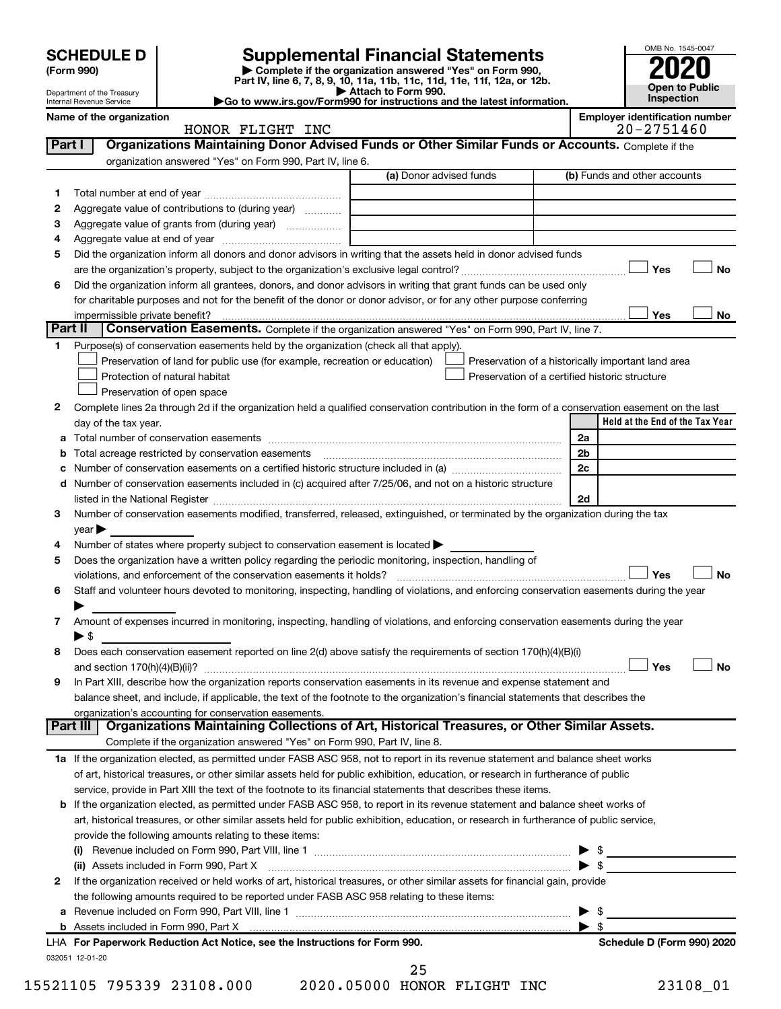| <b>SCHEDULE D</b><br>(Form 990)<br>Department of the Treasury<br>Internal Revenue Service |                                |                                                                 | <b>Supplemental Financial Statements</b><br>Complete if the organization answered "Yes" on Form 990,<br>Part IV, line 6, 7, 8, 9, 10, 11a, 11b, 11c, 11d, 11e, 11f, 12a, or 12b.<br>Attach to Form 990.<br>Go to www.irs.gov/Form990 for instructions and the latest information.                                                                                 |                | OMB No. 1545-0047<br><b>Open to Public</b><br>Inspection |
|-------------------------------------------------------------------------------------------|--------------------------------|-----------------------------------------------------------------|-------------------------------------------------------------------------------------------------------------------------------------------------------------------------------------------------------------------------------------------------------------------------------------------------------------------------------------------------------------------|----------------|----------------------------------------------------------|
|                                                                                           | Name of the organization       | HONOR FLIGHT INC                                                |                                                                                                                                                                                                                                                                                                                                                                   |                | <b>Employer identification number</b><br>$20 - 2751460$  |
| Part I                                                                                    |                                |                                                                 | Organizations Maintaining Donor Advised Funds or Other Similar Funds or Accounts. Complete if the                                                                                                                                                                                                                                                                 |                |                                                          |
|                                                                                           |                                | organization answered "Yes" on Form 990, Part IV, line 6.       |                                                                                                                                                                                                                                                                                                                                                                   |                |                                                          |
|                                                                                           |                                |                                                                 | (a) Donor advised funds                                                                                                                                                                                                                                                                                                                                           |                | (b) Funds and other accounts                             |
| 1                                                                                         |                                |                                                                 |                                                                                                                                                                                                                                                                                                                                                                   |                |                                                          |
| 2                                                                                         |                                | Aggregate value of contributions to (during year) <i>mimima</i> |                                                                                                                                                                                                                                                                                                                                                                   |                |                                                          |
| з                                                                                         |                                |                                                                 |                                                                                                                                                                                                                                                                                                                                                                   |                |                                                          |
| 4                                                                                         |                                |                                                                 |                                                                                                                                                                                                                                                                                                                                                                   |                |                                                          |
| 5                                                                                         |                                |                                                                 | Did the organization inform all donors and donor advisors in writing that the assets held in donor advised funds                                                                                                                                                                                                                                                  |                |                                                          |
|                                                                                           |                                |                                                                 |                                                                                                                                                                                                                                                                                                                                                                   |                | <b>No</b><br>Yes                                         |
| 6                                                                                         |                                |                                                                 | Did the organization inform all grantees, donors, and donor advisors in writing that grant funds can be used only                                                                                                                                                                                                                                                 |                |                                                          |
|                                                                                           |                                |                                                                 | for charitable purposes and not for the benefit of the donor or donor advisor, or for any other purpose conferring                                                                                                                                                                                                                                                |                |                                                          |
|                                                                                           | impermissible private benefit? |                                                                 |                                                                                                                                                                                                                                                                                                                                                                   |                | Yes<br>No                                                |
| Part II                                                                                   |                                |                                                                 | Conservation Easements. Complete if the organization answered "Yes" on Form 990, Part IV, line 7.                                                                                                                                                                                                                                                                 |                |                                                          |
| 1.                                                                                        |                                |                                                                 | Purpose(s) of conservation easements held by the organization (check all that apply).                                                                                                                                                                                                                                                                             |                |                                                          |
|                                                                                           |                                |                                                                 | Preservation of land for public use (for example, recreation or education)<br>Preservation of a historically important land area                                                                                                                                                                                                                                  |                |                                                          |
|                                                                                           |                                |                                                                 |                                                                                                                                                                                                                                                                                                                                                                   |                |                                                          |
|                                                                                           |                                | Protection of natural habitat                                   | Preservation of a certified historic structure                                                                                                                                                                                                                                                                                                                    |                |                                                          |
|                                                                                           |                                | Preservation of open space                                      |                                                                                                                                                                                                                                                                                                                                                                   |                |                                                          |
| $\mathbf{2}$                                                                              |                                |                                                                 | Complete lines 2a through 2d if the organization held a qualified conservation contribution in the form of a conservation easement on the last                                                                                                                                                                                                                    |                |                                                          |
|                                                                                           | day of the tax year.           |                                                                 |                                                                                                                                                                                                                                                                                                                                                                   |                |                                                          |
| a                                                                                         |                                |                                                                 |                                                                                                                                                                                                                                                                                                                                                                   | 2a             |                                                          |
| b                                                                                         |                                | Total acreage restricted by conservation easements              |                                                                                                                                                                                                                                                                                                                                                                   | 2 <sub>b</sub> | Held at the End of the Tax Year                          |
| с                                                                                         |                                |                                                                 | Number of conservation easements on a certified historic structure included in (a)                                                                                                                                                                                                                                                                                | 2c             |                                                          |
| d                                                                                         |                                |                                                                 |                                                                                                                                                                                                                                                                                                                                                                   |                |                                                          |
|                                                                                           |                                |                                                                 | Number of conservation easements included in (c) acquired after 7/25/06, and not on a historic structure                                                                                                                                                                                                                                                          | 2d             |                                                          |
| 3                                                                                         |                                |                                                                 | listed in the National Register [111] Marshall Register [11] Marshall Register [11] Marshall Register [11] Marshall Register [11] Marshall Register [11] Marshall Register [11] Marshall Register [11] Marshall Register [11]<br>Number of conservation easements modified, transferred, released, extinguished, or terminated by the organization during the tax |                |                                                          |

**4** Number of states where property subject to conservation easement is located >

| 5. | Does the organization have a written policy regarding the periodic monitoring, inspection, handling of                                    |
|----|-------------------------------------------------------------------------------------------------------------------------------------------|
|    | — ∣No<br><b>Yes</b><br>violations, and enforcement of the conservation easements it holds?                                                |
| 6. | Staff and volunteer hours devoted to monitoring, inspecting, handling of violations, and enforcing conservation easements during the year |
|    |                                                                                                                                           |
|    | Amount of expenses incurred in monitoring, inspecting, handling of violations, and enforcing conservation easements during the year       |
|    |                                                                                                                                           |

| 8 | conservation easement reported on line 2(d) above satisfy the requirements of section 17 |                |
|---|------------------------------------------------------------------------------------------|----------------|
|   |                                                                                          | N <sub>c</sub> |

| 9 In Part XIII, describe how the organization reports conservation easements in its revenue and expense statement and             |
|-----------------------------------------------------------------------------------------------------------------------------------|
| balance sheet, and include, if applicable, the text of the footnote to the organization's financial statements that describes the |
| organization's accounting for conservation easements.                                                                             |

| Part III   Organizations Maintaining Collections of Art, Historical Treasures, or Other Similar Assets. |  |
|---------------------------------------------------------------------------------------------------------|--|
| Complete if the organization answered "Yes" on Form 990, Part IV, line 8.                               |  |

| 1a If the organization elected, as permitted under FASB ASC 958, not to report in its revenue statement and balance sheet works   |
|-----------------------------------------------------------------------------------------------------------------------------------|
| of art, historical treasures, or other similar assets held for public exhibition, education, or research in furtherance of public |
| service, provide in Part XIII the text of the footnote to its financial statements that describes these items.                    |

| <b>b</b> If the organization elected, as permitted under FASB ASC 958, to report in its revenue statement and balance sheet works of    |     |  |
|-----------------------------------------------------------------------------------------------------------------------------------------|-----|--|
| art, historical treasures, or other similar assets held for public exhibition, education, or research in furtherance of public service, |     |  |
| provide the following amounts relating to these items:                                                                                  |     |  |
| (i) Revenue included on Form 990 Part VIII line 1                                                                                       | ► ৎ |  |

| .<br>.<br>$\sim$                                                                                                               |                         |  |
|--------------------------------------------------------------------------------------------------------------------------------|-------------------------|--|
|                                                                                                                                |                         |  |
| <b>a</b> Revenue included on Form 990, Part VIII, line 1                                                                       | $\blacktriangleright$ s |  |
| the following amounts required to be reported under FASB ASC 958 relating to these items:                                      |                         |  |
| 2 If the organization received or held works of art, historical treasures, or other similar assets for financial gain, provide |                         |  |
| (ii) Assets included in Form 990, Part X [110] [2010] [2010] [2010] Assets included in Form 990, Part X                        |                         |  |
| Revenue included on Form 990, Part VIII, line 1<br>(i)                                                                         |                         |  |

| LHA For Paperwork Reduction Act Notice, see the Instructions for Form 990. |
|----------------------------------------------------------------------------|
| 032051 12-01-20                                                            |

**Schedule D (Form 990) 2020** 

25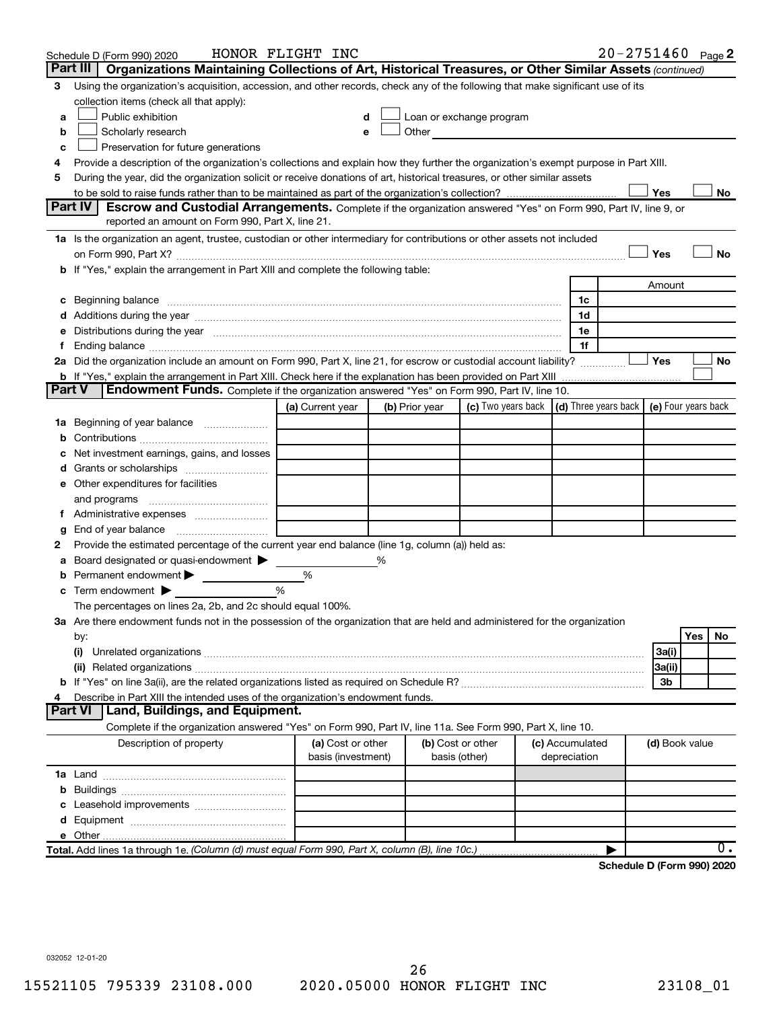|               | Schedule D (Form 990) 2020                                                                                                                                                                                                     | HONOR FLIGHT INC   |   |                |                                                 |                 | $20 - 2751460$ Page 2      |                     |     |           |
|---------------|--------------------------------------------------------------------------------------------------------------------------------------------------------------------------------------------------------------------------------|--------------------|---|----------------|-------------------------------------------------|-----------------|----------------------------|---------------------|-----|-----------|
|               | Organizations Maintaining Collections of Art, Historical Treasures, or Other Similar Assets (continued)<br>Part III                                                                                                            |                    |   |                |                                                 |                 |                            |                     |     |           |
| 3             | Using the organization's acquisition, accession, and other records, check any of the following that make significant use of its                                                                                                |                    |   |                |                                                 |                 |                            |                     |     |           |
|               | collection items (check all that apply):                                                                                                                                                                                       |                    |   |                |                                                 |                 |                            |                     |     |           |
| a             | Public exhibition                                                                                                                                                                                                              |                    |   |                | Loan or exchange program                        |                 |                            |                     |     |           |
| b             | Scholarly research                                                                                                                                                                                                             | e                  |   |                | Other <b>Communication</b>                      |                 |                            |                     |     |           |
| c             | Preservation for future generations                                                                                                                                                                                            |                    |   |                |                                                 |                 |                            |                     |     |           |
| 4             | Provide a description of the organization's collections and explain how they further the organization's exempt purpose in Part XIII.                                                                                           |                    |   |                |                                                 |                 |                            |                     |     |           |
| 5             | During the year, did the organization solicit or receive donations of art, historical treasures, or other similar assets                                                                                                       |                    |   |                |                                                 |                 |                            |                     |     |           |
|               |                                                                                                                                                                                                                                |                    |   |                |                                                 |                 |                            | Yes                 |     | No        |
|               | Part IV I<br>Escrow and Custodial Arrangements. Complete if the organization answered "Yes" on Form 990, Part IV, line 9, or                                                                                                   |                    |   |                |                                                 |                 |                            |                     |     |           |
|               | reported an amount on Form 990, Part X, line 21.                                                                                                                                                                               |                    |   |                |                                                 |                 |                            |                     |     |           |
|               | 1a Is the organization an agent, trustee, custodian or other intermediary for contributions or other assets not included                                                                                                       |                    |   |                |                                                 |                 |                            |                     |     |           |
|               |                                                                                                                                                                                                                                |                    |   |                |                                                 |                 |                            | Yes                 |     | <b>No</b> |
|               | b If "Yes," explain the arrangement in Part XIII and complete the following table:                                                                                                                                             |                    |   |                |                                                 |                 |                            |                     |     |           |
|               |                                                                                                                                                                                                                                |                    |   |                |                                                 |                 |                            | Amount              |     |           |
| с             | Beginning balance measurements and contain the contract of the contract of the contract of the contract of the                                                                                                                 |                    |   |                |                                                 | 1c              |                            |                     |     |           |
|               |                                                                                                                                                                                                                                |                    |   |                |                                                 | 1d              |                            |                     |     |           |
| е             | Distributions during the year manufactured and an account of the year manufactured and the year manufactured and the year manufactured and the year manufactured and the year manufactured and the year manufactured and the y |                    |   |                |                                                 | 1e              |                            |                     |     |           |
| Ť.            |                                                                                                                                                                                                                                |                    |   |                |                                                 | 1f              |                            |                     |     |           |
|               | 2a Did the organization include an amount on Form 990, Part X, line 21, for escrow or custodial account liability?                                                                                                             |                    |   |                |                                                 |                 |                            | Yes                 |     | No        |
| <b>Part V</b> | <b>b</b> If "Yes," explain the arrangement in Part XIII. Check here if the explanation has been provided on Part XIII<br>Endowment Funds. Complete if the organization answered "Yes" on Form 990, Part IV, line 10.           |                    |   |                |                                                 |                 |                            |                     |     |           |
|               |                                                                                                                                                                                                                                |                    |   |                |                                                 |                 |                            |                     |     |           |
|               |                                                                                                                                                                                                                                | (a) Current year   |   | (b) Prior year | (c) Two years back $ $ (d) Three years back $ $ |                 |                            | (e) Four years back |     |           |
|               | 1a Beginning of year balance                                                                                                                                                                                                   |                    |   |                |                                                 |                 |                            |                     |     |           |
| b             |                                                                                                                                                                                                                                |                    |   |                |                                                 |                 |                            |                     |     |           |
| с             | Net investment earnings, gains, and losses                                                                                                                                                                                     |                    |   |                |                                                 |                 |                            |                     |     |           |
| d             | Grants or scholarships                                                                                                                                                                                                         |                    |   |                |                                                 |                 |                            |                     |     |           |
|               | e Other expenditures for facilities                                                                                                                                                                                            |                    |   |                |                                                 |                 |                            |                     |     |           |
|               | and programs                                                                                                                                                                                                                   |                    |   |                |                                                 |                 |                            |                     |     |           |
|               | f Administrative expenses                                                                                                                                                                                                      |                    |   |                |                                                 |                 |                            |                     |     |           |
| g             | Provide the estimated percentage of the current year end balance (line 1g, column (a)) held as:                                                                                                                                |                    |   |                |                                                 |                 |                            |                     |     |           |
| 2             | Board designated or quasi-endowment                                                                                                                                                                                            |                    | % |                |                                                 |                 |                            |                     |     |           |
| а             | Permanent endowment                                                                                                                                                                                                            | %                  |   |                |                                                 |                 |                            |                     |     |           |
| b             | Term endowment $\blacktriangleright$                                                                                                                                                                                           | %                  |   |                |                                                 |                 |                            |                     |     |           |
| с             | The percentages on lines 2a, 2b, and 2c should equal 100%.                                                                                                                                                                     |                    |   |                |                                                 |                 |                            |                     |     |           |
|               | 3a Are there endowment funds not in the possession of the organization that are held and administered for the organization                                                                                                     |                    |   |                |                                                 |                 |                            |                     |     |           |
|               | by:                                                                                                                                                                                                                            |                    |   |                |                                                 |                 |                            |                     | Yes | No.       |
|               | (i)                                                                                                                                                                                                                            |                    |   |                |                                                 |                 |                            | 3a(i)               |     |           |
|               |                                                                                                                                                                                                                                |                    |   |                |                                                 |                 |                            | 3a(ii)              |     |           |
|               |                                                                                                                                                                                                                                |                    |   |                |                                                 |                 |                            | 3b                  |     |           |
| 4             | Describe in Part XIII the intended uses of the organization's endowment funds.                                                                                                                                                 |                    |   |                |                                                 |                 |                            |                     |     |           |
|               | Land, Buildings, and Equipment.<br><b>Part VI</b>                                                                                                                                                                              |                    |   |                |                                                 |                 |                            |                     |     |           |
|               | Complete if the organization answered "Yes" on Form 990, Part IV, line 11a. See Form 990, Part X, line 10.                                                                                                                     |                    |   |                |                                                 |                 |                            |                     |     |           |
|               | Description of property                                                                                                                                                                                                        | (a) Cost or other  |   |                | (b) Cost or other                               | (c) Accumulated |                            | (d) Book value      |     |           |
|               |                                                                                                                                                                                                                                | basis (investment) |   |                | basis (other)                                   | depreciation    |                            |                     |     |           |
|               |                                                                                                                                                                                                                                |                    |   |                |                                                 |                 |                            |                     |     |           |
| b             |                                                                                                                                                                                                                                |                    |   |                |                                                 |                 |                            |                     |     |           |
| c             | Leasehold improvements                                                                                                                                                                                                         |                    |   |                |                                                 |                 |                            |                     |     |           |
|               |                                                                                                                                                                                                                                |                    |   |                |                                                 |                 |                            |                     |     |           |
|               |                                                                                                                                                                                                                                |                    |   |                |                                                 |                 |                            |                     |     |           |
|               | Total. Add lines 1a through 1e. (Column (d) must equal Form 990, Part X, column (B), line 10c.)                                                                                                                                |                    |   |                |                                                 |                 |                            |                     |     | 0.        |
|               |                                                                                                                                                                                                                                |                    |   |                |                                                 |                 | Schedule D (Form 990) 2020 |                     |     |           |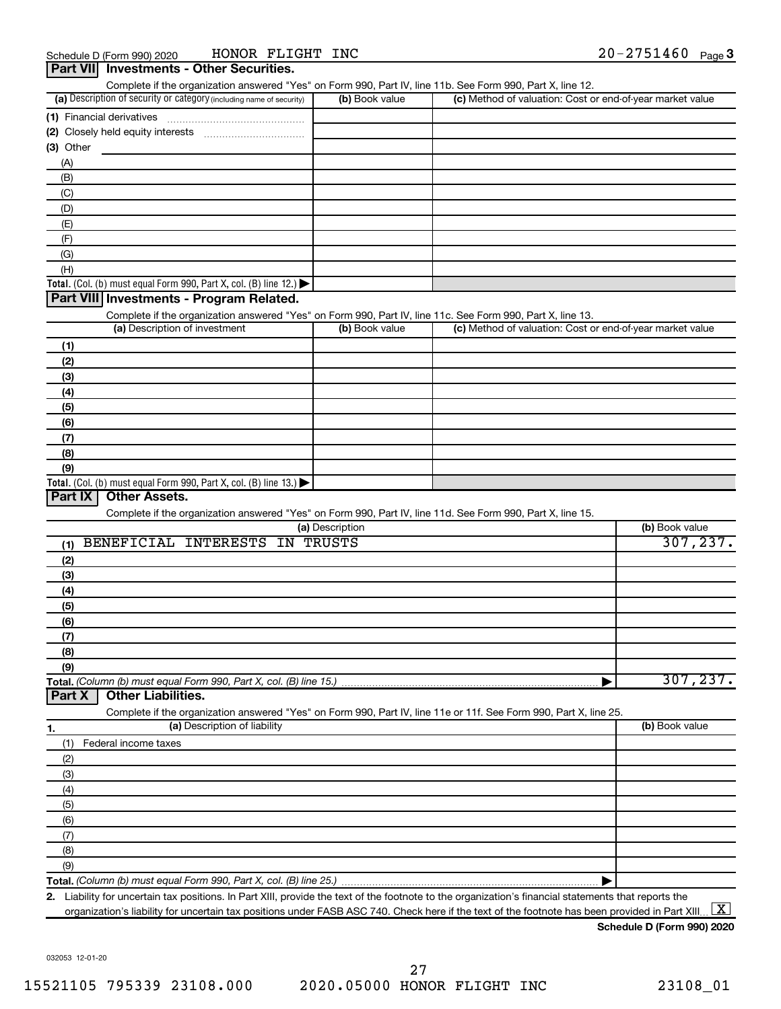| Complete if the organization answered "Yes" on Form 990, Part IV, line 11b. See Form 990, Part X, line 12.<br>(a) Description of security or category (including name of security) | (b) Book value  | (c) Method of valuation: Cost or end-of-year market value |                |
|------------------------------------------------------------------------------------------------------------------------------------------------------------------------------------|-----------------|-----------------------------------------------------------|----------------|
|                                                                                                                                                                                    |                 |                                                           |                |
| (1) Financial derivatives                                                                                                                                                          |                 |                                                           |                |
| (2) Closely held equity interests                                                                                                                                                  |                 |                                                           |                |
| (3) Other                                                                                                                                                                          |                 |                                                           |                |
| (A)                                                                                                                                                                                |                 |                                                           |                |
| (B)                                                                                                                                                                                |                 |                                                           |                |
| (C)                                                                                                                                                                                |                 |                                                           |                |
| (D)                                                                                                                                                                                |                 |                                                           |                |
| (E)                                                                                                                                                                                |                 |                                                           |                |
| (F)                                                                                                                                                                                |                 |                                                           |                |
| (G)                                                                                                                                                                                |                 |                                                           |                |
| (H)                                                                                                                                                                                |                 |                                                           |                |
|                                                                                                                                                                                    |                 |                                                           |                |
| Total. (Col. (b) must equal Form 990, Part X, col. (B) line 12.) $\blacktriangleright$                                                                                             |                 |                                                           |                |
| Part VIII Investments - Program Related.                                                                                                                                           |                 |                                                           |                |
| Complete if the organization answered "Yes" on Form 990, Part IV, line 11c. See Form 990, Part X, line 13.                                                                         |                 |                                                           |                |
| (a) Description of investment                                                                                                                                                      | (b) Book value  | (c) Method of valuation: Cost or end-of-year market value |                |
| (1)                                                                                                                                                                                |                 |                                                           |                |
| (2)                                                                                                                                                                                |                 |                                                           |                |
| (3)                                                                                                                                                                                |                 |                                                           |                |
| (4)                                                                                                                                                                                |                 |                                                           |                |
| (5)                                                                                                                                                                                |                 |                                                           |                |
|                                                                                                                                                                                    |                 |                                                           |                |
| (6)                                                                                                                                                                                |                 |                                                           |                |
| (7)                                                                                                                                                                                |                 |                                                           |                |
| (8)                                                                                                                                                                                |                 |                                                           |                |
| (9)                                                                                                                                                                                |                 |                                                           |                |
| Total. (Col. (b) must equal Form 990, Part X, col. (B) line 13.)                                                                                                                   |                 |                                                           |                |
| <b>Other Assets.</b><br>Part IX                                                                                                                                                    |                 |                                                           |                |
| Complete if the organization answered "Yes" on Form 990, Part IV, line 11d. See Form 990, Part X, line 15.                                                                         |                 |                                                           |                |
|                                                                                                                                                                                    | (a) Description |                                                           | (b) Book value |
| BENEFICIAL INTERESTS<br>(1)                                                                                                                                                        | IN TRUSTS       |                                                           | 307, 237.      |
| (2)                                                                                                                                                                                |                 |                                                           |                |
| (3)                                                                                                                                                                                |                 |                                                           |                |
| (4)                                                                                                                                                                                |                 |                                                           |                |
|                                                                                                                                                                                    |                 |                                                           |                |
| (5)                                                                                                                                                                                |                 |                                                           |                |
| (6)                                                                                                                                                                                |                 |                                                           |                |
| (7)                                                                                                                                                                                |                 |                                                           |                |
| (8)                                                                                                                                                                                |                 |                                                           |                |
| (9)                                                                                                                                                                                |                 |                                                           |                |
|                                                                                                                                                                                    |                 |                                                           |                |
| Total. (Column (b) must equal Form 990, Part X, col. (B) line 15.)                                                                                                                 |                 |                                                           |                |
| <b>Other Liabilities.</b><br>Part X                                                                                                                                                |                 |                                                           | 307, 237.      |
| Complete if the organization answered "Yes" on Form 990, Part IV, line 11e or 11f. See Form 990, Part X, line 25.                                                                  |                 |                                                           |                |
| (a) Description of liability<br>1.                                                                                                                                                 |                 |                                                           | (b) Book value |
|                                                                                                                                                                                    |                 |                                                           |                |
| (1)<br>Federal income taxes                                                                                                                                                        |                 |                                                           |                |
| (2)                                                                                                                                                                                |                 |                                                           |                |
| (3)                                                                                                                                                                                |                 |                                                           |                |
| (4)                                                                                                                                                                                |                 |                                                           |                |
| (5)                                                                                                                                                                                |                 |                                                           |                |
| (6)                                                                                                                                                                                |                 |                                                           |                |
| (7)                                                                                                                                                                                |                 |                                                           |                |
| (8)                                                                                                                                                                                |                 |                                                           |                |
| (9)                                                                                                                                                                                |                 |                                                           |                |

**2.** Liability for uncertain tax positions. In Part XIII, provide the text of the footnote to the organization's financial statements that reports the organization's liability for uncertain tax positions under FASB ASC 740. Check here if the text of the footnote has been provided in Part XIII...  $\boxed{\mathrm{X}}$ 

**Schedule D (Form 990) 2020**

032053 12-01-20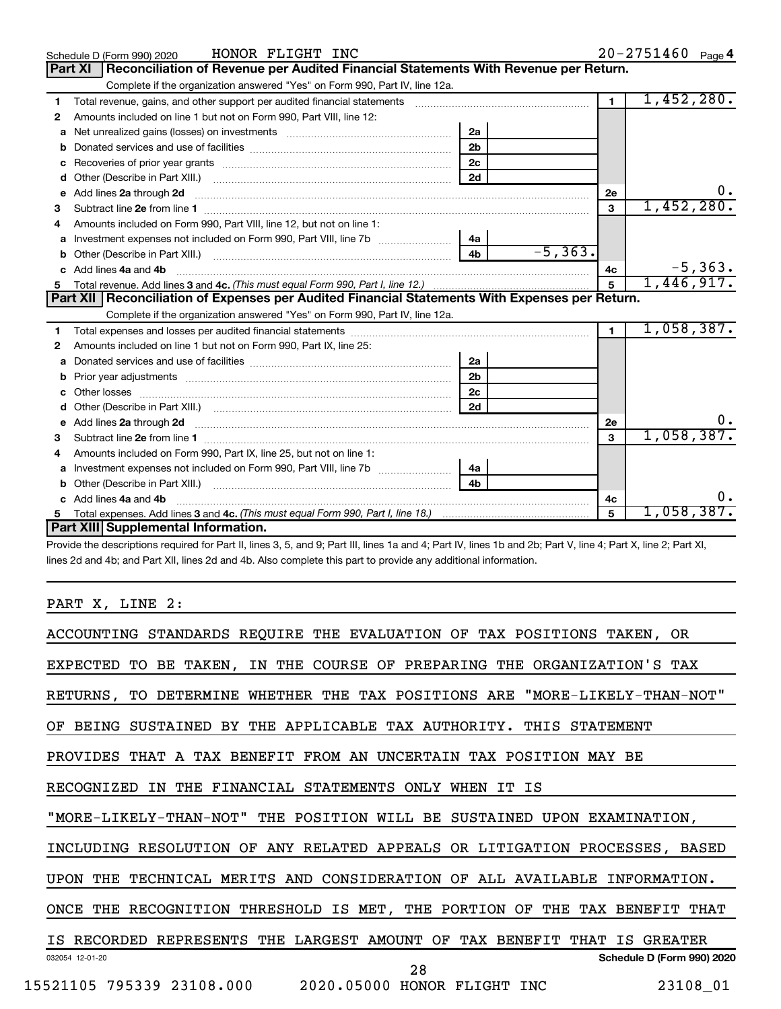|    | HONOR FLIGHT INC<br>Schedule D (Form 990) 2020                                                                                                                                                                                      |                |            |                | 20-2751460 Page 4 |
|----|-------------------------------------------------------------------------------------------------------------------------------------------------------------------------------------------------------------------------------------|----------------|------------|----------------|-------------------|
|    | <b>Reconciliation of Revenue per Audited Financial Statements With Revenue per Return.</b><br> Part XI                                                                                                                              |                |            |                |                   |
|    | Complete if the organization answered "Yes" on Form 990, Part IV, line 12a.                                                                                                                                                         |                |            |                |                   |
| 1  |                                                                                                                                                                                                                                     |                |            | $\overline{1}$ | 1,452,280.        |
| 2  | Amounts included on line 1 but not on Form 990, Part VIII, line 12:                                                                                                                                                                 |                |            |                |                   |
| a  |                                                                                                                                                                                                                                     | 2a             |            |                |                   |
| b  |                                                                                                                                                                                                                                     | 2 <sub>b</sub> |            |                |                   |
| с  |                                                                                                                                                                                                                                     | 2c             |            |                |                   |
| d  |                                                                                                                                                                                                                                     | 2d             |            |                |                   |
| е  | Add lines 2a through 2d <b>[10]</b> University of the state of the state of the state of the state of the state of the state of the state of the state of the state of the state of the state of the state of the state of the stat |                |            | 2e             | $0 \cdot$         |
| з  |                                                                                                                                                                                                                                     |                |            | 3              | 1,452,280.        |
|    | Amounts included on Form 990, Part VIII, line 12, but not on line 1:                                                                                                                                                                |                |            |                |                   |
| a  |                                                                                                                                                                                                                                     | 4a             |            |                |                   |
| b  |                                                                                                                                                                                                                                     | 4 <sub>b</sub> | $-5, 363.$ |                |                   |
|    | Add lines 4a and 4b                                                                                                                                                                                                                 |                |            | 4c             | $-5, 363.$        |
| 5. |                                                                                                                                                                                                                                     |                |            |                | 1,446,917.        |
|    |                                                                                                                                                                                                                                     |                |            |                |                   |
|    | Part XII   Reconciliation of Expenses per Audited Financial Statements With Expenses per Return.                                                                                                                                    |                |            |                |                   |
|    | Complete if the organization answered "Yes" on Form 990, Part IV, line 12a.                                                                                                                                                         |                |            |                |                   |
| 1  |                                                                                                                                                                                                                                     |                |            | $\blacksquare$ | 1,058,387.        |
| 2  | Amounts included on line 1 but not on Form 990, Part IX, line 25:                                                                                                                                                                   |                |            |                |                   |
| a  |                                                                                                                                                                                                                                     | 2a             |            |                |                   |
| b  |                                                                                                                                                                                                                                     | 2 <sub>b</sub> |            |                |                   |
| c  |                                                                                                                                                                                                                                     | 2 <sub>c</sub> |            |                |                   |
|    | Other (Describe in Part XIII.) (2000) (2000) (2000) (2010) (2010) (2010) (2010) (2010) (2010) (2010) (2010) (20                                                                                                                     | 2d             |            |                |                   |
| e  | Add lines 2a through 2d <b>contained a contained a contained a contained a</b> contained a contact the state of the state of the state of the state of the state of the state of the state of the state of the state of the state o |                |            | 2e             | 0.                |
| з  | Subtract line 2e from line 1 <b>manufacture in the contract of the 2e</b> from line 1                                                                                                                                               |                |            | $\mathbf{a}$   | 1,058,387.        |
| 4  | Amounts included on Form 990, Part IX, line 25, but not on line 1:                                                                                                                                                                  |                |            |                |                   |
| a  |                                                                                                                                                                                                                                     | 4a             |            |                |                   |
|    |                                                                                                                                                                                                                                     | 4h             |            |                |                   |
|    | Add lines 4a and 4b                                                                                                                                                                                                                 |                |            | 4c             |                   |
| 5  | Part XIII Supplemental Information.                                                                                                                                                                                                 |                |            | 5              | $1,058,387$ .     |

Provide the descriptions required for Part II, lines 3, 5, and 9; Part III, lines 1a and 4; Part IV, lines 1b and 2b; Part V, line 4; Part X, line 2; Part XI, lines 2d and 4b; and Part XII, lines 2d and 4b. Also complete this part to provide any additional information.

## PART X, LINE 2:

| ACCOUNTING STANDARDS REQUIRE THE EVALUATION OF TAX POSITIONS TAKEN, OR     |
|----------------------------------------------------------------------------|
| EXPECTED TO BE TAKEN, IN THE COURSE OF PREPARING THE ORGANIZATION'S TAX    |
| RETURNS, TO DETERMINE WHETHER THE TAX POSITIONS ARE "MORE-LIKELY-THAN-NOT" |
| OF BEING SUSTAINED BY THE APPLICABLE TAX AUTHORITY. THIS STATEMENT         |
| PROVIDES THAT A TAX BENEFIT FROM AN UNCERTAIN TAX POSITION MAY BE          |
| RECOGNIZED IN THE FINANCIAL STATEMENTS ONLY WHEN IT IS                     |
| "MORE-LIKELY-THAN-NOT" THE POSITION WILL BE SUSTAINED UPON EXAMINATION,    |
| INCLUDING RESOLUTION OF ANY RELATED APPEALS OR LITIGATION PROCESSES, BASED |
| UPON THE TECHNICAL MERITS AND CONSIDERATION OF ALL AVAILABLE INFORMATION.  |
| ONCE THE RECOGNITION THRESHOLD IS MET, THE PORTION OF THE TAX BENEFIT THAT |
| IS RECORDED REPRESENTS THE LARGEST AMOUNT OF TAX BENEFIT THAT IS GREATER   |
| Schedule D (Form 990) 2020<br>032054 12-01-20<br>28                        |
| 23108 01                                                                   |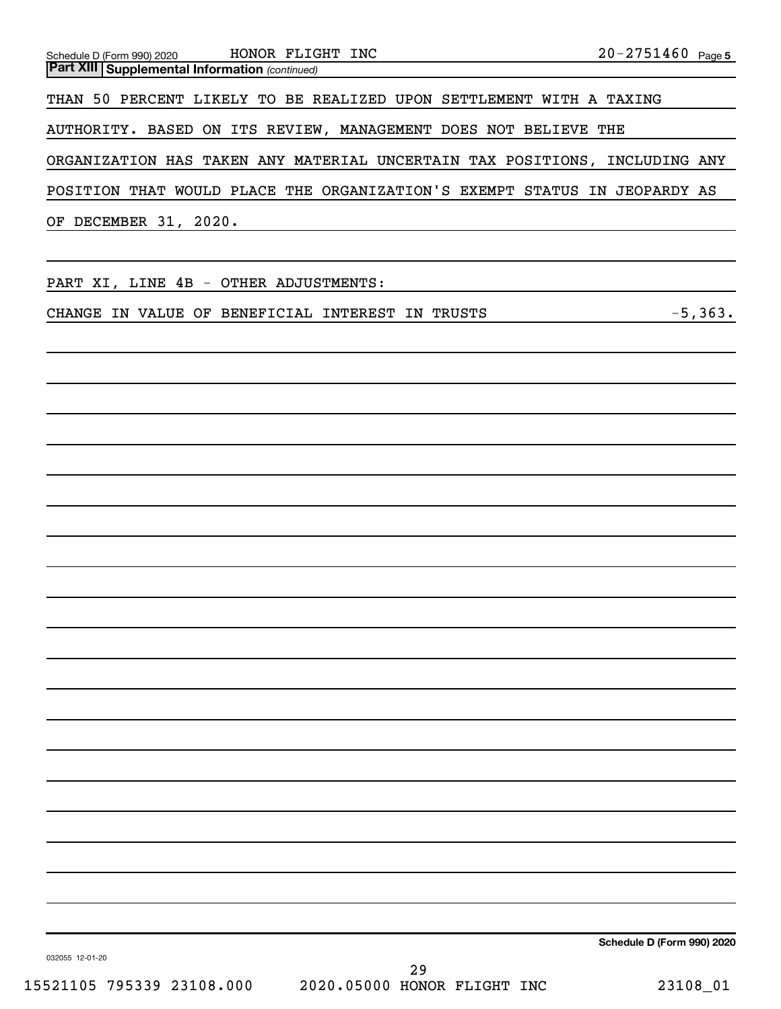| <b>Part XIII   Supplemental Information (continued)</b>                    |
|----------------------------------------------------------------------------|
| THAN 50 PERCENT LIKELY TO BE REALIZED UPON SETTLEMENT WITH A TAXING        |
| AUTHORITY. BASED ON ITS REVIEW, MANAGEMENT DOES NOT BELIEVE THE            |
| ORGANIZATION HAS TAKEN ANY MATERIAL UNCERTAIN TAX POSITIONS, INCLUDING ANY |
| POSITION THAT WOULD PLACE THE ORGANIZATION'S EXEMPT STATUS IN JEOPARDY AS  |
| OF DECEMBER 31, 2020.<br><u> 1989 - Johann Barbara, martin a</u>           |
|                                                                            |
| PART XI, LINE 4B - OTHER ADJUSTMENTS:                                      |
| $-5, 363.$<br>CHANGE IN VALUE OF BENEFICIAL INTEREST IN TRUSTS             |
|                                                                            |
|                                                                            |
|                                                                            |
|                                                                            |
|                                                                            |
|                                                                            |
|                                                                            |
|                                                                            |
|                                                                            |
|                                                                            |
|                                                                            |
|                                                                            |
|                                                                            |
|                                                                            |
|                                                                            |
|                                                                            |
|                                                                            |
|                                                                            |
|                                                                            |
|                                                                            |
| Schedule D (Form 990) 2020<br>032055 12-01-20                              |
| 29<br>15521105 795339 23108.000<br>2020.05000 HONOR FLIGHT INC<br>23108_01 |

Schedule D (Form 990) 2020 HONOK FLIGHT INC Z U-Z 7 5 L 4 b U Page

HONOR FLIGHT INC 20-2751460

20-2751460 Page 5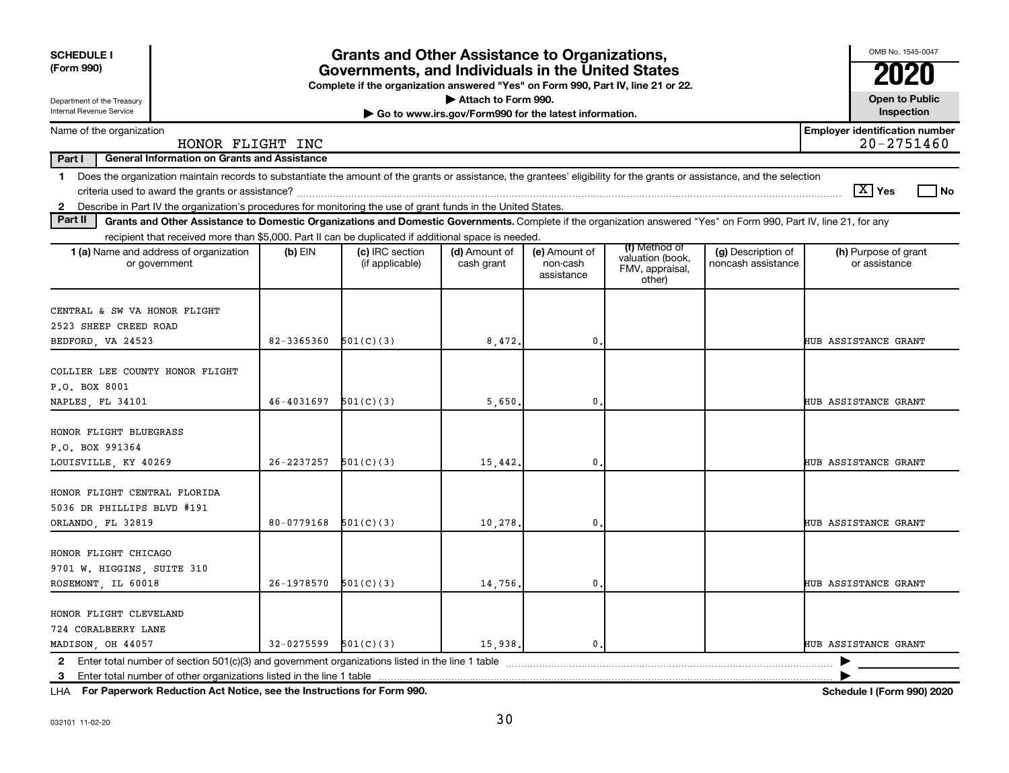| <b>SCHEDULE I</b><br>(Form 990)<br>Department of the Treasury<br><b>Internal Revenue Service</b>                                                                                                                                                                                                                         | <b>Grants and Other Assistance to Organizations,</b><br>Governments, and Individuals in the United States<br>Complete if the organization answered "Yes" on Form 990, Part IV, line 21 or 22.<br>Attach to Form 990.<br>Go to www.irs.gov/Form990 for the latest information. |                                    |                             |                                         |                                                                |                                          |                                                     |  |
|--------------------------------------------------------------------------------------------------------------------------------------------------------------------------------------------------------------------------------------------------------------------------------------------------------------------------|-------------------------------------------------------------------------------------------------------------------------------------------------------------------------------------------------------------------------------------------------------------------------------|------------------------------------|-----------------------------|-----------------------------------------|----------------------------------------------------------------|------------------------------------------|-----------------------------------------------------|--|
| Name of the organization                                                                                                                                                                                                                                                                                                 |                                                                                                                                                                                                                                                                               |                                    |                             |                                         |                                                                |                                          | Inspection<br><b>Employer identification number</b> |  |
| HONOR FLIGHT INC                                                                                                                                                                                                                                                                                                         |                                                                                                                                                                                                                                                                               |                                    |                             |                                         |                                                                |                                          | $20 - 2751460$                                      |  |
| Part I<br><b>General Information on Grants and Assistance</b>                                                                                                                                                                                                                                                            |                                                                                                                                                                                                                                                                               |                                    |                             |                                         |                                                                |                                          |                                                     |  |
| Does the organization maintain records to substantiate the amount of the grants or assistance, the grantees' eligibility for the grants or assistance, and the selection<br>$\mathbf 1$<br>Describe in Part IV the organization's procedures for monitoring the use of grant funds in the United States.<br>$\mathbf{2}$ |                                                                                                                                                                                                                                                                               |                                    |                             |                                         |                                                                |                                          | $\boxed{\text{X}}$ Yes<br>l No                      |  |
| Part II<br>Grants and Other Assistance to Domestic Organizations and Domestic Governments. Complete if the organization answered "Yes" on Form 990, Part IV, line 21, for any                                                                                                                                            |                                                                                                                                                                                                                                                                               |                                    |                             |                                         |                                                                |                                          |                                                     |  |
| recipient that received more than \$5,000. Part II can be duplicated if additional space is needed.                                                                                                                                                                                                                      |                                                                                                                                                                                                                                                                               |                                    |                             |                                         |                                                                |                                          |                                                     |  |
| 1 (a) Name and address of organization<br>or government                                                                                                                                                                                                                                                                  | $(b)$ EIN                                                                                                                                                                                                                                                                     | (c) IRC section<br>(if applicable) | (d) Amount of<br>cash grant | (e) Amount of<br>non-cash<br>assistance | (f) Method of<br>valuation (book,<br>FMV, appraisal,<br>other) | (g) Description of<br>noncash assistance | (h) Purpose of grant<br>or assistance               |  |
| CENTRAL & SW VA HONOR FLIGHT<br>2523 SHEEP CREED ROAD<br>BEDFORD, VA 24523                                                                                                                                                                                                                                               | 82-3365360                                                                                                                                                                                                                                                                    | 501(C)(3)                          | 8,472.                      | $\mathbf{0}$                            |                                                                |                                          | HUB ASSISTANCE GRANT                                |  |
| COLLIER LEE COUNTY HONOR FLIGHT<br>P.O. BOX 8001<br>NAPLES, FL 34101                                                                                                                                                                                                                                                     | $46-4031697$ $501(C)(3)$                                                                                                                                                                                                                                                      |                                    | 5,650                       | $\mathbf 0$                             |                                                                |                                          | HUB ASSISTANCE GRANT                                |  |
| HONOR FLIGHT BLUEGRASS<br>P.O. BOX 991364<br>LOUISVILLE, KY 40269                                                                                                                                                                                                                                                        | 26-2237257                                                                                                                                                                                                                                                                    | 501(C)(3)                          | 15,442.                     | $\mathbf 0$                             |                                                                |                                          | HUB ASSISTANCE GRANT                                |  |
| HONOR FLIGHT CENTRAL FLORIDA<br>5036 DR PHILLIPS BLVD #191<br>ORLANDO, FL 32819                                                                                                                                                                                                                                          | 80-0779168                                                                                                                                                                                                                                                                    | 501(C)(3)                          | 10,278.                     | $\mathbf 0$                             |                                                                |                                          | HUB ASSISTANCE GRANT                                |  |
| HONOR FLIGHT CHICAGO<br>9701 W. HIGGINS, SUITE 310<br>ROSEMONT, IL 60018                                                                                                                                                                                                                                                 | 26-1978570                                                                                                                                                                                                                                                                    | 501(C)(3)                          | 14,756.                     | $\mathbf 0$                             |                                                                |                                          | HUB ASSISTANCE GRANT                                |  |
| HONOR FLIGHT CLEVELAND<br>724 CORALBERRY LANE<br>MADISON, OH 44057                                                                                                                                                                                                                                                       | 32-0275599                                                                                                                                                                                                                                                                    | 501(C)(3)                          | 15,938.                     | 0.                                      |                                                                |                                          | HUB ASSISTANCE GRANT                                |  |
| $\mathbf{2}$<br>3                                                                                                                                                                                                                                                                                                        |                                                                                                                                                                                                                                                                               |                                    |                             |                                         |                                                                |                                          |                                                     |  |

**For Paperwork Reduction Act Notice, see the Instructions for Form 990. Schedule I (Form 990) 2020** LHA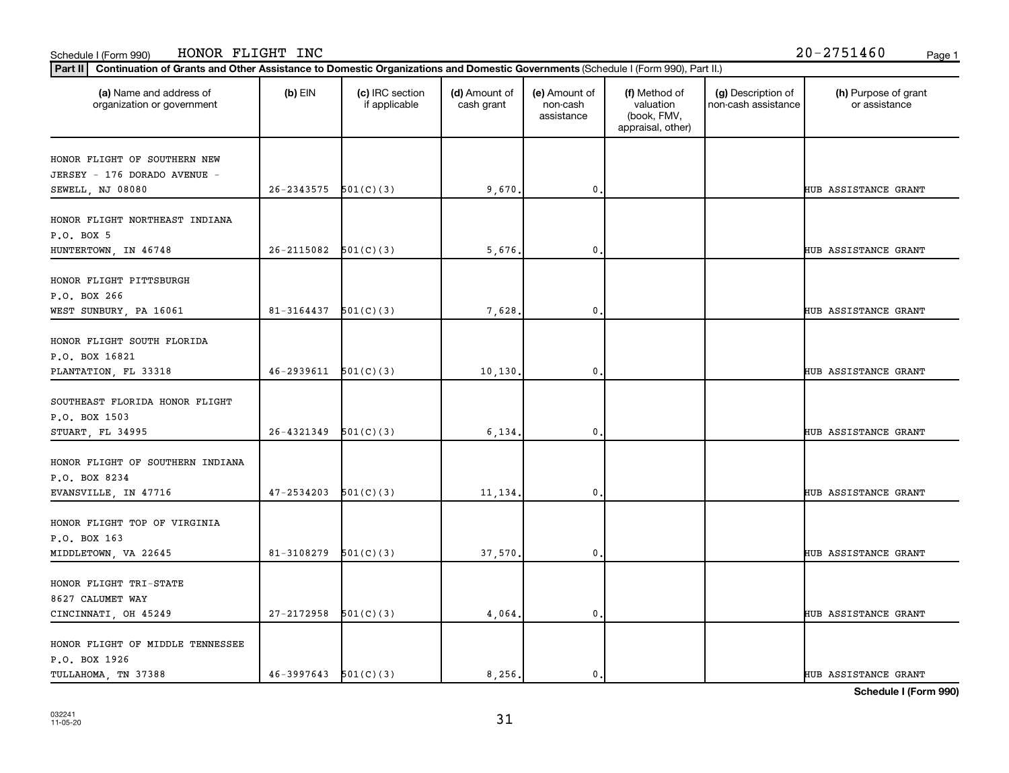#### **Part II Continuation of Grants and Other Assistance to Domestic Organizations and Domestic Governments (Schedule L(Equation of Grants and Other Assistance to Domestic Organizations and Domestic Governments (Schedule L(Equ** Schedule I (Form 990) HONOR FLIGHT INC 20-2751460 <sub>Page 1</sub>

| Part II<br>Continuation of Grants and Other Assistance to Domestic Organizations and Domestic Governments (Schedule I (Form 990), Part II.) |                            |                                  |                             |                                         |                                                                |                                           |                                       |
|---------------------------------------------------------------------------------------------------------------------------------------------|----------------------------|----------------------------------|-----------------------------|-----------------------------------------|----------------------------------------------------------------|-------------------------------------------|---------------------------------------|
| (a) Name and address of<br>organization or government                                                                                       | $(b)$ EIN                  | (c) IRC section<br>if applicable | (d) Amount of<br>cash grant | (e) Amount of<br>non-cash<br>assistance | (f) Method of<br>valuation<br>(book, FMV,<br>appraisal, other) | (g) Description of<br>non-cash assistance | (h) Purpose of grant<br>or assistance |
| HONOR FLIGHT OF SOUTHERN NEW<br>JERSEY - 176 DORADO AVENUE -<br>SEWELL, NJ 08080                                                            | $26-2343575$ $501(C)(3)$   |                                  | 9,670.                      | 0.                                      |                                                                |                                           | HUB ASSISTANCE GRANT                  |
| HONOR FLIGHT NORTHEAST INDIANA<br>P.O. BOX 5<br>HUNTERTOWN, IN 46748                                                                        | $26 - 2115082$ $501(C)(3)$ |                                  | 5,676                       | $\mathbf{0}$ .                          |                                                                |                                           | HUB ASSISTANCE GRANT                  |
| HONOR FLIGHT PITTSBURGH<br>P.O. BOX 266<br>WEST SUNBURY, PA 16061                                                                           | 81-3164437                 | 501(C)(3)                        | 7,628                       | $\mathbf{0}$                            |                                                                |                                           | HUB ASSISTANCE GRANT                  |
| HONOR FLIGHT SOUTH FLORIDA<br>P.O. BOX 16821<br>PLANTATION, FL 33318                                                                        | $46 - 2939611$ $501(C)(3)$ |                                  | 10,130                      | $\mathbf{0}$ .                          |                                                                |                                           | HUB ASSISTANCE GRANT                  |
| SOUTHEAST FLORIDA HONOR FLIGHT<br>P.O. BOX 1503<br>STUART, FL 34995                                                                         | 26-4321349                 | 501(C)(3)                        | 6,134                       | $\mathbf{0}$                            |                                                                |                                           | HUB ASSISTANCE GRANT                  |
| HONOR FLIGHT OF SOUTHERN INDIANA<br>P.O. BOX 8234<br>EVANSVILLE, IN 47716                                                                   | 47-2534203                 | 501(C)(3)                        | 11,134                      | 0.                                      |                                                                |                                           | <b>HUB ASSISTANCE GRANT</b>           |
| HONOR FLIGHT TOP OF VIRGINIA<br>P.O. BOX 163<br>MIDDLETOWN, VA 22645                                                                        | 81-3108279 $501(C)(3)$     |                                  | 37,570                      | $\mathbf{0}$ .                          |                                                                |                                           | <b>HUB ASSISTANCE GRANT</b>           |
| HONOR FLIGHT TRI-STATE<br>8627 CALUMET WAY<br>CINCINNATI, OH 45249                                                                          | 27-2172958                 | 501(C)(3)                        | 4,064                       | $\mathbf{0}$                            |                                                                |                                           | HUB ASSISTANCE GRANT                  |
| HONOR FLIGHT OF MIDDLE TENNESSEE<br>P.O. BOX 1926<br>TULLAHOMA, TN 37388                                                                    | $46-3997643$ $501(C)(3)$   |                                  | 8,256.                      | $\mathbf{0}$ .                          |                                                                |                                           | HUB ASSISTANCE GRANT                  |

**Schedule I (Form 990)**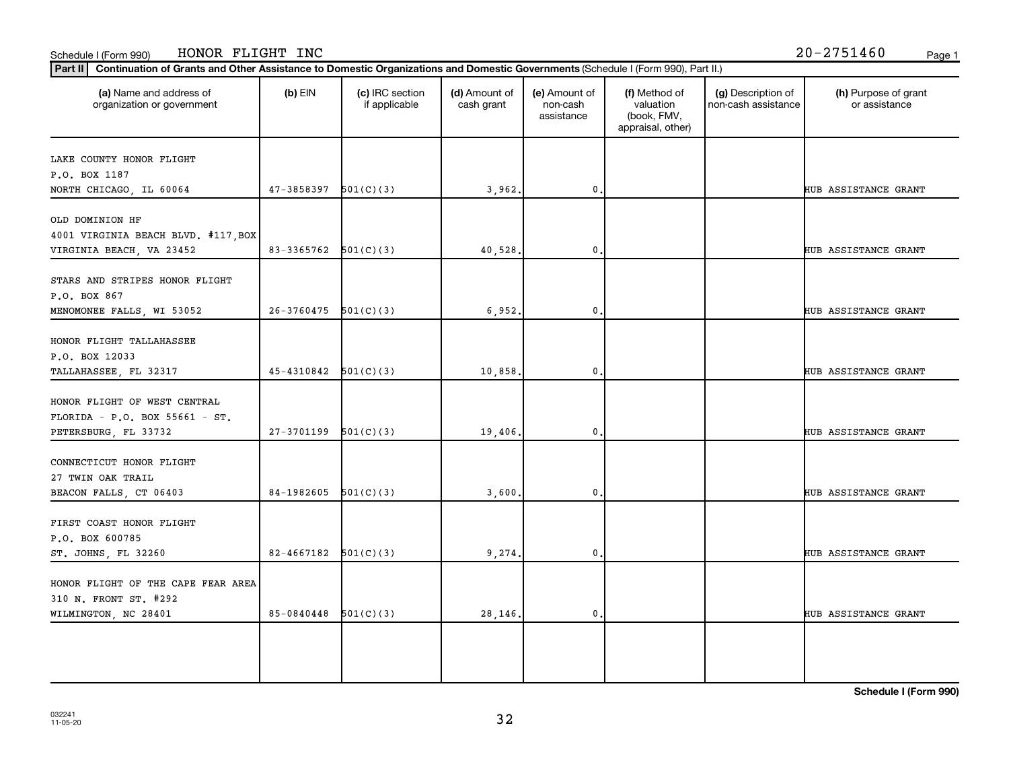#### Schedule I (Form 990) HONOR FLIGHT INC 20-2751460 <sub>Page 1</sub>

| (a) Name and address of<br>organization or government | $(b)$ EIN                  | (c) IRC section<br>if applicable | (d) Amount of<br>cash grant | (e) Amount of<br>non-cash<br>assistance | (f) Method of<br>valuation<br>(book, FMV,<br>appraisal, other) | (g) Description of<br>non-cash assistance | (h) Purpose of grant<br>or assistance |
|-------------------------------------------------------|----------------------------|----------------------------------|-----------------------------|-----------------------------------------|----------------------------------------------------------------|-------------------------------------------|---------------------------------------|
| LAKE COUNTY HONOR FLIGHT                              |                            |                                  |                             |                                         |                                                                |                                           |                                       |
| P.O. BOX 1187                                         |                            |                                  |                             |                                         |                                                                |                                           |                                       |
| NORTH CHICAGO, IL 60064                               | $47-3858397$ $501(C)(3)$   |                                  | 3,962                       | 0.                                      |                                                                |                                           | HUB ASSISTANCE GRANT                  |
| OLD DOMINION HF                                       |                            |                                  |                             |                                         |                                                                |                                           |                                       |
| 4001 VIRGINIA BEACH BLVD. #117, BOX                   |                            |                                  |                             |                                         |                                                                |                                           |                                       |
| VIRGINIA BEACH, VA 23452                              | 83-3365762 $501(C)(3)$     |                                  | 40,528                      | 0.                                      |                                                                |                                           | HUB ASSISTANCE GRANT                  |
|                                                       |                            |                                  |                             |                                         |                                                                |                                           |                                       |
| STARS AND STRIPES HONOR FLIGHT                        |                            |                                  |                             |                                         |                                                                |                                           |                                       |
| P.O. BOX 867                                          |                            |                                  |                             |                                         |                                                                |                                           |                                       |
| MENOMONEE FALLS, WI 53052                             | $26 - 3760475$             | 501(C)(3)                        | 6,952                       | $\mathbf{0}$ .                          |                                                                |                                           | HUB ASSISTANCE GRANT                  |
| HONOR FLIGHT TALLAHASSEE                              |                            |                                  |                             |                                         |                                                                |                                           |                                       |
| P.O. BOX 12033                                        |                            |                                  |                             |                                         |                                                                |                                           |                                       |
| TALLAHASSEE, FL 32317                                 | $45 - 4310842$ $501(C)(3)$ |                                  | 10,858                      | $\mathbf{0}$ .                          |                                                                |                                           | HUB ASSISTANCE GRANT                  |
|                                                       |                            |                                  |                             |                                         |                                                                |                                           |                                       |
| HONOR FLIGHT OF WEST CENTRAL                          |                            |                                  |                             |                                         |                                                                |                                           |                                       |
| FLORIDA - P.O. BOX 55661 - ST.                        |                            |                                  |                             |                                         |                                                                |                                           |                                       |
| PETERSBURG, FL 33732                                  | $27-3701199$ 501(C)(3)     |                                  | 19,406                      | 0.                                      |                                                                |                                           | HUB ASSISTANCE GRANT                  |
|                                                       |                            |                                  |                             |                                         |                                                                |                                           |                                       |
| CONNECTICUT HONOR FLIGHT                              |                            |                                  |                             |                                         |                                                                |                                           |                                       |
| 27 TWIN OAK TRAIL                                     |                            |                                  |                             |                                         |                                                                |                                           |                                       |
| BEACON FALLS, CT 06403                                | 84-1982605                 | 501(C)(3)                        | 3,600                       | $\mathbf 0$ .                           |                                                                |                                           | HUB ASSISTANCE GRANT                  |
| FIRST COAST HONOR FLIGHT                              |                            |                                  |                             |                                         |                                                                |                                           |                                       |
| P.O. BOX 600785                                       |                            |                                  |                             |                                         |                                                                |                                           |                                       |
| ST. JOHNS, FL 32260                                   | $82 - 4667182$ $501(C)(3)$ |                                  | 9,274                       | $\mathbf 0$ .                           |                                                                |                                           | HUB ASSISTANCE GRANT                  |
|                                                       |                            |                                  |                             |                                         |                                                                |                                           |                                       |
| HONOR FLIGHT OF THE CAPE FEAR AREA                    |                            |                                  |                             |                                         |                                                                |                                           |                                       |
| 310 N. FRONT ST. #292                                 |                            |                                  |                             |                                         |                                                                |                                           |                                       |
| WILMINGTON, NC 28401                                  | 85-0840448                 | 501(C)(3)                        | 28,146                      | $\mathbf{0}$ .                          |                                                                |                                           | HUB ASSISTANCE GRANT                  |
|                                                       |                            |                                  |                             |                                         |                                                                |                                           |                                       |
|                                                       |                            |                                  |                             |                                         |                                                                |                                           |                                       |
|                                                       |                            |                                  |                             |                                         |                                                                |                                           |                                       |

**Schedule I (Form 990)**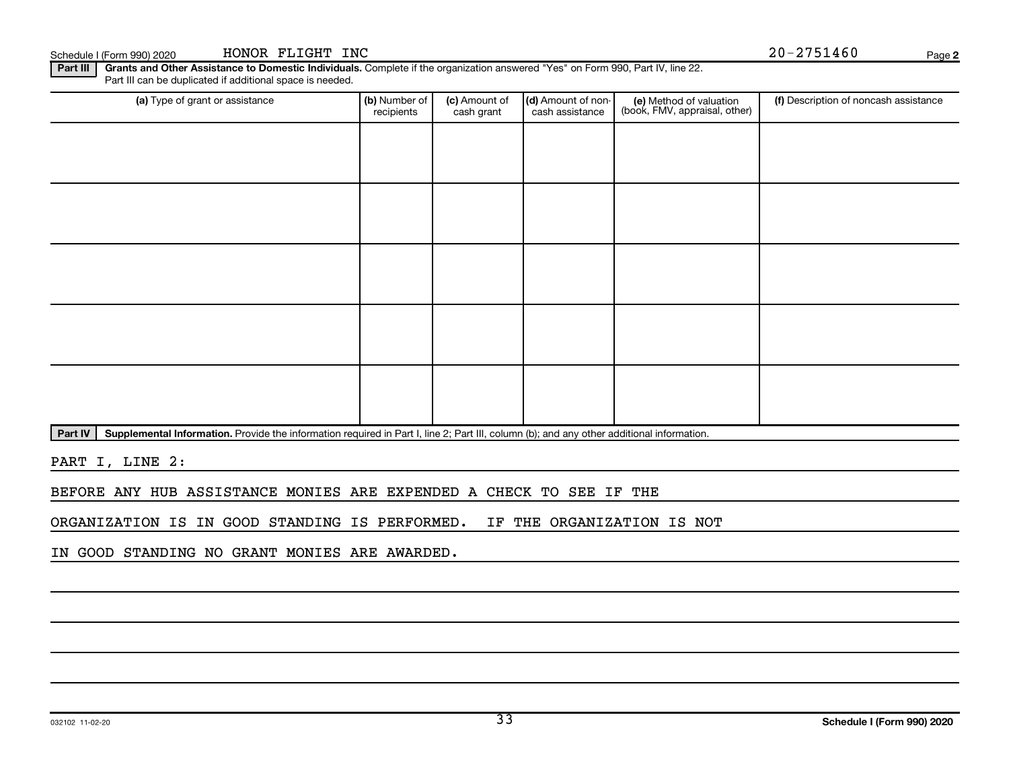Schedule I (Form 990) 2020 HONOR FLIGHT INC  $20-2751460$ HONOR FLIGHT INC

**2**

Part III | Grants and Other Assistance to Domestic Individuals. Complete if the organization answered "Yes" on Form 990, Part IV, line 22. Part III can be duplicated if additional space is needed.

| (a) Type of grant or assistance | (b) Number of<br>recipients | (c) Amount of<br>cash grant | (d) Amount of non-<br>cash assistance | (e) Method of valuation<br>(book, FMV, appraisal, other) | (f) Description of noncash assistance |
|---------------------------------|-----------------------------|-----------------------------|---------------------------------------|----------------------------------------------------------|---------------------------------------|
|                                 |                             |                             |                                       |                                                          |                                       |
|                                 |                             |                             |                                       |                                                          |                                       |
|                                 |                             |                             |                                       |                                                          |                                       |
|                                 |                             |                             |                                       |                                                          |                                       |
|                                 |                             |                             |                                       |                                                          |                                       |
|                                 |                             |                             |                                       |                                                          |                                       |
|                                 |                             |                             |                                       |                                                          |                                       |
|                                 |                             |                             |                                       |                                                          |                                       |
|                                 |                             |                             |                                       |                                                          |                                       |
|                                 |                             |                             |                                       |                                                          |                                       |

Part IV | Supplemental Information. Provide the information required in Part I, line 2; Part III, column (b); and any other additional information.

PART I, LINE 2:

BEFORE ANY HUB ASSISTANCE MONIES ARE EXPENDED A CHECK TO SEE IF THE

ORGANIZATION IS IN GOOD STANDING IS PERFORMED. IF THE ORGANIZATION IS NOT

IN GOOD STANDING NO GRANT MONIES ARE AWARDED.